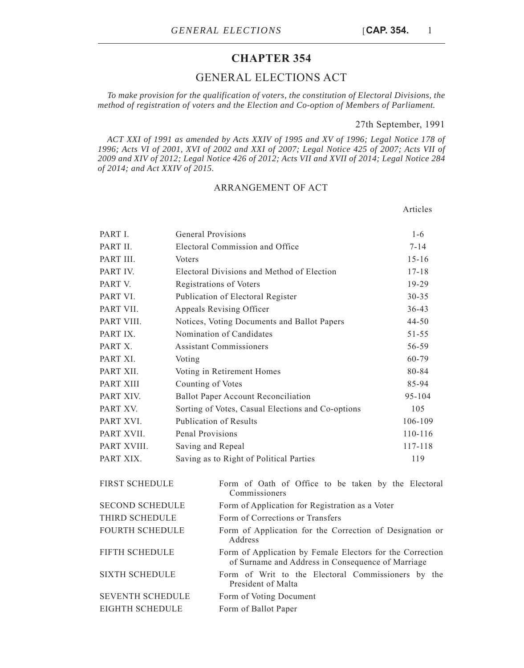# **CHAPTER 354**

# GENERAL ELECTIONS ACT

*To make provision for the qualification of voters, the constitution of Electoral Divisions, the method of registration of voters and the Election and Co-option of Members of Parliament.*

### 27th September, 1991

Articles

*ACT XXI of 1991 as amended by Acts XXIV of 1995 and XV of 1996; Legal Notice 178 of 1996; Acts VI of 2001, XVI of 2002 and XXI of 2007; Legal Notice 425 of 2007; Acts VII of 2009 and XIV of 2012; Legal Notice 426 of 2012; Acts VII and XVII of 2014; Legal Notice 284 of 2014; and Act XXIV of 2015.*

# ARRANGEMENT OF ACT

| PART L      | General Provisions                                | $1 - 6$    |
|-------------|---------------------------------------------------|------------|
| PART II.    | Electoral Commission and Office                   | $7 - 14$   |
| PART III.   | <b>Voters</b>                                     | $15 - 16$  |
| PART IV.    | Electoral Divisions and Method of Election        | $17 - 18$  |
| PART V.     | Registrations of Voters                           | 19-29      |
| PART VI.    | Publication of Electoral Register                 | $30 - 35$  |
| PART VII.   | Appeals Revising Officer                          | $36 - 43$  |
| PART VIII.  | Notices, Voting Documents and Ballot Papers       | 44-50      |
| PART IX.    | Nomination of Candidates                          | $51 - 55$  |
| PART X.     | <b>Assistant Commissioners</b>                    | 56-59      |
| PART XI.    | Voting                                            | $60 - 79$  |
| PART XII.   | Voting in Retirement Homes                        | 80-84      |
| PART XIII   | Counting of Votes                                 | 85-94      |
| PART XIV.   | <b>Ballot Paper Account Reconciliation</b>        | $95 - 104$ |
| PART XV.    | Sorting of Votes, Casual Elections and Co-options | 105        |
| PART XVI.   | <b>Publication of Results</b>                     | 106-109    |
| PART XVII.  | Penal Provisions                                  | 110-116    |
| PART XVIII. | Saving and Repeal                                 | 117-118    |
| PART XIX.   | Saving as to Right of Political Parties           | 119        |
|             | $\alpha$ $\alpha$                                 |            |

| <b>FIRST SCHEDULE</b>   | Form of Oath of Office to be taken by the Electoral<br>Commissioners                                           |
|-------------------------|----------------------------------------------------------------------------------------------------------------|
| <b>SECOND SCHEDULE</b>  | Form of Application for Registration as a Voter                                                                |
| THIRD SCHEDULE          | Form of Corrections or Transfers                                                                               |
| <b>FOURTH SCHEDULE</b>  | Form of Application for the Correction of Designation or<br>Address                                            |
| FIFTH SCHEDULE          | Form of Application by Female Electors for the Correction<br>of Surname and Address in Consequence of Marriage |
| <b>SIXTH SCHEDULE</b>   | Form of Writ to the Electoral Commissioners by the<br>President of Malta                                       |
| <b>SEVENTH SCHEDULE</b> | Form of Voting Document                                                                                        |
| EIGHTH SCHEDULE         | Form of Ballot Paper                                                                                           |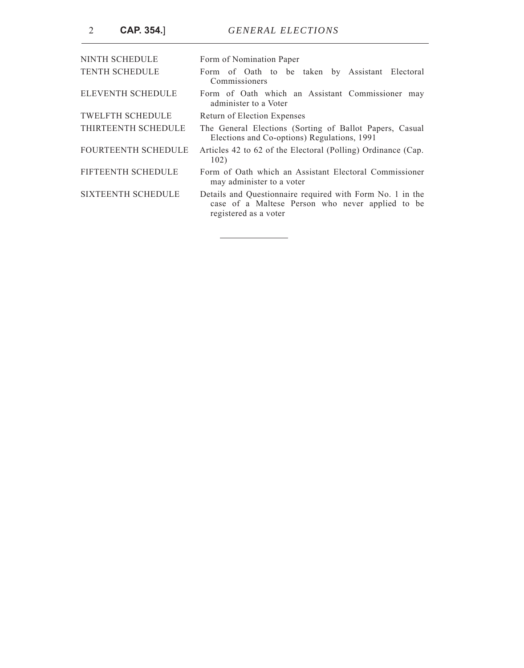| NINTH SCHEDULE             | Form of Nomination Paper                                                                                                               |
|----------------------------|----------------------------------------------------------------------------------------------------------------------------------------|
| <b>TENTH SCHEDULE</b>      | Form of Oath to be taken by Assistant Electoral<br>Commissioners                                                                       |
| <b>ELEVENTH SCHEDULE</b>   | Form of Oath which an Assistant Commissioner may<br>administer to a Voter                                                              |
| <b>TWELFTH SCHEDULE</b>    | Return of Election Expenses                                                                                                            |
| THIRTEENTH SCHEDULE        | The General Elections (Sorting of Ballot Papers, Casual<br>Elections and Co-options) Regulations, 1991                                 |
| <b>FOURTEENTH SCHEDULE</b> | Articles 42 to 62 of the Electoral (Polling) Ordinance (Cap.<br>102)                                                                   |
| <b>FIFTEENTH SCHEDULE</b>  | Form of Oath which an Assistant Electoral Commissioner<br>may administer to a voter                                                    |
| <b>SIXTEENTH SCHEDULE</b>  | Details and Questionnaire required with Form No. 1 in the<br>case of a Maltese Person who never applied to be<br>registered as a voter |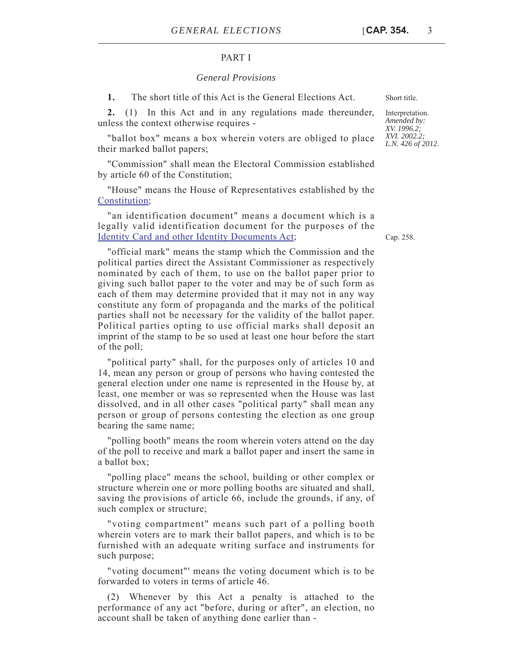# PART I

#### *General Provisions*

**1.** The short title of this Act is the General Elections Act. Short title.

**2.** (1) In this Act and in any regulations made thereunder, unless the context otherwise requires -

"ballot box" means a box wherein voters are obliged to place their marked ballot papers;

"Commission" shall mean the Electoral Commission established by article 60 of the Constitution;

"House" means the House of Representatives established by the [Constitution](http://www.justiceservices.gov.mt/DownloadDocument.aspx?app=lom&itemid=8566&l=1);

"an identification document" means a document which is a legally valid identification document for the purposes of the [Identity Card and other Identity Documents Act;](http://justiceservices.gov.mt/DownloadDocument.aspx?app=lom&itemid=8751&l=1)

"official mark" means the stamp which the Commission and the political parties direct the Assistant Commissioner as respectively nominated by each of them, to use on the ballot paper prior to giving such ballot paper to the voter and may be of such form as each of them may determine provided that it may not in any way constitute any form of propaganda and the marks of the political parties shall not be necessary for the validity of the ballot paper. Political parties opting to use official marks shall deposit an imprint of the stamp to be so used at least one hour before the start of the poll;

"political party" shall, for the purposes only of articles 10 and 14, mean any person or group of persons who having contested the general election under one name is represented in the House by, at least, one member or was so represented when the House was last dissolved, and in all other cases "political party" shall mean any person or group of persons contesting the election as one group bearing the same name;

"polling booth" means the room wherein voters attend on the day of the poll to receive and mark a ballot paper and insert the same in a ballot box;

"polling place" means the school, building or other complex or structure wherein one or more polling booths are situated and shall, saving the provisions of article 66, include the grounds, if any, of such complex or structure;

"voting compartment" means such part of a polling booth wherein voters are to mark their ballot papers, and which is to be furnished with an adequate writing surface and instruments for such purpose;

"voting document"' means the voting document which is to be forwarded to voters in terms of article 46.

(2) Whenever by this Act a penalty is attached to the performance of any act "before, during or after", an election, no account shall be taken of anything done earlier than -

Interpretation. *Amended by: XV. 1996.2; XVI. 2002.2; L.N. 426 of 2012.*

Cap. 258.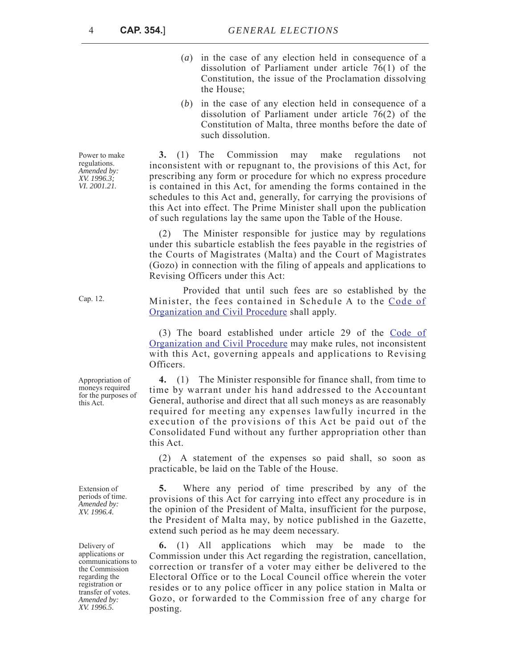- (*a*) in the case of any election held in consequence of a dissolution of Parliament under article 76(1) of the Constitution, the issue of the Proclamation dissolving the House;
- (*b*) in the case of any election held in consequence of a dissolution of Parliament under article 76(2) of the Constitution of Malta, three months before the date of such dissolution.

**3.** (1) The Commission may make regulations not inconsistent with or repugnant to, the provisions of this Act, for prescribing any form or procedure for which no express procedure is contained in this Act, for amending the forms contained in the schedules to this Act and, generally, for carrying the provisions of this Act into effect. The Prime Minister shall upon the publication of such regulations lay the same upon the Table of the House.

(2) The Minister responsible for justice may by regulations under this subarticle establish the fees payable in the registries of the Courts of Magistrates (Malta) and the Court of Magistrates (Gozo) in connection with the filing of appeals and applications to Revising Officers under this Act:

Provided that until such fees are so established by the Minister, the fees contained in Schedule A to the [Code of](http://www.justiceservices.gov.mt/DownloadDocument.aspx?app=lom&itemid=8577&l=1) [Organization and Civil Procedure](http://www.justiceservices.gov.mt/DownloadDocument.aspx?app=lom&itemid=8577&l=1) shall apply.

(3) The board established under article 29 of the [Code of](http://www.justiceservices.gov.mt/DownloadDocument.aspx?app=lom&itemid=8577&l=1) [Organization and Civil Procedure](http://www.justiceservices.gov.mt/DownloadDocument.aspx?app=lom&itemid=8577&l=1) may make rules, not inconsistent with this Act, governing appeals and applications to Revising Officers.

**4.** (1) The Minister responsible for finance shall, from time to time by warrant under his hand addressed to the Accountant General, authorise and direct that all such moneys as are reasonably required for meeting any expenses lawfully incurred in the execution of the provisions of this Act be paid out of the Consolidated Fund without any further appropriation other than this Act.

(2) A statement of the expenses so paid shall, so soon as practicable, be laid on the Table of the House.

**5.** Where any period of time prescribed by any of the provisions of this Act for carrying into effect any procedure is in the opinion of the President of Malta, insufficient for the purpose, the President of Malta may, by notice published in the Gazette, extend such period as he may deem necessary.

**6.** (1) All applications which may be made to the Commission under this Act regarding the registration, cancellation, correction or transfer of a voter may either be delivered to the Electoral Office or to the Local Council office wherein the voter resides or to any police officer in any police station in Malta or Gozo, or forwarded to the Commission free of any charge for posting.

Appropriation of moneys required for the purposes of this Act.

Cap. 12.

Extension of periods of time. *Amended by: XV. 1996.4.*

Delivery of applications or communications to the Commission regarding the registration or transfer of votes. *Amended by: XV. 1996.5.*

Power to make regulations. *Amended by: XV. 1996.3; VI. 2001.21.*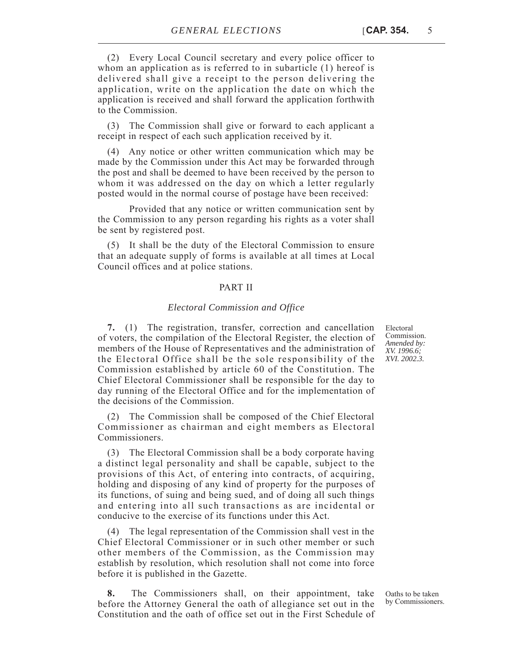(2) Every Local Council secretary and every police officer to whom an application as is referred to in subarticle (1) hereof is delivered shall give a receipt to the person delivering the application, write on the application the date on which the application is received and shall forward the application forthwith to the Commission.

(3) The Commission shall give or forward to each applicant a receipt in respect of each such application received by it.

(4) Any notice or other written communication which may be made by the Commission under this Act may be forwarded through the post and shall be deemed to have been received by the person to whom it was addressed on the day on which a letter regularly posted would in the normal course of postage have been received:

Provided that any notice or written communication sent by the Commission to any person regarding his rights as a voter shall be sent by registered post.

(5) It shall be the duty of the Electoral Commission to ensure that an adequate supply of forms is available at all times at Local Council offices and at police stations.

### PART II

#### *Electoral Commission and Office*

**7.** (1) The registration, transfer, correction and cancellation of voters, the compilation of the Electoral Register, the election of members of the House of Representatives and the administration of the Electoral Office shall be the sole responsibility of the Commission established by article 60 of the Constitution. The Chief Electoral Commissioner shall be responsible for the day to day running of the Electoral Office and for the implementation of the decisions of the Commission.

(2) The Commission shall be composed of the Chief Electoral Commissioner as chairman and eight members as Electoral Commissioners.

(3) The Electoral Commission shall be a body corporate having a distinct legal personality and shall be capable, subject to the provisions of this Act, of entering into contracts, of acquiring, holding and disposing of any kind of property for the purposes of its functions, of suing and being sued, and of doing all such things and entering into all such transactions as are incidental or conducive to the exercise of its functions under this Act.

(4) The legal representation of the Commission shall vest in the Chief Electoral Commissioner or in such other member or such other members of the Commission, as the Commission may establish by resolution, which resolution shall not come into force before it is published in the Gazette.

**8.** The Commissioners shall, on their appointment, take before the Attorney General the oath of allegiance set out in the Constitution and the oath of office set out in the First Schedule of

Electoral Commission. *Amended by: XV. 1996.6; XVI. 2002.3.*

Oaths to be taken by Commissioners.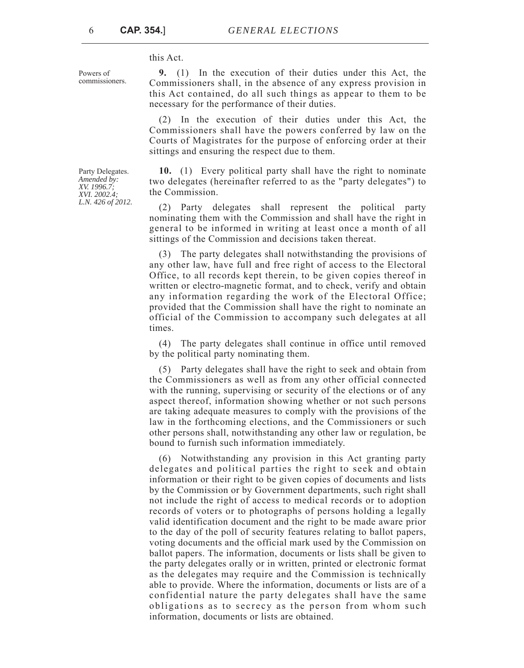this Act.

Powers of commissioners.

**9.** (1) In the execution of their duties under this Act, the Commissioners shall, in the absence of any express provision in this Act contained, do all such things as appear to them to be necessary for the performance of their duties.

(2) In the execution of their duties under this Act, the Commissioners shall have the powers conferred by law on the Courts of Magistrates for the purpose of enforcing order at their sittings and ensuring the respect due to them.

**10.** (1) Every political party shall have the right to nominate two delegates (hereinafter referred to as the "party delegates") to the Commission.

(2) Party delegates shall represent the political party nominating them with the Commission and shall have the right in general to be informed in writing at least once a month of all sittings of the Commission and decisions taken thereat.

(3) The party delegates shall notwithstanding the provisions of any other law, have full and free right of access to the Electoral Office, to all records kept therein, to be given copies thereof in written or electro-magnetic format, and to check, verify and obtain any information regarding the work of the Electoral Office; provided that the Commission shall have the right to nominate an official of the Commission to accompany such delegates at all times.

(4) The party delegates shall continue in office until removed by the political party nominating them.

(5) Party delegates shall have the right to seek and obtain from the Commissioners as well as from any other official connected with the running, supervising or security of the elections or of any aspect thereof, information showing whether or not such persons are taking adequate measures to comply with the provisions of the law in the forthcoming elections, and the Commissioners or such other persons shall, notwithstanding any other law or regulation, be bound to furnish such information immediately.

(6) Notwithstanding any provision in this Act granting party delegates and political parties the right to seek and obtain information or their right to be given copies of documents and lists by the Commission or by Government departments, such right shall not include the right of access to medical records or to adoption records of voters or to photographs of persons holding a legally valid identification document and the right to be made aware prior to the day of the poll of security features relating to ballot papers, voting documents and the official mark used by the Commission on ballot papers. The information, documents or lists shall be given to the party delegates orally or in written, printed or electronic format as the delegates may require and the Commission is technically able to provide. Where the information, documents or lists are of a confidential nature the party delegates shall have the same obligations as to secrecy as the person from whom such information, documents or lists are obtained.

Party Delegates. *Amended by: XV. 1996.7; XVI. 2002.4; L.N. 426 of 2012.*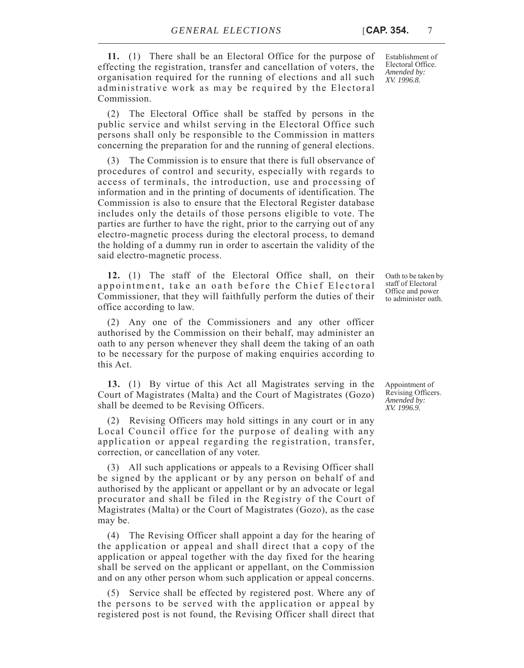**11.** (1) There shall be an Electoral Office for the purpose of effecting the registration, transfer and cancellation of voters, the organisation required for the running of elections and all such administrative work as may be required by the Electoral Commission.

(2) The Electoral Office shall be staffed by persons in the public service and whilst serving in the Electoral Office such persons shall only be responsible to the Commission in matters concerning the preparation for and the running of general elections.

(3) The Commission is to ensure that there is full observance of procedures of control and security, especially with regards to access of terminals, the introduction, use and processing of information and in the printing of documents of identification. The Commission is also to ensure that the Electoral Register database includes only the details of those persons eligible to vote. The parties are further to have the right, prior to the carrying out of any electro-magnetic process during the electoral process, to demand the holding of a dummy run in order to ascertain the validity of the said electro-magnetic process.

**12.** (1) The staff of the Electoral Office shall, on their appointment, take an oath before the Chief Electoral Commissioner, that they will faithfully perform the duties of their office according to law.

(2) Any one of the Commissioners and any other officer authorised by the Commission on their behalf, may administer an oath to any person whenever they shall deem the taking of an oath to be necessary for the purpose of making enquiries according to this Act.

**13.** (1) By virtue of this Act all Magistrates serving in the Court of Magistrates (Malta) and the Court of Magistrates (Gozo) shall be deemed to be Revising Officers.

(2) Revising Officers may hold sittings in any court or in any Local Council office for the purpose of dealing with any application or appeal regarding the registration, transfer, correction, or cancellation of any voter.

(3) All such applications or appeals to a Revising Officer shall be signed by the applicant or by any person on behalf of and authorised by the applicant or appellant or by an advocate or legal procurator and shall be filed in the Registry of the Court of Magistrates (Malta) or the Court of Magistrates (Gozo), as the case may be.

(4) The Revising Officer shall appoint a day for the hearing of the application or appeal and shall direct that a copy of the application or appeal together with the day fixed for the hearing shall be served on the applicant or appellant, on the Commission and on any other person whom such application or appeal concerns.

(5) Service shall be effected by registered post. Where any of the persons to be served with the application or appeal by registered post is not found, the Revising Officer shall direct that

Establishment of Electoral Office. *Amended by: XV. 1996.8.*

Oath to be taken by staff of Electoral Office and power to administer oath.

Appointment of Revising Officers. *Amended by: XV. 1996.9.*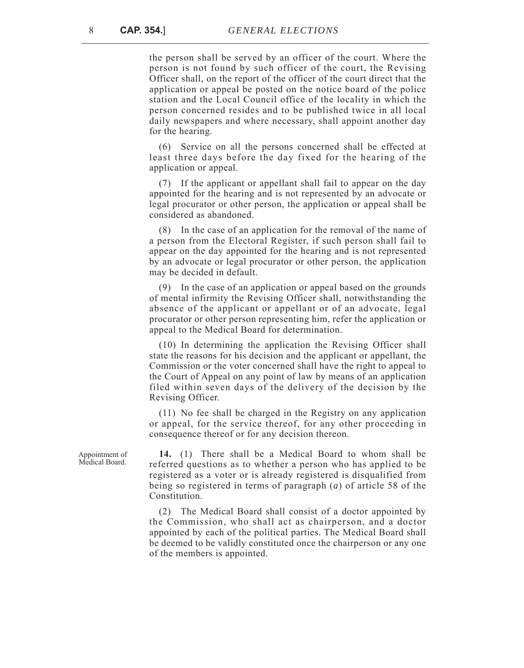the person shall be served by an officer of the court. Where the person is not found by such officer of the court, the Revising Officer shall, on the report of the officer of the court direct that the application or appeal be posted on the notice board of the police station and the Local Council office of the locality in which the person concerned resides and to be published twice in all local daily newspapers and where necessary, shall appoint another day for the hearing.

(6) Service on all the persons concerned shall be effected at least three days before the day fixed for the hearing of the application or appeal.

(7) If the applicant or appellant shall fail to appear on the day appointed for the hearing and is not represented by an advocate or legal procurator or other person, the application or appeal shall be considered as abandoned.

(8) In the case of an application for the removal of the name of a person from the Electoral Register, if such person shall fail to appear on the day appointed for the hearing and is not represented by an advocate or legal procurator or other person, the application may be decided in default.

(9) In the case of an application or appeal based on the grounds of mental infirmity the Revising Officer shall, notwithstanding the absence of the applicant or appellant or of an advocate, legal procurator or other person representing him, refer the application or appeal to the Medical Board for determination.

(10) In determining the application the Revising Officer shall state the reasons for his decision and the applicant or appellant, the Commission or the voter concerned shall have the right to appeal to the Court of Appeal on any point of law by means of an application filed within seven days of the delivery of the decision by the Revising Officer.

(11) No fee shall be charged in the Registry on any application or appeal, for the service thereof, for any other proceeding in consequence thereof or for any decision thereon.

**14.** (1) There shall be a Medical Board to whom shall be referred questions as to whether a person who has applied to be registered as a voter or is already registered is disqualified from being so registered in terms of paragraph (*a*) of article 58 of the Constitution.

(2) The Medical Board shall consist of a doctor appointed by the Commission, who shall act as chairperson, and a doctor appointed by each of the political parties. The Medical Board shall be deemed to be validly constituted once the chairperson or any one of the members is appointed.

Appointment of Medical Board.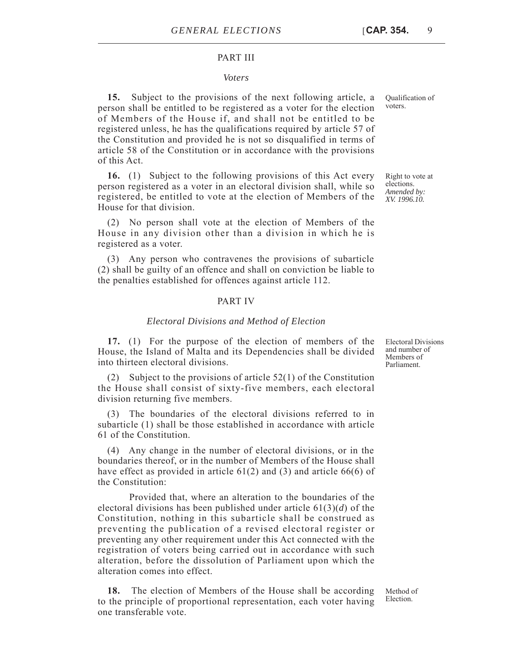# PART III

#### *Voters*

**15.** Subject to the provisions of the next following article, a person shall be entitled to be registered as a voter for the election of Members of the House if, and shall not be entitled to be registered unless, he has the qualifications required by article 57 of the Constitution and provided he is not so disqualified in terms of article 58 of the Constitution or in accordance with the provisions of this Act.

**16.** (1) Subject to the following provisions of this Act every person registered as a voter in an electoral division shall, while so registered, be entitled to vote at the election of Members of the House for that division.

(2) No person shall vote at the election of Members of the House in any division other than a division in which he is registered as a voter.

(3) Any person who contravenes the provisions of subarticle (2) shall be guilty of an offence and shall on conviction be liable to the penalties established for offences against article 112.

## PART IV

#### *Electoral Divisions and Method of Election*

**17.** (1) For the purpose of the election of members of the House, the Island of Malta and its Dependencies shall be divided into thirteen electoral divisions.

(2) Subject to the provisions of article 52(1) of the Constitution the House shall consist of sixty-five members, each electoral division returning five members.

(3) The boundaries of the electoral divisions referred to in subarticle (1) shall be those established in accordance with article 61 of the Constitution.

(4) Any change in the number of electoral divisions, or in the boundaries thereof, or in the number of Members of the House shall have effect as provided in article 61(2) and (3) and article 66(6) of the Constitution:

Provided that, where an alteration to the boundaries of the electoral divisions has been published under article 61(3)(*d*) of the Constitution, nothing in this subarticle shall be construed as preventing the publication of a revised electoral register or preventing any other requirement under this Act connected with the registration of voters being carried out in accordance with such alteration, before the dissolution of Parliament upon which the alteration comes into effect.

**18.** The election of Members of the House shall be according to the principle of proportional representation, each voter having one transferable vote.

Method of Election.

Qualification of voters.

Right to vote at elections. *Amended by: XV. 1996.10.*

Electoral Divisions and number of Members of Parliament.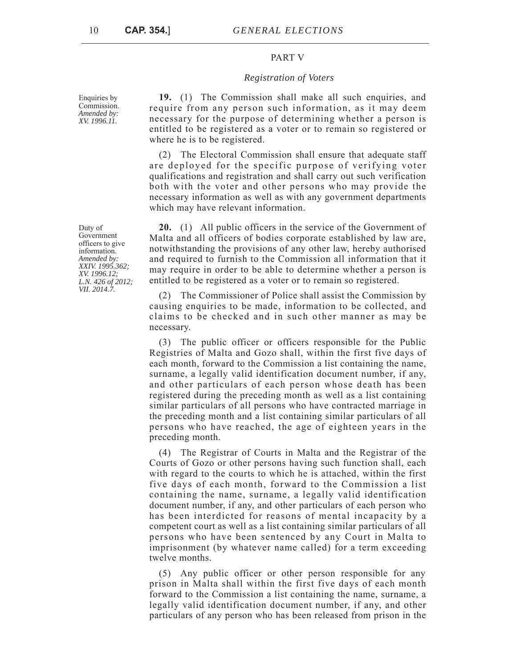# PART V

#### *Registration of Voters*

**19.** (1) The Commission shall make all such enquiries, and require from any person such information, as it may deem necessary for the purpose of determining whether a person is entitled to be registered as a voter or to remain so registered or where he is to be registered.

(2) The Electoral Commission shall ensure that adequate staff are deployed for the specific purpose of verifying voter qualifications and registration and shall carry out such verification both with the voter and other persons who may provide the necessary information as well as with any government departments which may have relevant information.

**20.** (1) All public officers in the service of the Government of Malta and all officers of bodies corporate established by law are, notwithstanding the provisions of any other law, hereby authorised and required to furnish to the Commission all information that it may require in order to be able to determine whether a person is entitled to be registered as a voter or to remain so registered.

(2) The Commissioner of Police shall assist the Commission by causing enquiries to be made, information to be collected, and claims to be checked and in such other manner as may be necessary.

(3) The public officer or officers responsible for the Public Registries of Malta and Gozo shall, within the first five days of each month, forward to the Commission a list containing the name, surname, a legally valid identification document number, if any, and other particulars of each person whose death has been registered during the preceding month as well as a list containing similar particulars of all persons who have contracted marriage in the preceding month and a list containing similar particulars of all persons who have reached, the age of eighteen years in the preceding month.

(4) The Registrar of Courts in Malta and the Registrar of the Courts of Gozo or other persons having such function shall, each with regard to the courts to which he is attached, within the first five days of each month, forward to the Commission a list containing the name, surname, a legally valid identification document number, if any, and other particulars of each person who has been interdicted for reasons of mental incapacity by a competent court as well as a list containing similar particulars of all persons who have been sentenced by any Court in Malta to imprisonment (by whatever name called) for a term exceeding twelve months.

(5) Any public officer or other person responsible for any prison in Malta shall within the first five days of each month forward to the Commission a list containing the name, surname, a legally valid identification document number, if any, and other particulars of any person who has been released from prison in the

Enquiries by Commission. *Amended by: XV. 1996.11.*

Duty of Government officers to give information. *Amended by: XXIV. 1995.362; XV. 1996.12; L.N. 426 of 2012; VII. 2014.7.*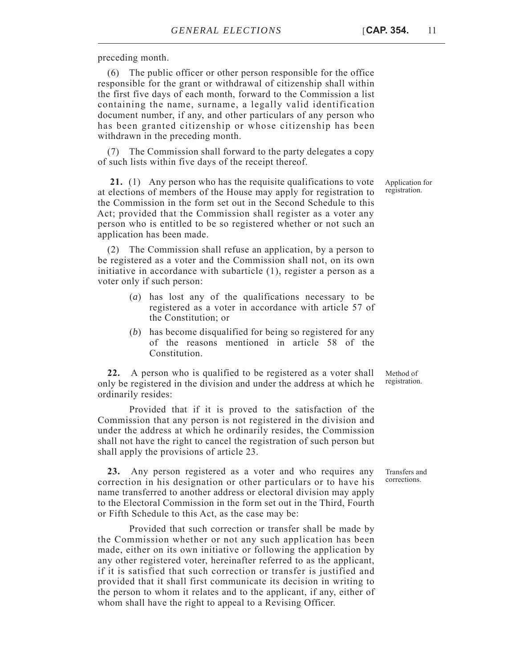preceding month.

(6) The public officer or other person responsible for the office responsible for the grant or withdrawal of citizenship shall within the first five days of each month, forward to the Commission a list containing the name, surname, a legally valid identification document number, if any, and other particulars of any person who has been granted citizenship or whose citizenship has been withdrawn in the preceding month.

(7) The Commission shall forward to the party delegates a copy of such lists within five days of the receipt thereof.

 **21.** (1) Any person who has the requisite qualifications to vote at elections of members of the House may apply for registration to the Commission in the form set out in the Second Schedule to this Act; provided that the Commission shall register as a voter any person who is entitled to be so registered whether or not such an application has been made.

(2) The Commission shall refuse an application, by a person to be registered as a voter and the Commission shall not, on its own initiative in accordance with subarticle (1), register a person as a voter only if such person:

- (*a*) has lost any of the qualifications necessary to be registered as a voter in accordance with article 57 of the Constitution; or
- (*b*) has become disqualified for being so registered for any of the reasons mentioned in article 58 of the Constitution.

**22.** A person who is qualified to be registered as a voter shall only be registered in the division and under the address at which he ordinarily resides:

Provided that if it is proved to the satisfaction of the Commission that any person is not registered in the division and under the address at which he ordinarily resides, the Commission shall not have the right to cancel the registration of such person but shall apply the provisions of article 23.

**23.** Any person registered as a voter and who requires any correction in his designation or other particulars or to have his name transferred to another address or electoral division may apply to the Electoral Commission in the form set out in the Third, Fourth or Fifth Schedule to this Act, as the case may be:

Provided that such correction or transfer shall be made by the Commission whether or not any such application has been made, either on its own initiative or following the application by any other registered voter, hereinafter referred to as the applicant, if it is satisfied that such correction or transfer is justified and provided that it shall first communicate its decision in writing to the person to whom it relates and to the applicant, if any, either of whom shall have the right to appeal to a Revising Officer.

Application for registration.

Method of registration.

Transfers and corrections.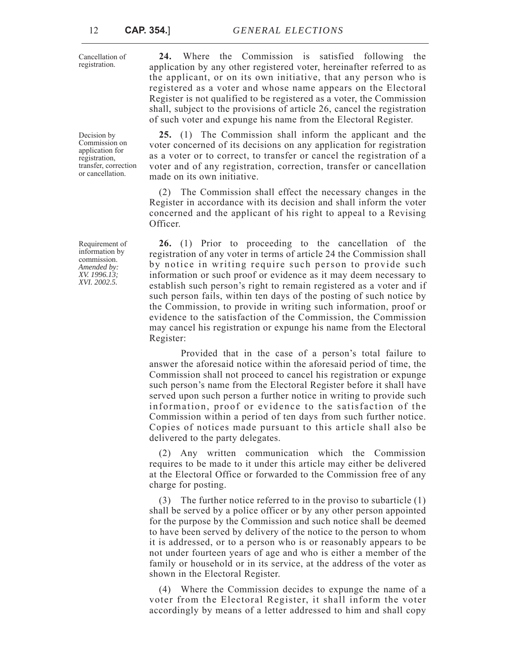Cancellation of registration.

Decision by Commission on application for registration, transfer, correction or cancellation.

Requirement of information by commission. *Amended by: XV. 1996.13; XVI. 2002.5.*

**24.** Where the Commission is satisfied following the application by any other registered voter, hereinafter referred to as the applicant, or on its own initiative, that any person who is registered as a voter and whose name appears on the Electoral Register is not qualified to be registered as a voter, the Commission shall, subject to the provisions of article 26, cancel the registration of such voter and expunge his name from the Electoral Register.

**25.** (1) The Commission shall inform the applicant and the voter concerned of its decisions on any application for registration as a voter or to correct, to transfer or cancel the registration of a voter and of any registration, correction, transfer or cancellation made on its own initiative.

(2) The Commission shall effect the necessary changes in the Register in accordance with its decision and shall inform the voter concerned and the applicant of his right to appeal to a Revising Officer.

**26.** (1) Prior to proceeding to the cancellation of the registration of any voter in terms of article 24 the Commission shall by notice in writing require such person to provide such information or such proof or evidence as it may deem necessary to establish such person's right to remain registered as a voter and if such person fails, within ten days of the posting of such notice by the Commission, to provide in writing such information, proof or evidence to the satisfaction of the Commission, the Commission may cancel his registration or expunge his name from the Electoral Register:

Provided that in the case of a person's total failure to answer the aforesaid notice within the aforesaid period of time, the Commission shall not proceed to cancel his registration or expunge such person's name from the Electoral Register before it shall have served upon such person a further notice in writing to provide such information, proof or evidence to the satisfaction of the Commission within a period of ten days from such further notice. Copies of notices made pursuant to this article shall also be delivered to the party delegates.

(2) Any written communication which the Commission requires to be made to it under this article may either be delivered at the Electoral Office or forwarded to the Commission free of any charge for posting.

(3) The further notice referred to in the proviso to subarticle (1) shall be served by a police officer or by any other person appointed for the purpose by the Commission and such notice shall be deemed to have been served by delivery of the notice to the person to whom it is addressed, or to a person who is or reasonably appears to be not under fourteen years of age and who is either a member of the family or household or in its service, at the address of the voter as shown in the Electoral Register.

(4) Where the Commission decides to expunge the name of a voter from the Electoral Register, it shall inform the voter accordingly by means of a letter addressed to him and shall copy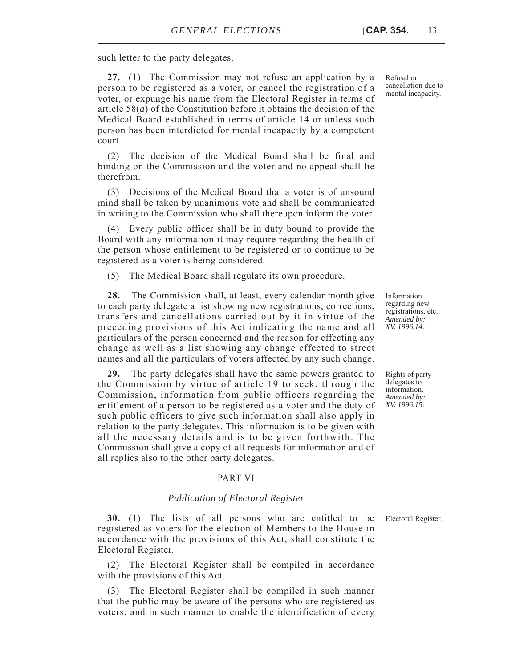such letter to the party delegates.

**27.** (1) The Commission may not refuse an application by a person to be registered as a voter, or cancel the registration of a voter, or expunge his name from the Electoral Register in terms of article 58(*a*) of the Constitution before it obtains the decision of the Medical Board established in terms of article 14 or unless such person has been interdicted for mental incapacity by a competent court.

(2) The decision of the Medical Board shall be final and binding on the Commission and the voter and no appeal shall lie therefrom.

(3) Decisions of the Medical Board that a voter is of unsound mind shall be taken by unanimous vote and shall be communicated in writing to the Commission who shall thereupon inform the voter.

(4) Every public officer shall be in duty bound to provide the Board with any information it may require regarding the health of the person whose entitlement to be registered or to continue to be registered as a voter is being considered.

(5) The Medical Board shall regulate its own procedure.

**28.** The Commission shall, at least, every calendar month give to each party delegate a list showing new registrations, corrections, transfers and cancellations carried out by it in virtue of the preceding provisions of this Act indicating the name and all particulars of the person concerned and the reason for effecting any change as well as a list showing any change effected to street names and all the particulars of voters affected by any such change.

**29.** The party delegates shall have the same powers granted to the Commission by virtue of article 19 to seek, through the Commission, information from public officers regarding the entitlement of a person to be registered as a voter and the duty of such public officers to give such information shall also apply in relation to the party delegates. This information is to be given with all the necessary details and is to be given forthwith. The Commission shall give a copy of all requests for information and of all replies also to the other party delegates.

#### PART VI

#### *Publication of Electoral Register*

**30.** (1) The lists of all persons who are entitled to be Electoral Register. registered as voters for the election of Members to the House in accordance with the provisions of this Act, shall constitute the Electoral Register.

(2) The Electoral Register shall be compiled in accordance with the provisions of this Act.

(3) The Electoral Register shall be compiled in such manner that the public may be aware of the persons who are registered as voters, and in such manner to enable the identification of every

Refusal or cancellation due to mental incapacity.

Information regarding new registrations, etc. *Amended by: XV. 1996.14.*

Rights of party delegates to information. *Amended by: XV. 1996.15.*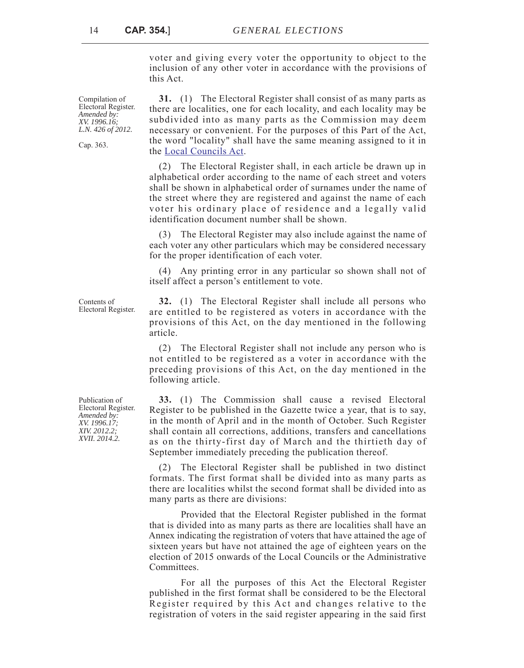voter and giving every voter the opportunity to object to the inclusion of any other voter in accordance with the provisions of this Act.

**31.** (1) The Electoral Register shall consist of as many parts as there are localities, one for each locality, and each locality may be subdivided into as many parts as the Commission may deem necessary or convenient. For the purposes of this Part of the Act, the word "locality" shall have the same meaning assigned to it in the [Local Councils Act](http://www.justiceservices.gov.mt/DownloadDocument.aspx?app=lom&itemid=8833&l=1).

(2) The Electoral Register shall, in each article be drawn up in alphabetical order according to the name of each street and voters shall be shown in alphabetical order of surnames under the name of the street where they are registered and against the name of each voter his ordinary place of residence and a legally valid identification document number shall be shown.

(3) The Electoral Register may also include against the name of each voter any other particulars which may be considered necessary for the proper identification of each voter.

(4) Any printing error in any particular so shown shall not of itself affect a person's entitlement to vote.

**32.** (1) The Electoral Register shall include all persons who are entitled to be registered as voters in accordance with the provisions of this Act, on the day mentioned in the following article.

(2) The Electoral Register shall not include any person who is not entitled to be registered as a voter in accordance with the preceding provisions of this Act, on the day mentioned in the following article.

**33.** (1) The Commission shall cause a revised Electoral Register to be published in the Gazette twice a year, that is to say, in the month of April and in the month of October. Such Register shall contain all corrections, additions, transfers and cancellations as on the thirty-first day of March and the thirtieth day of September immediately preceding the publication thereof.

(2) The Electoral Register shall be published in two distinct formats. The first format shall be divided into as many parts as there are localities whilst the second format shall be divided into as many parts as there are divisions:

Provided that the Electoral Register published in the format that is divided into as many parts as there are localities shall have an Annex indicating the registration of voters that have attained the age of sixteen years but have not attained the age of eighteen years on the election of 2015 onwards of the Local Councils or the Administrative Committees.

For all the purposes of this Act the Electoral Register published in the first format shall be considered to be the Electoral Register required by this Act and changes relative to the registration of voters in the said register appearing in the said first

Compilation of Electoral Register. *Amended by: XV. 1996.16; L.N. 426 of 2012.*

Cap. 363.

Contents of Electoral Register.

Publication of Electoral Register. *Amended by: XV. 1996.17; XIV. 2012.2; XVII. 2014.2.*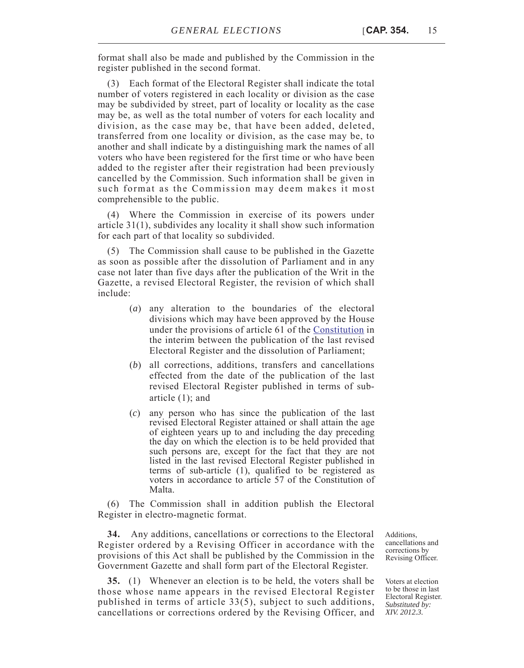format shall also be made and published by the Commission in the register published in the second format.

(3) Each format of the Electoral Register shall indicate the total number of voters registered in each locality or division as the case may be subdivided by street, part of locality or locality as the case may be, as well as the total number of voters for each locality and division, as the case may be, that have been added, deleted, transferred from one locality or division, as the case may be, to another and shall indicate by a distinguishing mark the names of all voters who have been registered for the first time or who have been added to the register after their registration had been previously cancelled by the Commission. Such information shall be given in such format as the Commission may deem makes it most comprehensible to the public.

(4) Where the Commission in exercise of its powers under article 31(1), subdivides any locality it shall show such information for each part of that locality so subdivided.

(5) The Commission shall cause to be published in the Gazette as soon as possible after the dissolution of Parliament and in any case not later than five days after the publication of the Writ in the Gazette, a revised Electoral Register, the revision of which shall include:

- (*a*) any alteration to the boundaries of the electoral divisions which may have been approved by the House under the provisions of article 61 of the [Constitution](http://justiceservices.gov.mt/DownloadDocument.aspx?app=lom&itemid=8566&l=1) in the interim between the publication of the last revised Electoral Register and the dissolution of Parliament;
- (*b*) all corrections, additions, transfers and cancellations effected from the date of the publication of the last revised Electoral Register published in terms of subarticle (1); and
- (*c*) any person who has since the publication of the last revised Electoral Register attained or shall attain the age of eighteen years up to and including the day preceding the day on which the election is to be held provided that such persons are, except for the fact that they are not listed in the last revised Electoral Register published in terms of sub-article (1), qualified to be registered as voters in accordance to article 57 of the Constitution of Malta.

(6) The Commission shall in addition publish the Electoral Register in electro-magnetic format.

**34.** Any additions, cancellations or corrections to the Electoral Register ordered by a Revising Officer in accordance with the provisions of this Act shall be published by the Commission in the Government Gazette and shall form part of the Electoral Register.

**35.** (1) Whenever an election is to be held, the voters shall be those whose name appears in the revised Electoral Register published in terms of article 33(5), subject to such additions, cancellations or corrections ordered by the Revising Officer, and Additions, cancellations and corrections by Revising Officer.

Voters at election to be those in last Electoral Register. *Substituted by: XIV. 2012.3.*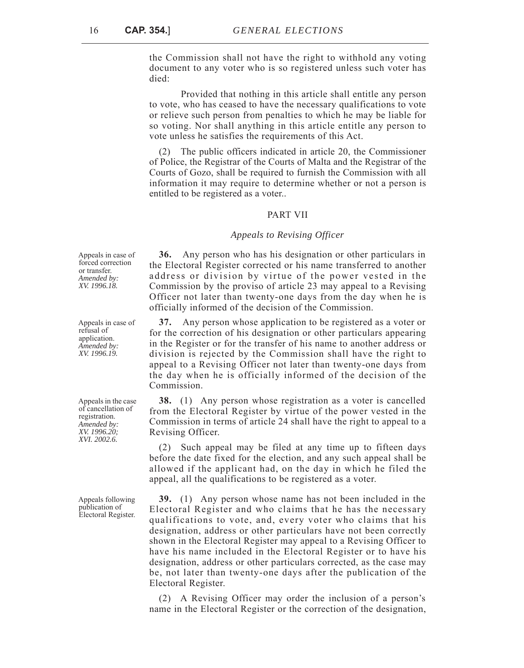the Commission shall not have the right to withhold any voting document to any voter who is so registered unless such voter has died:

Provided that nothing in this article shall entitle any person to vote, who has ceased to have the necessary qualifications to vote or relieve such person from penalties to which he may be liable for so voting. Nor shall anything in this article entitle any person to vote unless he satisfies the requirements of this Act.

(2) The public officers indicated in article 20, the Commissioner of Police, the Registrar of the Courts of Malta and the Registrar of the Courts of Gozo, shall be required to furnish the Commission with all information it may require to determine whether or not a person is entitled to be registered as a voter..

## PART VII

#### *Appeals to Revising Officer*

**36.** Any person who has his designation or other particulars in the Electoral Register corrected or his name transferred to another address or division by virtue of the power vested in the Commission by the proviso of article 23 may appeal to a Revising Officer not later than twenty-one days from the day when he is officially informed of the decision of the Commission.

**37.** Any person whose application to be registered as a voter or for the correction of his designation or other particulars appearing in the Register or for the transfer of his name to another address or division is rejected by the Commission shall have the right to appeal to a Revising Officer not later than twenty-one days from the day when he is officially informed of the decision of the Commission.

**38.** (1) Any person whose registration as a voter is cancelled from the Electoral Register by virtue of the power vested in the Commission in terms of article 24 shall have the right to appeal to a Revising Officer.

(2) Such appeal may be filed at any time up to fifteen days before the date fixed for the election, and any such appeal shall be allowed if the applicant had, on the day in which he filed the appeal, all the qualifications to be registered as a voter.

**39.** (1) Any person whose name has not been included in the Electoral Register and who claims that he has the necessary qualifications to vote, and, every voter who claims that his designation, address or other particulars have not been correctly shown in the Electoral Register may appeal to a Revising Officer to have his name included in the Electoral Register or to have his designation, address or other particulars corrected, as the case may be, not later than twenty-one days after the publication of the Electoral Register.

(2) A Revising Officer may order the inclusion of a person's name in the Electoral Register or the correction of the designation,

Appeals in case of forced correction or transfer. *Amended by: XV. 1996.18.*

Appeals in case of refusal of application. *Amended by: XV. 1996.19.*

Appeals in the case of cancellation of registration. *Amended by: XV. 1996.20; XVI. 2002.6.*

Appeals following publication of Electoral Register.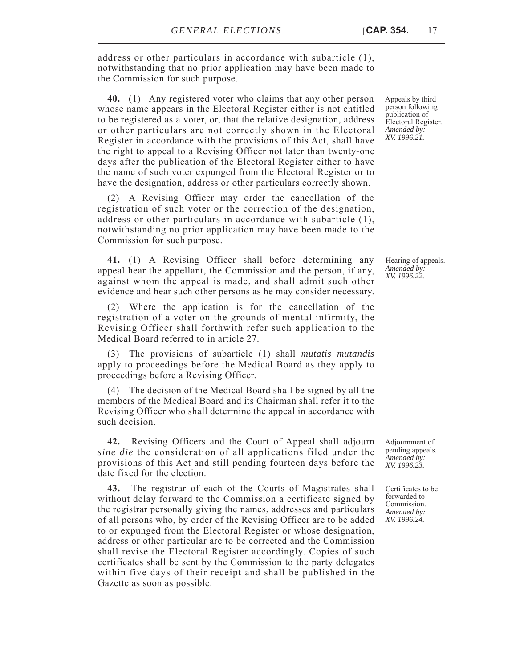address or other particulars in accordance with subarticle (1), notwithstanding that no prior application may have been made to the Commission for such purpose.

**40.** (1) Any registered voter who claims that any other person whose name appears in the Electoral Register either is not entitled to be registered as a voter, or, that the relative designation, address or other particulars are not correctly shown in the Electoral Register in accordance with the provisions of this Act, shall have the right to appeal to a Revising Officer not later than twenty-one days after the publication of the Electoral Register either to have the name of such voter expunged from the Electoral Register or to have the designation, address or other particulars correctly shown.

(2) A Revising Officer may order the cancellation of the registration of such voter or the correction of the designation, address or other particulars in accordance with subarticle (1), notwithstanding no prior application may have been made to the Commission for such purpose.

**41.** (1) A Revising Officer shall before determining any appeal hear the appellant, the Commission and the person, if any, against whom the appeal is made, and shall admit such other evidence and hear such other persons as he may consider necessary.

(2) Where the application is for the cancellation of the registration of a voter on the grounds of mental infirmity, the Revising Officer shall forthwith refer such application to the Medical Board referred to in article 27.

(3) The provisions of subarticle (1) shall *mutatis mutandis* apply to proceedings before the Medical Board as they apply to proceedings before a Revising Officer.

(4) The decision of the Medical Board shall be signed by all the members of the Medical Board and its Chairman shall refer it to the Revising Officer who shall determine the appeal in accordance with such decision.

**42.** Revising Officers and the Court of Appeal shall adjourn *sine die* the consideration of all applications filed under the provisions of this Act and still pending fourteen days before the date fixed for the election.

**43.** The registrar of each of the Courts of Magistrates shall without delay forward to the Commission a certificate signed by the registrar personally giving the names, addresses and particulars of all persons who, by order of the Revising Officer are to be added to or expunged from the Electoral Register or whose designation, address or other particular are to be corrected and the Commission shall revise the Electoral Register accordingly. Copies of such certificates shall be sent by the Commission to the party delegates within five days of their receipt and shall be published in the Gazette as soon as possible.

Appeals by third person following publication of Electoral Register. *Amended by: XV. 1996.21.*

Hearing of appeals. *Amended by: XV. 1996.22.*

Adjournment of pending appeals. *Amended by: XV. 1996.23.*

Certificates to be forwarded to Commission. *Amended by: XV. 1996.24.*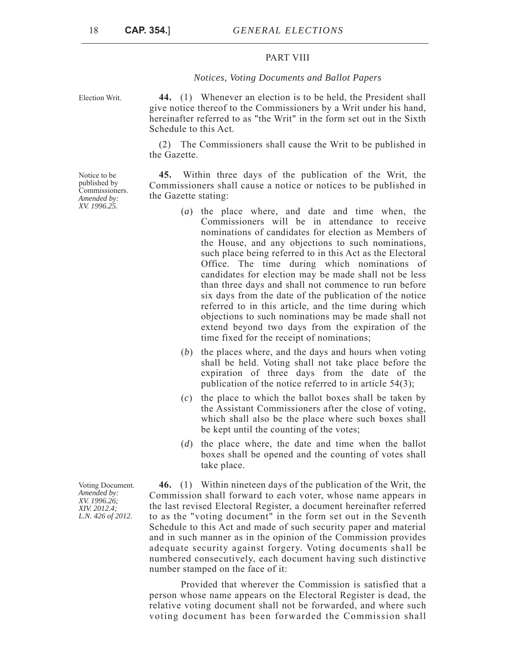# PART VIII

#### *Notices, Voting Documents and Ballot Papers*

Election Writ. **44.** (1) Whenever an election is to be held, the President shall give notice thereof to the Commissioners by a Writ under his hand, hereinafter referred to as "the Writ" in the form set out in the Sixth Schedule to this Act.

> (2) The Commissioners shall cause the Writ to be published in the Gazette.

> **45.** Within three days of the publication of the Writ, the Commissioners shall cause a notice or notices to be published in the Gazette stating:

- (*a*) the place where, and date and time when, the Commissioners will be in attendance to receive nominations of candidates for election as Members of the House, and any objections to such nominations, such place being referred to in this Act as the Electoral Office. The time during which nominations of candidates for election may be made shall not be less than three days and shall not commence to run before six days from the date of the publication of the notice referred to in this article, and the time during which objections to such nominations may be made shall not extend beyond two days from the expiration of the time fixed for the receipt of nominations;
- (*b*) the places where, and the days and hours when voting shall be held. Voting shall not take place before the expiration of three days from the date of the publication of the notice referred to in article 54(3);
- (*c*) the place to which the ballot boxes shall be taken by the Assistant Commissioners after the close of voting, which shall also be the place where such boxes shall be kept until the counting of the votes;
- (*d*) the place where, the date and time when the ballot boxes shall be opened and the counting of votes shall take place.

**46.** (1) Within nineteen days of the publication of the Writ, the Commission shall forward to each voter, whose name appears in the last revised Electoral Register, a document hereinafter referred to as the "voting document" in the form set out in the Seventh Schedule to this Act and made of such security paper and material and in such manner as in the opinion of the Commission provides adequate security against forgery. Voting documents shall be numbered consecutively, each document having such distinctive number stamped on the face of it:

Provided that wherever the Commission is satisfied that a person whose name appears on the Electoral Register is dead, the relative voting document shall not be forwarded, and where such voting document has been forwarded the Commission shall

Notice to be published by Commissioners. *Amended by: XV. 1996.25.*

Voting Document. *Amended by: XV. 1996.26; XIV. 2012.4; L.N. 426 of 2012.*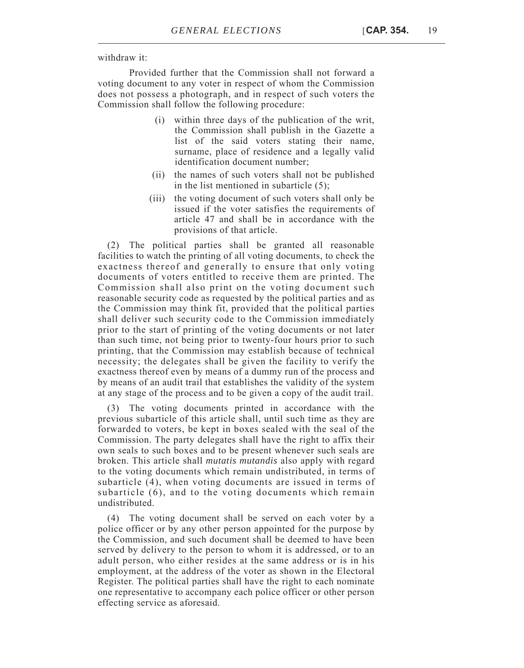Provided further that the Commission shall not forward a voting document to any voter in respect of whom the Commission does not possess a photograph, and in respect of such voters the Commission shall follow the following procedure:

- (i) within three days of the publication of the writ, the Commission shall publish in the Gazette a list of the said voters stating their name, surname, place of residence and a legally valid identification document number;
- (ii) the names of such voters shall not be published in the list mentioned in subarticle (5);
- (iii) the voting document of such voters shall only be issued if the voter satisfies the requirements of article 47 and shall be in accordance with the provisions of that article.

(2) The political parties shall be granted all reasonable facilities to watch the printing of all voting documents, to check the exactness thereof and generally to ensure that only voting documents of voters entitled to receive them are printed. The Commission shall also print on the voting document such reasonable security code as requested by the political parties and as the Commission may think fit, provided that the political parties shall deliver such security code to the Commission immediately prior to the start of printing of the voting documents or not later than such time, not being prior to twenty-four hours prior to such printing, that the Commission may establish because of technical necessity; the delegates shall be given the facility to verify the exactness thereof even by means of a dummy run of the process and by means of an audit trail that establishes the validity of the system at any stage of the process and to be given a copy of the audit trail.

(3) The voting documents printed in accordance with the previous subarticle of this article shall, until such time as they are forwarded to voters, be kept in boxes sealed with the seal of the Commission. The party delegates shall have the right to affix their own seals to such boxes and to be present whenever such seals are broken. This article shall *mutatis mutandis* also apply with regard to the voting documents which remain undistributed, in terms of subarticle (4), when voting documents are issued in terms of subarticle (6), and to the voting documents which remain undistributed.

(4) The voting document shall be served on each voter by a police officer or by any other person appointed for the purpose by the Commission, and such document shall be deemed to have been served by delivery to the person to whom it is addressed, or to an adult person, who either resides at the same address or is in his employment, at the address of the voter as shown in the Electoral Register. The political parties shall have the right to each nominate one representative to accompany each police officer or other person effecting service as aforesaid.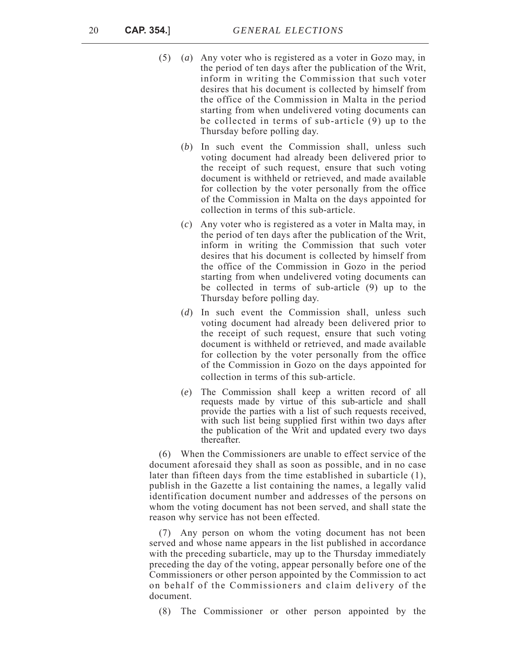- (5) (*a*) Any voter who is registered as a voter in Gozo may, in the period of ten days after the publication of the Writ, inform in writing the Commission that such voter desires that his document is collected by himself from the office of the Commission in Malta in the period starting from when undelivered voting documents can be collected in terms of sub-article (9) up to the Thursday before polling day.
	- (*b*) In such event the Commission shall, unless such voting document had already been delivered prior to the receipt of such request, ensure that such voting document is withheld or retrieved, and made available for collection by the voter personally from the office of the Commission in Malta on the days appointed for collection in terms of this sub-article.
	- (*c*) Any voter who is registered as a voter in Malta may, in the period of ten days after the publication of the Writ, inform in writing the Commission that such voter desires that his document is collected by himself from the office of the Commission in Gozo in the period starting from when undelivered voting documents can be collected in terms of sub-article (9) up to the Thursday before polling day.
	- (*d*) In such event the Commission shall, unless such voting document had already been delivered prior to the receipt of such request, ensure that such voting document is withheld or retrieved, and made available for collection by the voter personally from the office of the Commission in Gozo on the days appointed for collection in terms of this sub-article.
	- (*e*) The Commission shall keep a written record of all requests made by virtue of this sub-article and shall provide the parties with a list of such requests received, with such list being supplied first within two days after the publication of the Writ and updated every two days thereafter

(6) When the Commissioners are unable to effect service of the document aforesaid they shall as soon as possible, and in no case later than fifteen days from the time established in subarticle (1), publish in the Gazette a list containing the names, a legally valid identification document number and addresses of the persons on whom the voting document has not been served, and shall state the reason why service has not been effected.

(7) Any person on whom the voting document has not been served and whose name appears in the list published in accordance with the preceding subarticle, may up to the Thursday immediately preceding the day of the voting, appear personally before one of the Commissioners or other person appointed by the Commission to act on behalf of the Commissioners and claim delivery of the document.

(8) The Commissioner or other person appointed by the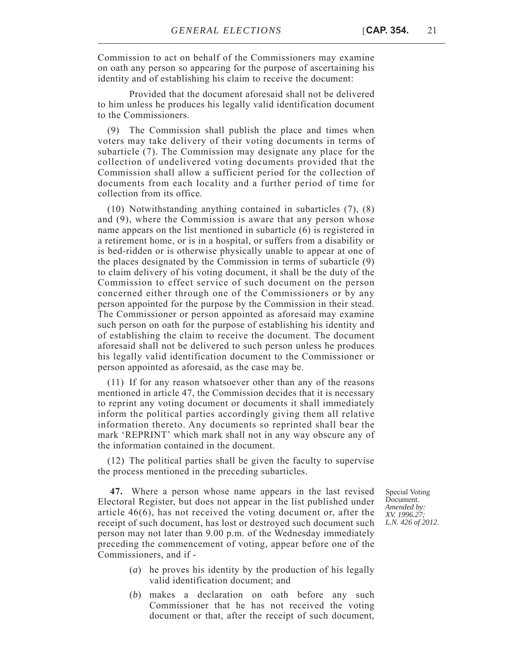Commission to act on behalf of the Commissioners may examine on oath any person so appearing for the purpose of ascertaining his identity and of establishing his claim to receive the document:

Provided that the document aforesaid shall not be delivered to him unless he produces his legally valid identification document to the Commissioners.

(9) The Commission shall publish the place and times when voters may take delivery of their voting documents in terms of subarticle (7). The Commission may designate any place for the collection of undelivered voting documents provided that the Commission shall allow a sufficient period for the collection of documents from each locality and a further period of time for collection from its office.

(10) Notwithstanding anything contained in subarticles (7), (8) and (9), where the Commission is aware that any person whose name appears on the list mentioned in subarticle (6) is registered in a retirement home, or is in a hospital, or suffers from a disability or is bed-ridden or is otherwise physically unable to appear at one of the places designated by the Commission in terms of subarticle (9) to claim delivery of his voting document, it shall be the duty of the Commission to effect service of such document on the person concerned either through one of the Commissioners or by any person appointed for the purpose by the Commission in their stead. The Commissioner or person appointed as aforesaid may examine such person on oath for the purpose of establishing his identity and of establishing the claim to receive the document. The document aforesaid shall not be delivered to such person unless he produces his legally valid identification document to the Commissioner or person appointed as aforesaid, as the case may be.

(11) If for any reason whatsoever other than any of the reasons mentioned in article 47, the Commission decides that it is necessary to reprint any voting document or documents it shall immediately inform the political parties accordingly giving them all relative information thereto. Any documents so reprinted shall bear the mark 'REPRINT' which mark shall not in any way obscure any of the information contained in the document.

(12) The political parties shall be given the faculty to supervise the process mentioned in the preceding subarticles.

 **47.** Where a person whose name appears in the last revised Electoral Register, but does not appear in the list published under article 46(6), has not received the voting document or, after the receipt of such document, has lost or destroyed such document such person may not later than 9.00 p.m. of the Wednesday immediately preceding the commencement of voting, appear before one of the Commissioners, and if -

Special Voting Document. *Amended by: XV. 1996.27; L.N. 426 of 2012.*

- (*a*) he proves his identity by the production of his legally valid identification document; and
- (*b*) makes a declaration on oath before any such Commissioner that he has not received the voting document or that, after the receipt of such document,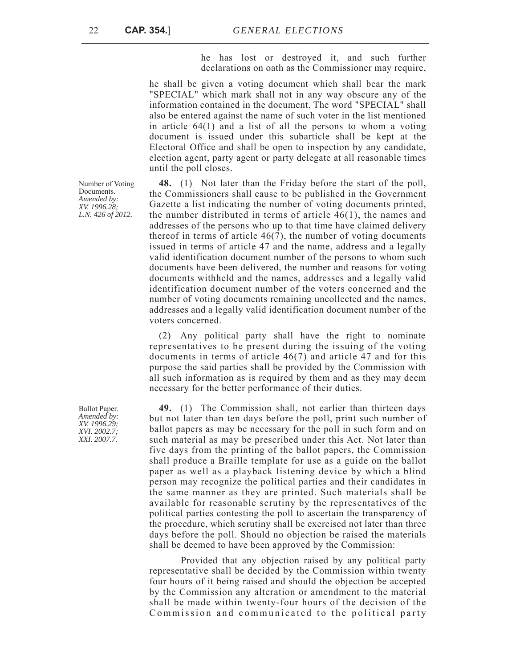he has lost or destroyed it, and such further declarations on oath as the Commissioner may require,

he shall be given a voting document which shall bear the mark "SPECIAL" which mark shall not in any way obscure any of the information contained in the document. The word "SPECIAL" shall also be entered against the name of such voter in the list mentioned in article 64(1) and a list of all the persons to whom a voting document is issued under this subarticle shall be kept at the Electoral Office and shall be open to inspection by any candidate, election agent, party agent or party delegate at all reasonable times until the poll closes.

**48.** (1) Not later than the Friday before the start of the poll, the Commissioners shall cause to be published in the Government Gazette a list indicating the number of voting documents printed, the number distributed in terms of article 46(1), the names and addresses of the persons who up to that time have claimed delivery thereof in terms of article 46(7), the number of voting documents issued in terms of article 47 and the name, address and a legally valid identification document number of the persons to whom such documents have been delivered, the number and reasons for voting documents withheld and the names, addresses and a legally valid identification document number of the voters concerned and the number of voting documents remaining uncollected and the names, addresses and a legally valid identification document number of the voters concerned.

(2) Any political party shall have the right to nominate representatives to be present during the issuing of the voting documents in terms of article 46(7) and article 47 and for this purpose the said parties shall be provided by the Commission with all such information as is required by them and as they may deem necessary for the better performance of their duties.

**49.** (1) The Commission shall, not earlier than thirteen days but not later than ten days before the poll, print such number of ballot papers as may be necessary for the poll in such form and on such material as may be prescribed under this Act. Not later than five days from the printing of the ballot papers, the Commission shall produce a Braille template for use as a guide on the ballot paper as well as a playback listening device by which a blind person may recognize the political parties and their candidates in the same manner as they are printed. Such materials shall be available for reasonable scrutiny by the representatives of the political parties contesting the poll to ascertain the transparency of the procedure, which scrutiny shall be exercised not later than three days before the poll. Should no objection be raised the materials shall be deemed to have been approved by the Commission:

Provided that any objection raised by any political party representative shall be decided by the Commission within twenty four hours of it being raised and should the objection be accepted by the Commission any alteration or amendment to the material shall be made within twenty-four hours of the decision of the Commission and communicated to the political party

Number of Voting Documents. *Amended by: XV. 1996.28; L.N. 426 of 2012.*

Ballot Paper. *Amended by: XV. 1996.29; XVI. 2002.7; XXI. 2007.7.*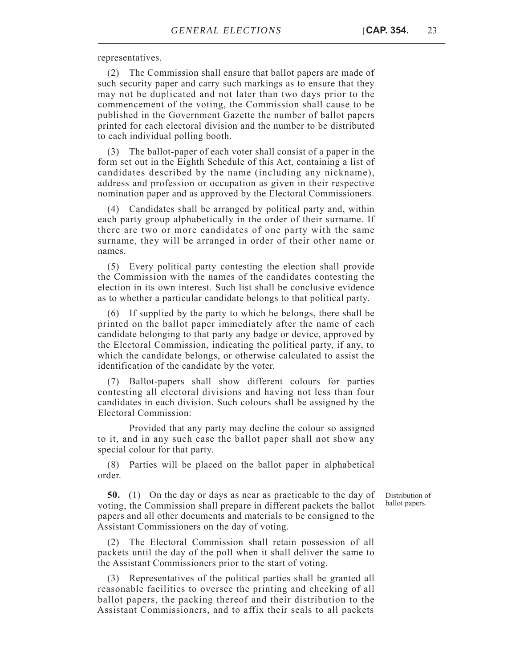representatives.

(2) The Commission shall ensure that ballot papers are made of such security paper and carry such markings as to ensure that they may not be duplicated and not later than two days prior to the commencement of the voting, the Commission shall cause to be published in the Government Gazette the number of ballot papers printed for each electoral division and the number to be distributed to each individual polling booth.

(3) The ballot-paper of each voter shall consist of a paper in the form set out in the Eighth Schedule of this Act, containing a list of candidates described by the name (including any nickname), address and profession or occupation as given in their respective nomination paper and as approved by the Electoral Commissioners.

(4) Candidates shall be arranged by political party and, within each party group alphabetically in the order of their surname. If there are two or more candidates of one party with the same surname, they will be arranged in order of their other name or names.

(5) Every political party contesting the election shall provide the Commission with the names of the candidates contesting the election in its own interest. Such list shall be conclusive evidence as to whether a particular candidate belongs to that political party.

(6) If supplied by the party to which he belongs, there shall be printed on the ballot paper immediately after the name of each candidate belonging to that party any badge or device, approved by the Electoral Commission, indicating the political party, if any, to which the candidate belongs, or otherwise calculated to assist the identification of the candidate by the voter.

(7) Ballot-papers shall show different colours for parties contesting all electoral divisions and having not less than four candidates in each division. Such colours shall be assigned by the Electoral Commission:

Provided that any party may decline the colour so assigned to it, and in any such case the ballot paper shall not show any special colour for that party.

(8) Parties will be placed on the ballot paper in alphabetical order.

> Distribution of ballot papers.

**50.** (1) On the day or days as near as practicable to the day of voting, the Commission shall prepare in different packets the ballot papers and all other documents and materials to be consigned to the Assistant Commissioners on the day of voting.

(2) The Electoral Commission shall retain possession of all packets until the day of the poll when it shall deliver the same to the Assistant Commissioners prior to the start of voting.

(3) Representatives of the political parties shall be granted all reasonable facilities to oversee the printing and checking of all ballot papers, the packing thereof and their distribution to the Assistant Commissioners, and to affix their seals to all packets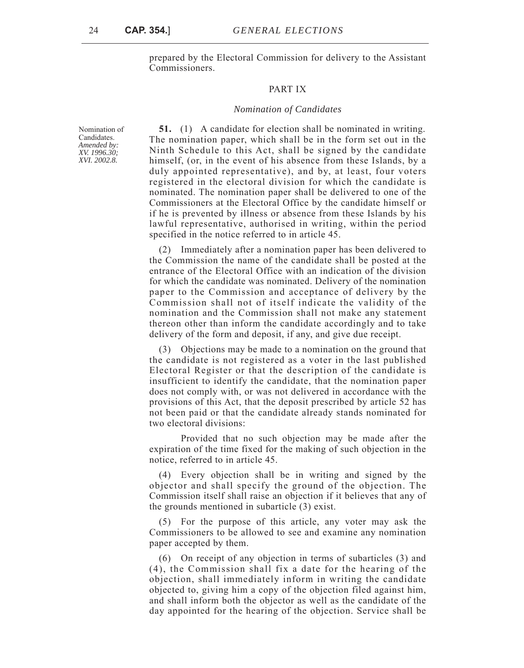prepared by the Electoral Commission for delivery to the Assistant Commissioners.

#### PART IX

#### *Nomination of Candidates*

**51.** (1) A candidate for election shall be nominated in writing. The nomination paper, which shall be in the form set out in the Ninth Schedule to this Act, shall be signed by the candidate himself, (or, in the event of his absence from these Islands, by a duly appointed representative), and by, at least, four voters registered in the electoral division for which the candidate is nominated. The nomination paper shall be delivered to one of the Commissioners at the Electoral Office by the candidate himself or if he is prevented by illness or absence from these Islands by his lawful representative, authorised in writing, within the period specified in the notice referred to in article 45.

(2) Immediately after a nomination paper has been delivered to the Commission the name of the candidate shall be posted at the entrance of the Electoral Office with an indication of the division for which the candidate was nominated. Delivery of the nomination paper to the Commission and acceptance of delivery by the Commission shall not of itself indicate the validity of the nomination and the Commission shall not make any statement thereon other than inform the candidate accordingly and to take delivery of the form and deposit, if any, and give due receipt.

(3) Objections may be made to a nomination on the ground that the candidate is not registered as a voter in the last published Electoral Register or that the description of the candidate is insufficient to identify the candidate, that the nomination paper does not comply with, or was not delivered in accordance with the provisions of this Act, that the deposit prescribed by article 52 has not been paid or that the candidate already stands nominated for two electoral divisions:

Provided that no such objection may be made after the expiration of the time fixed for the making of such objection in the notice, referred to in article 45.

(4) Every objection shall be in writing and signed by the objector and shall specify the ground of the objection. The Commission itself shall raise an objection if it believes that any of the grounds mentioned in subarticle (3) exist.

(5) For the purpose of this article, any voter may ask the Commissioners to be allowed to see and examine any nomination paper accepted by them.

(6) On receipt of any objection in terms of subarticles (3) and (4), the Commission shall fix a date for the hearing of the objection, shall immediately inform in writing the candidate objected to, giving him a copy of the objection filed against him, and shall inform both the objector as well as the candidate of the day appointed for the hearing of the objection. Service shall be

Nomination of Candidates. *Amended by: XV. 1996.30; XVI. 2002.8.*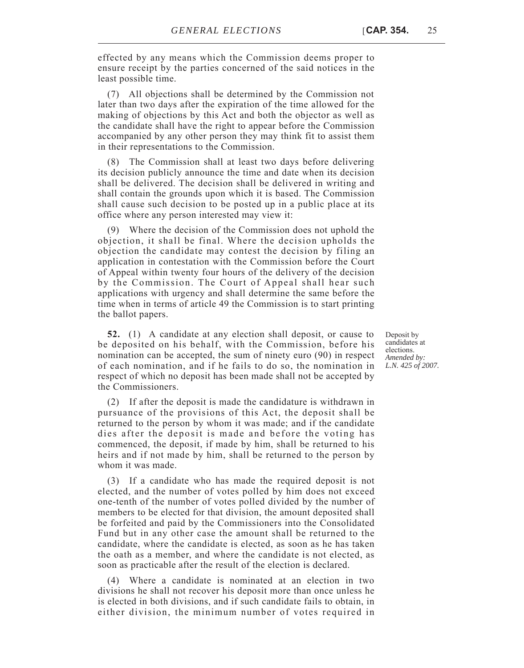effected by any means which the Commission deems proper to ensure receipt by the parties concerned of the said notices in the least possible time.

(7) All objections shall be determined by the Commission not later than two days after the expiration of the time allowed for the making of objections by this Act and both the objector as well as the candidate shall have the right to appear before the Commission accompanied by any other person they may think fit to assist them in their representations to the Commission.

(8) The Commission shall at least two days before delivering its decision publicly announce the time and date when its decision shall be delivered. The decision shall be delivered in writing and shall contain the grounds upon which it is based. The Commission shall cause such decision to be posted up in a public place at its office where any person interested may view it:

(9) Where the decision of the Commission does not uphold the objection, it shall be final. Where the decision upholds the objection the candidate may contest the decision by filing an application in contestation with the Commission before the Court of Appeal within twenty four hours of the delivery of the decision by the Commission. The Court of Appeal shall hear such applications with urgency and shall determine the same before the time when in terms of article 49 the Commission is to start printing the ballot papers.

**52.** (1) A candidate at any election shall deposit, or cause to be deposited on his behalf, with the Commission, before his nomination can be accepted, the sum of ninety euro (90) in respect of each nomination, and if he fails to do so, the nomination in respect of which no deposit has been made shall not be accepted by the Commissioners.

(2) If after the deposit is made the candidature is withdrawn in pursuance of the provisions of this Act, the deposit shall be returned to the person by whom it was made; and if the candidate dies after the deposit is made and before the voting has commenced, the deposit, if made by him, shall be returned to his heirs and if not made by him, shall be returned to the person by whom it was made.

(3) If a candidate who has made the required deposit is not elected, and the number of votes polled by him does not exceed one-tenth of the number of votes polled divided by the number of members to be elected for that division, the amount deposited shall be forfeited and paid by the Commissioners into the Consolidated Fund but in any other case the amount shall be returned to the candidate, where the candidate is elected, as soon as he has taken the oath as a member, and where the candidate is not elected, as soon as practicable after the result of the election is declared.

(4) Where a candidate is nominated at an election in two divisions he shall not recover his deposit more than once unless he is elected in both divisions, and if such candidate fails to obtain, in either division, the minimum number of votes required in Deposit by candidates at elections. *Amended by: L.N. 425 of 2007.*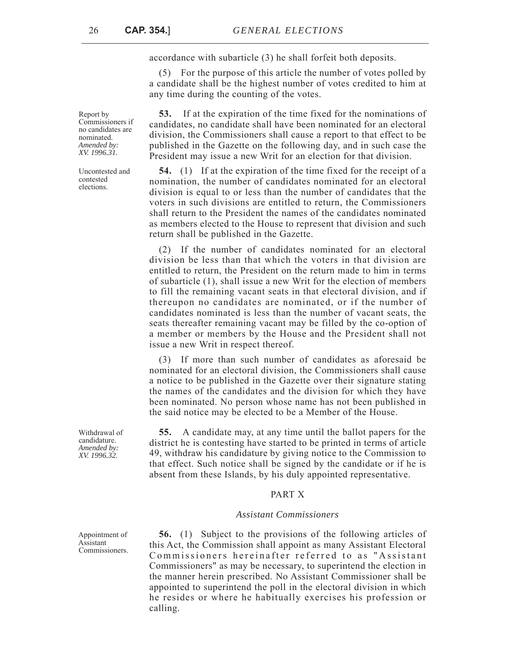accordance with subarticle (3) he shall forfeit both deposits.

(5) For the purpose of this article the number of votes polled by a candidate shall be the highest number of votes credited to him at any time during the counting of the votes.

**53.** If at the expiration of the time fixed for the nominations of candidates, no candidate shall have been nominated for an electoral division, the Commissioners shall cause a report to that effect to be published in the Gazette on the following day, and in such case the President may issue a new Writ for an election for that division.

**54.** (1) If at the expiration of the time fixed for the receipt of a nomination, the number of candidates nominated for an electoral division is equal to or less than the number of candidates that the voters in such divisions are entitled to return, the Commissioners shall return to the President the names of the candidates nominated as members elected to the House to represent that division and such return shall be published in the Gazette.

(2) If the number of candidates nominated for an electoral division be less than that which the voters in that division are entitled to return, the President on the return made to him in terms of subarticle (1), shall issue a new Writ for the election of members to fill the remaining vacant seats in that electoral division, and if thereupon no candidates are nominated, or if the number of candidates nominated is less than the number of vacant seats, the seats thereafter remaining vacant may be filled by the co-option of a member or members by the House and the President shall not issue a new Writ in respect thereof.

(3) If more than such number of candidates as aforesaid be nominated for an electoral division, the Commissioners shall cause a notice to be published in the Gazette over their signature stating the names of the candidates and the division for which they have been nominated. No person whose name has not been published in the said notice may be elected to be a Member of the House.

**55.** A candidate may, at any time until the ballot papers for the district he is contesting have started to be printed in terms of article 49, withdraw his candidature by giving notice to the Commission to that effect. Such notice shall be signed by the candidate or if he is absent from these Islands, by his duly appointed representative.

# PART X

#### *Assistant Commissioners*

**56.** (1) Subject to the provisions of the following articles of this Act, the Commission shall appoint as many Assistant Electoral Commissioners hereinafter referred to as "Assistant Commissioners" as may be necessary, to superintend the election in the manner herein prescribed. No Assistant Commissioner shall be appointed to superintend the poll in the electoral division in which he resides or where he habitually exercises his profession or calling.

Report by Commissioners if no candidates are nominated. *Amended by: XV. 1996.31.*

Uncontested and contested elections.

Withdrawal of candidature. *Amended by: XV. 1996.32.*

Appointment of Assistant Commissioners.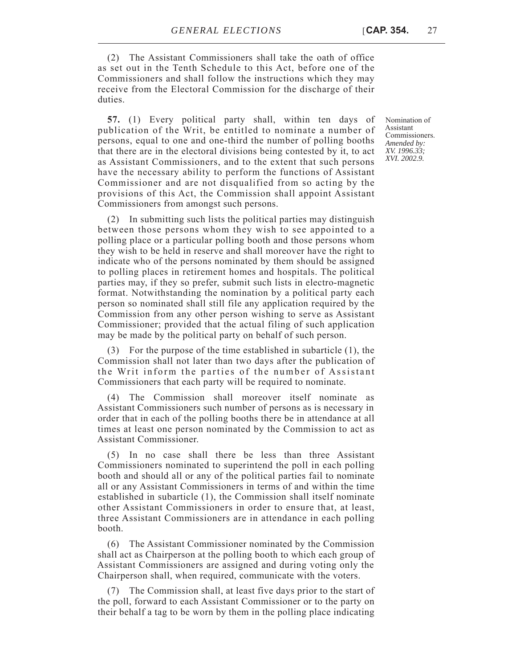(2) The Assistant Commissioners shall take the oath of office as set out in the Tenth Schedule to this Act, before one of the Commissioners and shall follow the instructions which they may receive from the Electoral Commission for the discharge of their duties.

**57.** (1) Every political party shall, within ten days of publication of the Writ, be entitled to nominate a number of persons, equal to one and one-third the number of polling booths that there are in the electoral divisions being contested by it, to act as Assistant Commissioners, and to the extent that such persons have the necessary ability to perform the functions of Assistant Commissioner and are not disqualified from so acting by the provisions of this Act, the Commission shall appoint Assistant Commissioners from amongst such persons.

(2) In submitting such lists the political parties may distinguish between those persons whom they wish to see appointed to a polling place or a particular polling booth and those persons whom they wish to be held in reserve and shall moreover have the right to indicate who of the persons nominated by them should be assigned to polling places in retirement homes and hospitals. The political parties may, if they so prefer, submit such lists in electro-magnetic format. Notwithstanding the nomination by a political party each person so nominated shall still file any application required by the Commission from any other person wishing to serve as Assistant Commissioner; provided that the actual filing of such application may be made by the political party on behalf of such person.

(3) For the purpose of the time established in subarticle (1), the Commission shall not later than two days after the publication of the Writ inform the parties of the number of Assistant Commissioners that each party will be required to nominate.

(4) The Commission shall moreover itself nominate as Assistant Commissioners such number of persons as is necessary in order that in each of the polling booths there be in attendance at all times at least one person nominated by the Commission to act as Assistant Commissioner.

(5) In no case shall there be less than three Assistant Commissioners nominated to superintend the poll in each polling booth and should all or any of the political parties fail to nominate all or any Assistant Commissioners in terms of and within the time established in subarticle (1), the Commission shall itself nominate other Assistant Commissioners in order to ensure that, at least, three Assistant Commissioners are in attendance in each polling booth.

(6) The Assistant Commissioner nominated by the Commission shall act as Chairperson at the polling booth to which each group of Assistant Commissioners are assigned and during voting only the Chairperson shall, when required, communicate with the voters.

(7) The Commission shall, at least five days prior to the start of the poll, forward to each Assistant Commissioner or to the party on their behalf a tag to be worn by them in the polling place indicating

Nomination of Assistant Commissioners. *Amended by: XV. 1996.33; XVI. 2002.9.*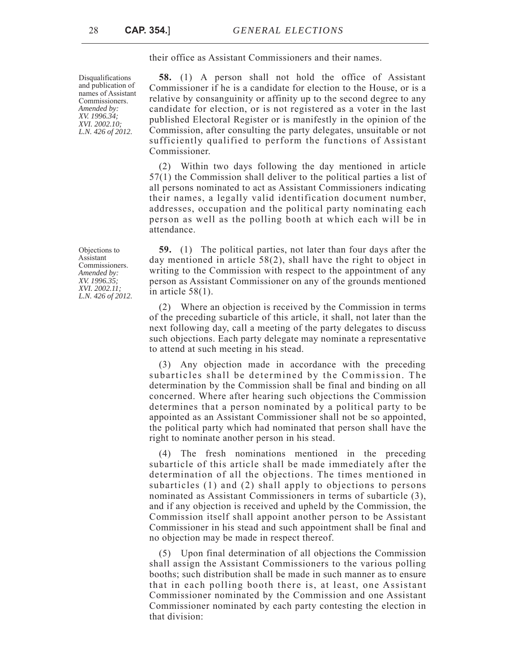Disqualifications and publication of names of Assistant Commissioners. *Amended by: XV. 1996.34; XVI. 2002.10; L.N. 426 of 2012.*

their office as Assistant Commissioners and their names.

**58.** (1) A person shall not hold the office of Assistant Commissioner if he is a candidate for election to the House, or is a relative by consanguinity or affinity up to the second degree to any candidate for election, or is not registered as a voter in the last published Electoral Register or is manifestly in the opinion of the Commission, after consulting the party delegates, unsuitable or not sufficiently qualified to perform the functions of Assistant Commissioner.

(2) Within two days following the day mentioned in article 57(1) the Commission shall deliver to the political parties a list of all persons nominated to act as Assistant Commissioners indicating their names, a legally valid identification document number, addresses, occupation and the political party nominating each person as well as the polling booth at which each will be in attendance.

**59.** (1) The political parties, not later than four days after the day mentioned in article 58(2), shall have the right to object in writing to the Commission with respect to the appointment of any person as Assistant Commissioner on any of the grounds mentioned in article 58(1).

(2) Where an objection is received by the Commission in terms of the preceding subarticle of this article, it shall, not later than the next following day, call a meeting of the party delegates to discuss such objections. Each party delegate may nominate a representative to attend at such meeting in his stead.

(3) Any objection made in accordance with the preceding subarticles shall be determined by the Commission. The determination by the Commission shall be final and binding on all concerned. Where after hearing such objections the Commission determines that a person nominated by a political party to be appointed as an Assistant Commissioner shall not be so appointed, the political party which had nominated that person shall have the right to nominate another person in his stead.

(4) The fresh nominations mentioned in the preceding subarticle of this article shall be made immediately after the determination of all the objections. The times mentioned in subarticles (1) and (2) shall apply to objections to persons nominated as Assistant Commissioners in terms of subarticle (3), and if any objection is received and upheld by the Commission, the Commission itself shall appoint another person to be Assistant Commissioner in his stead and such appointment shall be final and no objection may be made in respect thereof.

(5) Upon final determination of all objections the Commission shall assign the Assistant Commissioners to the various polling booths; such distribution shall be made in such manner as to ensure that in each polling booth there is, at least, one Assistant Commissioner nominated by the Commission and one Assistant Commissioner nominated by each party contesting the election in that division:

Objections to Assistant Commissioners. *Amended by: XV. 1996.35; XVI. 2002.11; L.N. 426 of 2012.*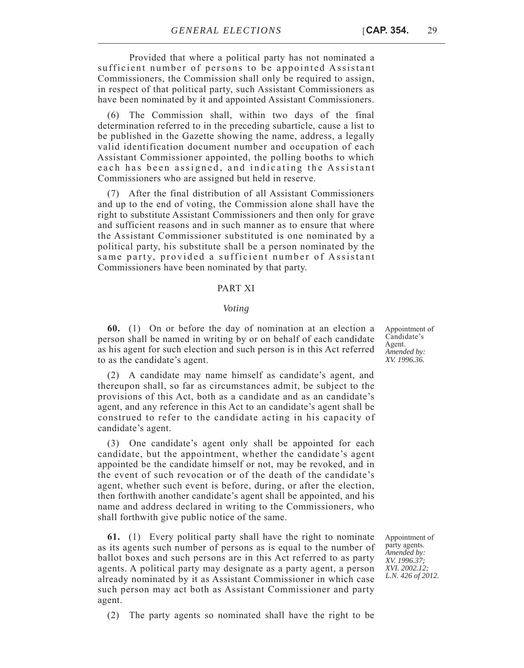Provided that where a political party has not nominated a sufficient number of persons to be appointed Assistant Commissioners, the Commission shall only be required to assign, in respect of that political party, such Assistant Commissioners as have been nominated by it and appointed Assistant Commissioners.

(6) The Commission shall, within two days of the final determination referred to in the preceding subarticle, cause a list to be published in the Gazette showing the name, address, a legally valid identification document number and occupation of each Assistant Commissioner appointed, the polling booths to which each has been assigned, and indicating the Assistant Commissioners who are assigned but held in reserve.

(7) After the final distribution of all Assistant Commissioners and up to the end of voting, the Commission alone shall have the right to substitute Assistant Commissioners and then only for grave and sufficient reasons and in such manner as to ensure that where the Assistant Commissioner substituted is one nominated by a political party, his substitute shall be a person nominated by the same party, provided a sufficient number of Assistant Commissioners have been nominated by that party.

## PART XI

#### *Voting*

**60.** (1) On or before the day of nomination at an election a person shall be named in writing by or on behalf of each candidate as his agent for such election and such person is in this Act referred to as the candidate's agent.

(2) A candidate may name himself as candidate's agent, and thereupon shall, so far as circumstances admit, be subject to the provisions of this Act, both as a candidate and as an candidate's agent, and any reference in this Act to an candidate's agent shall be construed to refer to the candidate acting in his capacity of candidate's agent.

(3) One candidate's agent only shall be appointed for each candidate, but the appointment, whether the candidate's agent appointed be the candidate himself or not, may be revoked, and in the event of such revocation or of the death of the candidate's agent, whether such event is before, during, or after the election, then forthwith another candidate's agent shall be appointed, and his name and address declared in writing to the Commissioners, who shall forthwith give public notice of the same.

**61.** (1) Every political party shall have the right to nominate as its agents such number of persons as is equal to the number of ballot boxes and such persons are in this Act referred to as party agents. A political party may designate as a party agent, a person already nominated by it as Assistant Commissioner in which case such person may act both as Assistant Commissioner and party agent.

(2) The party agents so nominated shall have the right to be

Appointment of Candidate's Agent. *Amended by: XV. 1996.36.*

Appointment of party agents. *Amended by: XV. 1996.37; XVI. 2002.12; L.N. 426 of 2012.*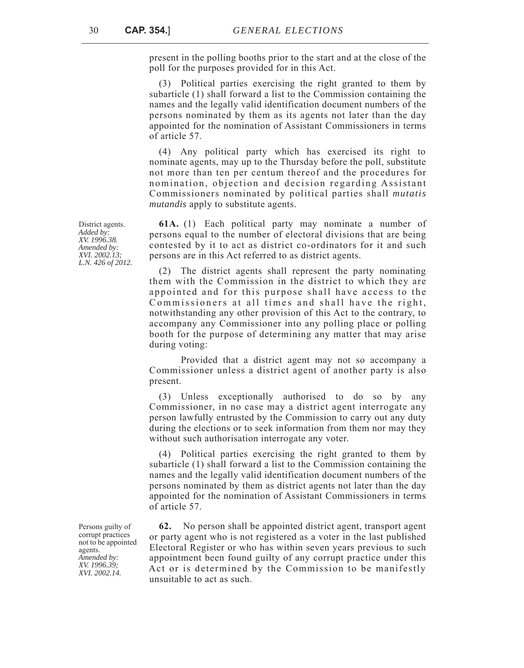present in the polling booths prior to the start and at the close of the poll for the purposes provided for in this Act.

(3) Political parties exercising the right granted to them by subarticle (1) shall forward a list to the Commission containing the names and the legally valid identification document numbers of the persons nominated by them as its agents not later than the day appointed for the nomination of Assistant Commissioners in terms of article 57.

(4) Any political party which has exercised its right to nominate agents, may up to the Thursday before the poll, substitute not more than ten per centum thereof and the procedures for nomination, objection and decision regarding Assistant Commissioners nominated by political parties shall *mutatis mutandis* apply to substitute agents.

**61A.** (1) Each political party may nominate a number of persons equal to the number of electoral divisions that are being contested by it to act as district co-ordinators for it and such persons are in this Act referred to as district agents.

(2) The district agents shall represent the party nominating them with the Commission in the district to which they are appointed and for this purpose shall have access to the Commissioners at all times and shall have the right, notwithstanding any other provision of this Act to the contrary, to accompany any Commissioner into any polling place or polling booth for the purpose of determining any matter that may arise during voting:

Provided that a district agent may not so accompany a Commissioner unless a district agent of another party is also present.

(3) Unless exceptionally authorised to do so by any Commissioner, in no case may a district agent interrogate any person lawfully entrusted by the Commission to carry out any duty during the elections or to seek information from them nor may they without such authorisation interrogate any voter.

(4) Political parties exercising the right granted to them by subarticle (1) shall forward a list to the Commission containing the names and the legally valid identification document numbers of the persons nominated by them as district agents not later than the day appointed for the nomination of Assistant Commissioners in terms of article 57.

**62.** No person shall be appointed district agent, transport agent or party agent who is not registered as a voter in the last published Electoral Register or who has within seven years previous to such appointment been found guilty of any corrupt practice under this Act or is determined by the Commission to be manifestly unsuitable to act as such.

District agents. *Added by: XV. 1996.38. Amended by: XVI. 2002.13; L.N. 426 of 2012.*

Persons guilty of corrupt practices not to be appointed agents. *Amended by: XV. 1996.39; XVI. 2002.14.*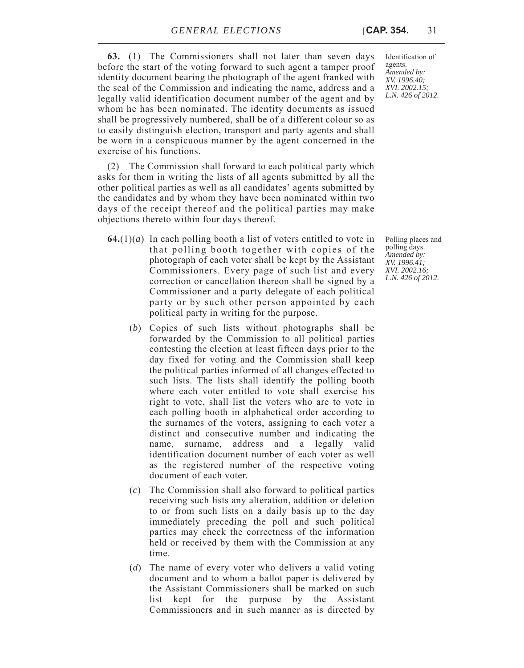**63.** (1) The Commissioners shall not later than seven days before the start of the voting forward to such agent a tamper proof identity document bearing the photograph of the agent franked with the seal of the Commission and indicating the name, address and a legally valid identification document number of the agent and by whom he has been nominated. The identity documents as issued shall be progressively numbered, shall be of a different colour so as to easily distinguish election, transport and party agents and shall be worn in a conspicuous manner by the agent concerned in the exercise of his functions.

(2) The Commission shall forward to each political party which asks for them in writing the lists of all agents submitted by all the other political parties as well as all candidates' agents submitted by the candidates and by whom they have been nominated within two days of the receipt thereof and the political parties may make objections thereto within four days thereof.

- **64.**(1)(*a*) In each polling booth a list of voters entitled to vote in that polling booth together with copies of the photograph of each voter shall be kept by the Assistant Commissioners. Every page of such list and every correction or cancellation thereon shall be signed by a Commissioner and a party delegate of each political party or by such other person appointed by each political party in writing for the purpose.
	- (*b*) Copies of such lists without photographs shall be forwarded by the Commission to all political parties contesting the election at least fifteen days prior to the day fixed for voting and the Commission shall keep the political parties informed of all changes effected to such lists. The lists shall identify the polling booth where each voter entitled to vote shall exercise his right to vote, shall list the voters who are to vote in each polling booth in alphabetical order according to the surnames of the voters, assigning to each voter a distinct and consecutive number and indicating the name, surname, address and a legally valid identification document number of each voter as well as the registered number of the respective voting document of each voter.
	- (*c*) The Commission shall also forward to political parties receiving such lists any alteration, addition or deletion to or from such lists on a daily basis up to the day immediately preceding the poll and such political parties may check the correctness of the information held or received by them with the Commission at any time.
	- (*d*) The name of every voter who delivers a valid voting document and to whom a ballot paper is delivered by the Assistant Commissioners shall be marked on such list kept for the purpose by the Assistant Commissioners and in such manner as is directed by

Identification of agents. *Amended by: XV. 1996.40; XVI. 2002.15; L.N. 426 of 2012.*

Polling places and polling days. *Amended by: XV. 1996.41; XVI. 2002.16; L.N. 426 of 2012.*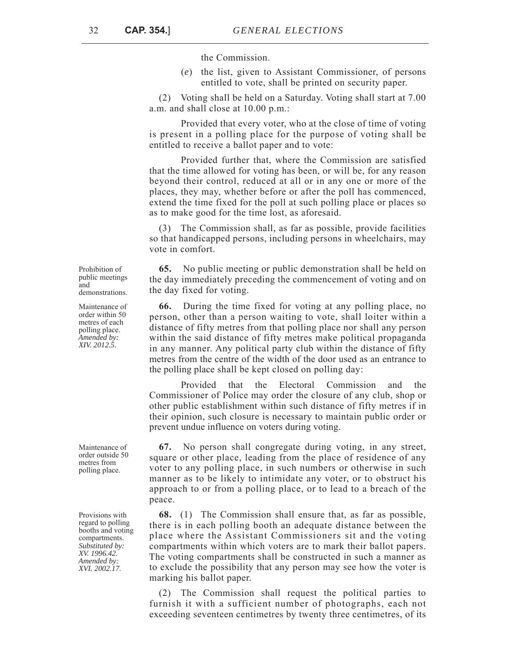the Commission.

(*e*) the list, given to Assistant Commissioner, of persons entitled to vote, shall be printed on security paper.

(2) Voting shall be held on a Saturday. Voting shall start at 7.00 a.m. and shall close at 10.00 p.m.:

Provided that every voter, who at the close of time of voting is present in a polling place for the purpose of voting shall be entitled to receive a ballot paper and to vote:

Provided further that, where the Commission are satisfied that the time allowed for voting has been, or will be, for any reason beyond their control, reduced at all or in any one or more of the places, they may, whether before or after the poll has commenced, extend the time fixed for the poll at such polling place or places so as to make good for the time lost, as aforesaid.

(3) The Commission shall, as far as possible, provide facilities so that handicapped persons, including persons in wheelchairs, may vote in comfort.

**65.** No public meeting or public demonstration shall be held on the day immediately preceding the commencement of voting and on the day fixed for voting.

**66.** During the time fixed for voting at any polling place, no person, other than a person waiting to vote, shall loiter within a distance of fifty metres from that polling place nor shall any person within the said distance of fifty metres make political propaganda in any manner. Any political party club within the distance of fifty metres from the centre of the width of the door used as an entrance to the polling place shall be kept closed on polling day:

Provided that the Electoral Commission and the Commissioner of Police may order the closure of any club, shop or other public establishment within such distance of fifty metres if in their opinion, such closure is necessary to maintain public order or prevent undue influence on voters during voting.

**67.** No person shall congregate during voting, in any street, square or other place, leading from the place of residence of any voter to any polling place, in such numbers or otherwise in such manner as to be likely to intimidate any voter, or to obstruct his approach to or from a polling place, or to lead to a breach of the peace.

**68.** (1) The Commission shall ensure that, as far as possible, there is in each polling booth an adequate distance between the place where the Assistant Commissioners sit and the voting compartments within which voters are to mark their ballot papers. The voting compartments shall be constructed in such a manner as to exclude the possibility that any person may see how the voter is marking his ballot paper.

(2) The Commission shall request the political parties to furnish it with a sufficient number of photographs, each not exceeding seventeen centimetres by twenty three centimetres, of its

Prohibition of public meetings and demonstrations.

Maintenance of order within 50 metres of each polling place. *Amended by: XIV. 2012.5.*

Maintenance of order outside 50 metres from polling place.

Provisions with regard to polling booths and voting compartments. *Substituted by: XV. 1996.42. Amended by: XVI. 2002.17.*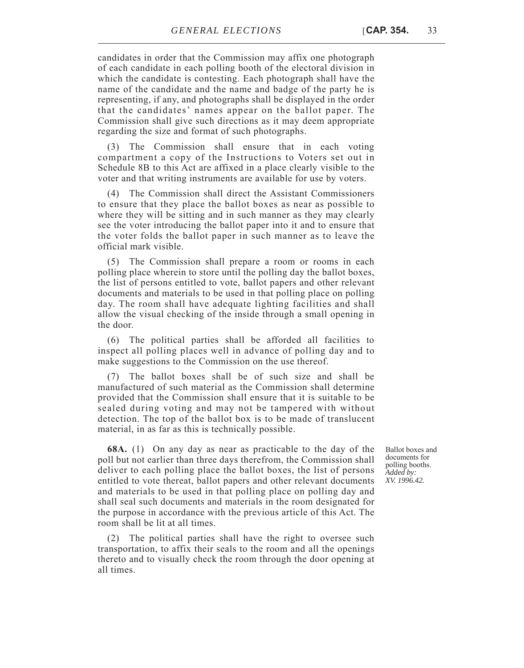candidates in order that the Commission may affix one photograph of each candidate in each polling booth of the electoral division in which the candidate is contesting. Each photograph shall have the name of the candidate and the name and badge of the party he is representing, if any, and photographs shall be displayed in the order that the candidates' names appear on the ballot paper. The Commission shall give such directions as it may deem appropriate regarding the size and format of such photographs.

(3) The Commission shall ensure that in each voting compartment a copy of the Instructions to Voters set out in Schedule 8B to this Act are affixed in a place clearly visible to the voter and that writing instruments are available for use by voters.

(4) The Commission shall direct the Assistant Commissioners to ensure that they place the ballot boxes as near as possible to where they will be sitting and in such manner as they may clearly see the voter introducing the ballot paper into it and to ensure that the voter folds the ballot paper in such manner as to leave the official mark visible.

(5) The Commission shall prepare a room or rooms in each polling place wherein to store until the polling day the ballot boxes, the list of persons entitled to vote, ballot papers and other relevant documents and materials to be used in that polling place on polling day. The room shall have adequate lighting facilities and shall allow the visual checking of the inside through a small opening in the door.

(6) The political parties shall be afforded all facilities to inspect all polling places well in advance of polling day and to make suggestions to the Commission on the use thereof.

(7) The ballot boxes shall be of such size and shall be manufactured of such material as the Commission shall determine provided that the Commission shall ensure that it is suitable to be sealed during voting and may not be tampered with without detection. The top of the ballot box is to be made of translucent material, in as far as this is technically possible.

**68A.** (1) On any day as near as practicable to the day of the poll but not earlier than three days therefrom, the Commission shall deliver to each polling place the ballot boxes, the list of persons entitled to vote thereat, ballot papers and other relevant documents and materials to be used in that polling place on polling day and shall seal such documents and materials in the room designated for the purpose in accordance with the previous article of this Act. The room shall be lit at all times.

(2) The political parties shall have the right to oversee such transportation, to affix their seals to the room and all the openings thereto and to visually check the room through the door opening at all times.

Ballot boxes and documents for polling booths. *Added by: XV. 1996.42.*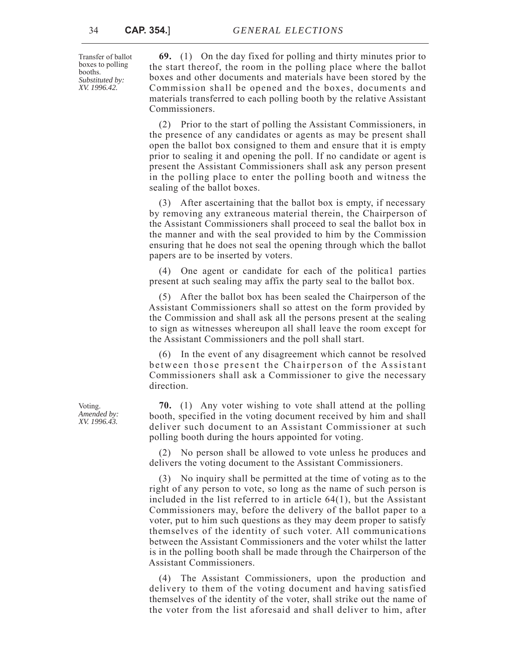Transfer of ballot boxes to polling booths. *Substituted by: XV. 1996.42.*

**69.** (1) On the day fixed for polling and thirty minutes prior to the start thereof, the room in the polling place where the ballot boxes and other documents and materials have been stored by the Commission shall be opened and the boxes, documents and materials transferred to each polling booth by the relative Assistant Commissioners.

(2) Prior to the start of polling the Assistant Commissioners, in the presence of any candidates or agents as may be present shall open the ballot box consigned to them and ensure that it is empty prior to sealing it and opening the poll. If no candidate or agent is present the Assistant Commissioners shall ask any person present in the polling place to enter the polling booth and witness the sealing of the ballot boxes.

(3) After ascertaining that the ballot box is empty, if necessary by removing any extraneous material therein, the Chairperson of the Assistant Commissioners shall proceed to seal the ballot box in the manner and with the seal provided to him by the Commission ensuring that he does not seal the opening through which the ballot papers are to be inserted by voters.

(4) One agent or candidate for each of the politica1 parties present at such sealing may affix the party seal to the ballot box.

(5) After the ballot box has been sealed the Chairperson of the Assistant Commissioners shall so attest on the form provided by the Commission and shall ask all the persons present at the sealing to sign as witnesses whereupon all shall leave the room except for the Assistant Commissioners and the poll shall start.

(6) In the event of any disagreement which cannot be resolved between those present the Chairperson of the Assistant Commissioners shall ask a Commissioner to give the necessary direction.

**70.** (1) Any voter wishing to vote shall attend at the polling booth, specified in the voting document received by him and shall deliver such document to an Assistant Commissioner at such polling booth during the hours appointed for voting.

(2) No person shall be allowed to vote unless he produces and delivers the voting document to the Assistant Commissioners.

(3) No inquiry shall be permitted at the time of voting as to the right of any person to vote, so long as the name of such person is included in the list referred to in article 64(1), but the Assistant Commissioners may, before the delivery of the ballot paper to a voter, put to him such questions as they may deem proper to satisfy themselves of the identity of such voter. All communications between the Assistant Commissioners and the voter whilst the latter is in the polling booth shall be made through the Chairperson of the Assistant Commissioners.

(4) The Assistant Commissioners, upon the production and delivery to them of the voting document and having satisfied themselves of the identity of the voter, shall strike out the name of the voter from the list aforesaid and shall deliver to him, after

Voting. *Amended by: XV. 1996.43.*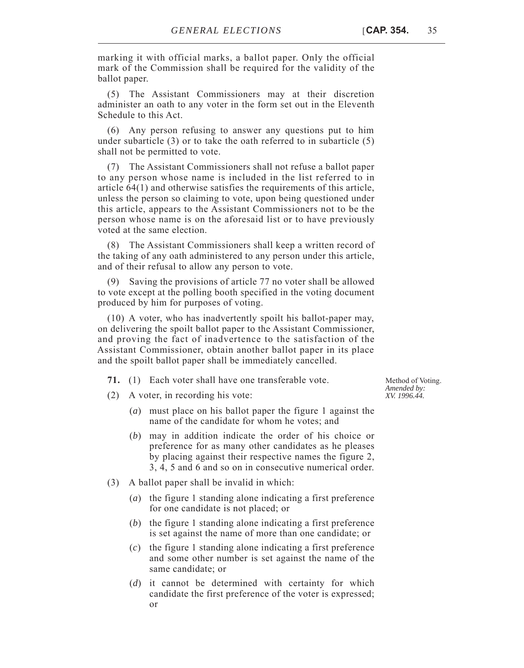marking it with official marks, a ballot paper. Only the official mark of the Commission shall be required for the validity of the ballot paper.

(5) The Assistant Commissioners may at their discretion administer an oath to any voter in the form set out in the Eleventh Schedule to this Act.

(6) Any person refusing to answer any questions put to him under subarticle (3) or to take the oath referred to in subarticle (5) shall not be permitted to vote.

(7) The Assistant Commissioners shall not refuse a ballot paper to any person whose name is included in the list referred to in article 64(1) and otherwise satisfies the requirements of this article, unless the person so claiming to vote, upon being questioned under this article, appears to the Assistant Commissioners not to be the person whose name is on the aforesaid list or to have previously voted at the same election.

(8) The Assistant Commissioners shall keep a written record of the taking of any oath administered to any person under this article, and of their refusal to allow any person to vote.

(9) Saving the provisions of article 77 no voter shall be allowed to vote except at the polling booth specified in the voting document produced by him for purposes of voting.

(10) A voter, who has inadvertently spoilt his ballot-paper may, on delivering the spoilt ballot paper to the Assistant Commissioner, and proving the fact of inadvertence to the satisfaction of the Assistant Commissioner, obtain another ballot paper in its place and the spoilt ballot paper shall be immediately cancelled.

**71.** (1) Each voter shall have one transferable vote.

- (2) A voter, in recording his vote:
	- (*a*) must place on his ballot paper the figure 1 against the name of the candidate for whom he votes; and
	- (*b*) may in addition indicate the order of his choice or preference for as many other candidates as he pleases by placing against their respective names the figure 2, 3, 4, 5 and 6 and so on in consecutive numerical order.
- (3) A ballot paper shall be invalid in which:
	- (*a*) the figure 1 standing alone indicating a first preference for one candidate is not placed; or
	- (*b*) the figure 1 standing alone indicating a first preference is set against the name of more than one candidate; or
	- (*c*) the figure 1 standing alone indicating a first preference and some other number is set against the name of the same candidate; or
	- (*d*) it cannot be determined with certainty for which candidate the first preference of the voter is expressed; or

Method of Voting. *Amended by: XV. 1996.44.*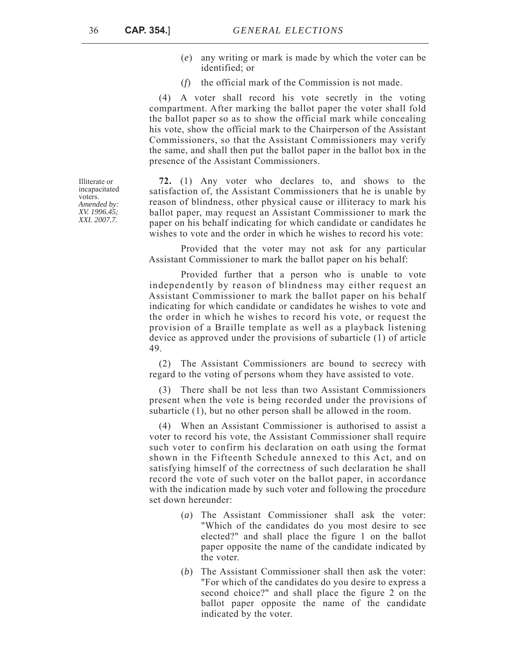- (*e*) any writing or mark is made by which the voter can be identified; or
- (*f*) the official mark of the Commission is not made.

(4) A voter shall record his vote secretly in the voting compartment. After marking the ballot paper the voter shall fold the ballot paper so as to show the official mark while concealing his vote, show the official mark to the Chairperson of the Assistant Commissioners, so that the Assistant Commissioners may verify the same, and shall then put the ballot paper in the ballot box in the presence of the Assistant Commissioners.

**72.** (1) Any voter who declares to, and shows to the satisfaction of, the Assistant Commissioners that he is unable by reason of blindness, other physical cause or illiteracy to mark his ballot paper, may request an Assistant Commissioner to mark the paper on his behalf indicating for which candidate or candidates he wishes to vote and the order in which he wishes to record his vote:

Provided that the voter may not ask for any particular Assistant Commissioner to mark the ballot paper on his behalf:

Provided further that a person who is unable to vote independently by reason of blindness may either request an Assistant Commissioner to mark the ballot paper on his behalf indicating for which candidate or candidates he wishes to vote and the order in which he wishes to record his vote, or request the provision of a Braille template as well as a playback listening device as approved under the provisions of subarticle (1) of article 49.

(2) The Assistant Commissioners are bound to secrecy with regard to the voting of persons whom they have assisted to vote.

(3) There shall be not less than two Assistant Commissioners present when the vote is being recorded under the provisions of subarticle (1), but no other person shall be allowed in the room.

(4) When an Assistant Commissioner is authorised to assist a voter to record his vote, the Assistant Commissioner shall require such voter to confirm his declaration on oath using the format shown in the Fifteenth Schedule annexed to this Act, and on satisfying himself of the correctness of such declaration he shall record the vote of such voter on the ballot paper, in accordance with the indication made by such voter and following the procedure set down hereunder:

- (*a*) The Assistant Commissioner shall ask the voter: "Which of the candidates do you most desire to see elected?" and shall place the figure 1 on the ballot paper opposite the name of the candidate indicated by the voter.
- (*b*) The Assistant Commissioner shall then ask the voter: "For which of the candidates do you desire to express a second choice?" and shall place the figure 2 on the ballot paper opposite the name of the candidate indicated by the voter.

Illiterate or incapacitated voters. *Amended by: XV. 1996.45; XXI. 2007.7.*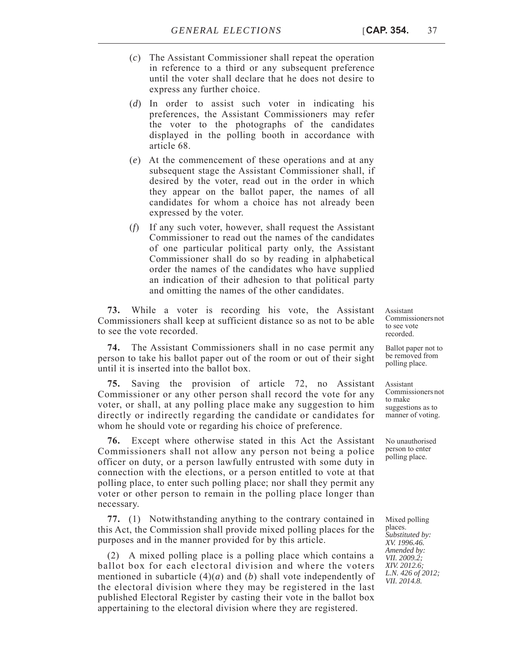- (*c*) The Assistant Commissioner shall repeat the operation in reference to a third or any subsequent preference until the voter shall declare that he does not desire to express any further choice.
- (*d*) In order to assist such voter in indicating his preferences, the Assistant Commissioners may refer the voter to the photographs of the candidates displayed in the polling booth in accordance with article 68.
- (*e*) At the commencement of these operations and at any subsequent stage the Assistant Commissioner shall, if desired by the voter, read out in the order in which they appear on the ballot paper, the names of all candidates for whom a choice has not already been expressed by the voter.
- (*f*) If any such voter, however, shall request the Assistant Commissioner to read out the names of the candidates of one particular political party only, the Assistant Commissioner shall do so by reading in alphabetical order the names of the candidates who have supplied an indication of their adhesion to that political party and omitting the names of the other candidates.

**73.** While a voter is recording his vote, the Assistant Commissioners shall keep at sufficient distance so as not to be able to see the vote recorded.

The Assistant Commissioners shall in no case permit any person to take his ballot paper out of the room or out of their sight until it is inserted into the ballot box.

**75.** Saving the provision of article 72, no Assistant Commissioner or any other person shall record the vote for any voter, or shall, at any polling place make any suggestion to him directly or indirectly regarding the candidate or candidates for whom he should vote or regarding his choice of preference.

**76.** Except where otherwise stated in this Act the Assistant Commissioners shall not allow any person not being a police officer on duty, or a person lawfully entrusted with some duty in connection with the elections, or a person entitled to vote at that polling place, to enter such polling place; nor shall they permit any voter or other person to remain in the polling place longer than necessary.

**77.** (1) Notwithstanding anything to the contrary contained in this Act, the Commission shall provide mixed polling places for the purposes and in the manner provided for by this article.

(2) A mixed polling place is a polling place which contains a ballot box for each electoral division and where the voters mentioned in subarticle (4)(*a*) and (*b*) shall vote independently of the electoral division where they may be registered in the last published Electoral Register by casting their vote in the ballot box appertaining to the electoral division where they are registered.

Assistant Commissioners not to see vote recorded.

Ballot paper not to be removed from polling place.

Assistant Commissioners not to make suggestions as to manner of voting.

No unauthorised person to enter polling place.

Mixed polling places. *Substituted by: XV. 1996.46. Amended by: VII. 2009.2; XIV. 2012.6; L.N. 426 of 2012; VII. 2014.8.*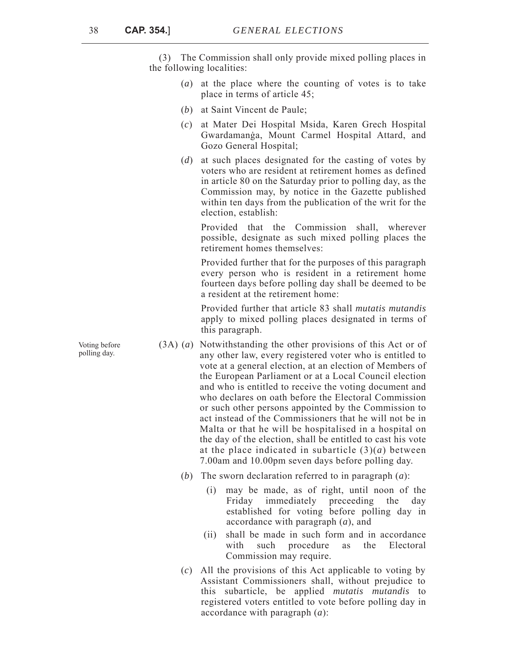(3) The Commission shall only provide mixed polling places in the following localities:

- (*a*) at the place where the counting of votes is to take place in terms of article 45;
- (*b*) at Saint Vincent de Paule;
- (*c*) at Mater Dei Hospital Msida, Karen Grech Hospital Gwardamanġa, Mount Carmel Hospital Attard, and Gozo General Hospital;
- (*d*) at such places designated for the casting of votes by voters who are resident at retirement homes as defined in article 80 on the Saturday prior to polling day, as the Commission may, by notice in the Gazette published within ten days from the publication of the writ for the election, establish:

Provided that the Commission shall, wherever possible, designate as such mixed polling places the retirement homes themselves:

Provided further that for the purposes of this paragraph every person who is resident in a retirement home fourteen days before polling day shall be deemed to be a resident at the retirement home:

Provided further that article 83 shall *mutatis mutandis* apply to mixed polling places designated in terms of this paragraph.

- (3A) (*a*) Notwithstanding the other provisions of this Act or of any other law, every registered voter who is entitled to vote at a general election, at an election of Members of the European Parliament or at a Local Council election and who is entitled to receive the voting document and who declares on oath before the Electoral Commission or such other persons appointed by the Commission to act instead of the Commissioners that he will not be in Malta or that he will be hospitalised in a hospital on the day of the election, shall be entitled to cast his vote at the place indicated in subarticle  $(3)(a)$  between 7.00am and 10.00pm seven days before polling day.
	- (*b*) The sworn declaration referred to in paragraph (*a*):
		- (i) may be made, as of right, until noon of the Friday immediately preceeding the day established for voting before polling day in accordance with paragraph (*a*), and
		- (ii) shall be made in such form and in accordance with such procedure as the Electoral Commission may require.
	- (*c*) All the provisions of this Act applicable to voting by Assistant Commissioners shall, without prejudice to this subarticle, be applied *mutatis mutandis* to registered voters entitled to vote before polling day in accordance with paragraph (*a*):

Voting before polling day.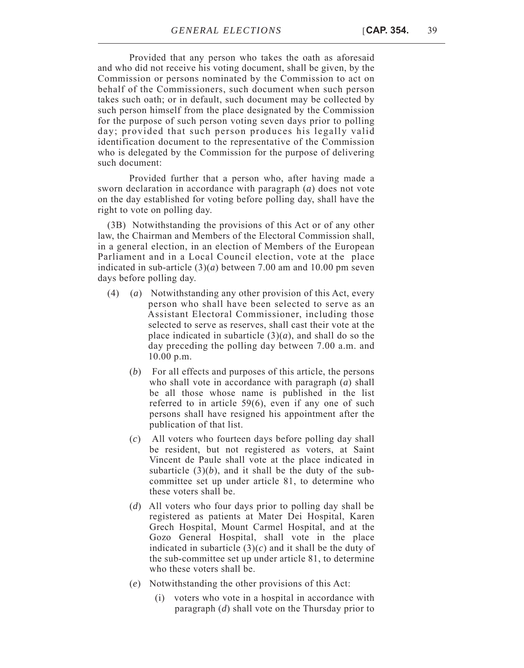Provided that any person who takes the oath as aforesaid and who did not receive his voting document, shall be given, by the Commission or persons nominated by the Commission to act on behalf of the Commissioners, such document when such person takes such oath; or in default, such document may be collected by such person himself from the place designated by the Commission for the purpose of such person voting seven days prior to polling day; provided that such person produces his legally valid identification document to the representative of the Commission who is delegated by the Commission for the purpose of delivering such document:

Provided further that a person who, after having made a sworn declaration in accordance with paragraph (*a*) does not vote on the day established for voting before polling day, shall have the right to vote on polling day.

(3B) Notwithstanding the provisions of this Act or of any other law, the Chairman and Members of the Electoral Commission shall, in a general election, in an election of Members of the European Parliament and in a Local Council election, vote at the place indicated in sub-article  $(3)(a)$  between 7.00 am and 10.00 pm seven days before polling day.

- (4) (*a*) Notwithstanding any other provision of this Act, every person who shall have been selected to serve as an Assistant Electoral Commissioner, including those selected to serve as reserves, shall cast their vote at the place indicated in subarticle  $(3)(a)$ , and shall do so the day preceding the polling day between 7.00 a.m. and 10.00 p.m.
	- (*b*) For all effects and purposes of this article, the persons who shall vote in accordance with paragraph (*a*) shall be all those whose name is published in the list referred to in article 59(6), even if any one of such persons shall have resigned his appointment after the publication of that list.
	- (*c*) All voters who fourteen days before polling day shall be resident, but not registered as voters, at Saint Vincent de Paule shall vote at the place indicated in subarticle  $(3)(b)$ , and it shall be the duty of the subcommittee set up under article 81, to determine who these voters shall be.
	- (*d*) All voters who four days prior to polling day shall be registered as patients at Mater Dei Hospital, Karen Grech Hospital, Mount Carmel Hospital, and at the Gozo General Hospital, shall vote in the place indicated in subarticle  $(3)(c)$  and it shall be the duty of the sub-committee set up under article 81, to determine who these voters shall be.
	- (*e*) Notwithstanding the other provisions of this Act:
		- (i) voters who vote in a hospital in accordance with paragraph (*d*) shall vote on the Thursday prior to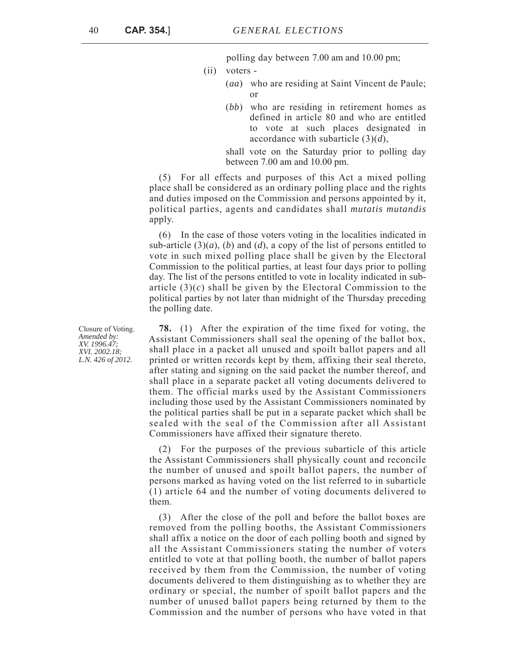polling day between 7.00 am and 10.00 pm;

- (ii) voters
	- (*aa*) who are residing at Saint Vincent de Paule; or
	- (*bb*) who are residing in retirement homes as defined in article 80 and who are entitled to vote at such places designated in accordance with subarticle (3)(*d*),

shall vote on the Saturday prior to polling day between 7.00 am and 10.00 pm.

(5) For all effects and purposes of this Act a mixed polling place shall be considered as an ordinary polling place and the rights and duties imposed on the Commission and persons appointed by it, political parties, agents and candidates shall *mutatis mutandis* apply.

(6) In the case of those voters voting in the localities indicated in sub-article  $(3)(a)$ ,  $(b)$  and  $(d)$ , a copy of the list of persons entitled to vote in such mixed polling place shall be given by the Electoral Commission to the political parties, at least four days prior to polling day. The list of the persons entitled to vote in locality indicated in subarticle (3)(*c*) shall be given by the Electoral Commission to the political parties by not later than midnight of the Thursday preceding the polling date.

**78.** (1) After the expiration of the time fixed for voting, the Assistant Commissioners shall seal the opening of the ballot box, shall place in a packet all unused and spoilt ballot papers and all printed or written records kept by them, affixing their seal thereto, after stating and signing on the said packet the number thereof, and shall place in a separate packet all voting documents delivered to them. The official marks used by the Assistant Commissioners including those used by the Assistant Commissioners nominated by the political parties shall be put in a separate packet which shall be sealed with the seal of the Commission after all Assistant Commissioners have affixed their signature thereto.

(2) For the purposes of the previous subarticle of this article the Assistant Commissioners shall physically count and reconcile the number of unused and spoilt ballot papers, the number of persons marked as having voted on the list referred to in subarticle (1) article 64 and the number of voting documents delivered to them.

(3) After the close of the poll and before the ballot boxes are removed from the polling booths, the Assistant Commissioners shall affix a notice on the door of each polling booth and signed by all the Assistant Commissioners stating the number of voters entitled to vote at that polling booth, the number of ballot papers received by them from the Commission, the number of voting documents delivered to them distinguishing as to whether they are ordinary or special, the number of spoilt ballot papers and the number of unused ballot papers being returned by them to the Commission and the number of persons who have voted in that

Closure of Voting. *Amended by: XV. 1996.47; XVI. 2002.18; L.N. 426 of 2012.*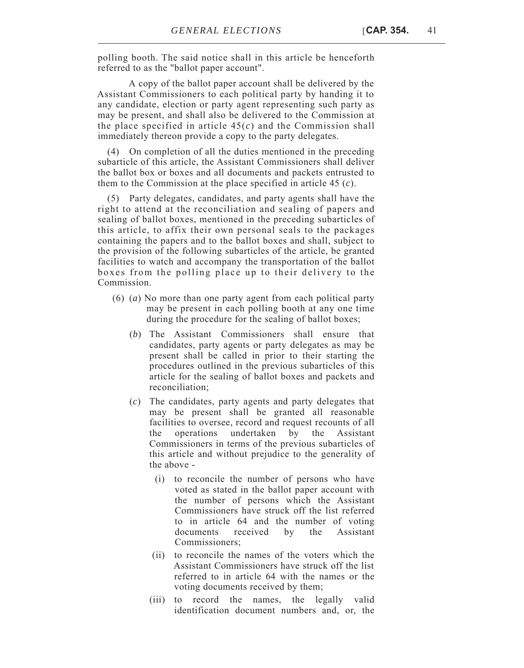polling booth. The said notice shall in this article be henceforth referred to as the "ballot paper account".

A copy of the ballot paper account shall be delivered by the Assistant Commissioners to each political party by handing it to any candidate, election or party agent representing such party as may be present, and shall also be delivered to the Commission at the place specified in article  $45(c)$  and the Commission shall immediately thereon provide a copy to the party delegates.

(4) On completion of all the duties mentioned in the preceding subarticle of this article, the Assistant Commissioners shall deliver the ballot box or boxes and all documents and packets entrusted to them to the Commission at the place specified in article 45 (*c*).

(5) Party delegates, candidates, and party agents shall have the right to attend at the reconciliation and sealing of papers and sealing of ballot boxes, mentioned in the preceding subarticles of this article, to affix their own personal seals to the packages containing the papers and to the ballot boxes and shall, subject to the provision of the following subarticles of the article, be granted facilities to watch and accompany the transportation of the ballot boxes from the polling place up to their delivery to the Commission.

- (6) (*a*) No more than one party agent from each political party may be present in each polling booth at any one time during the procedure for the sealing of ballot boxes;
	- (*b*) The Assistant Commissioners shall ensure that candidates, party agents or party delegates as may be present shall be called in prior to their starting the procedures outlined in the previous subarticles of this article for the sealing of ballot boxes and packets and reconciliation;
	- (*c*) The candidates, party agents and party delegates that may be present shall be granted all reasonable facilities to oversee, record and request recounts of all the operations undertaken by the Assistant Commissioners in terms of the previous subarticles of this article and without prejudice to the generality of the above -
		- (i) to reconcile the number of persons who have voted as stated in the ballot paper account with the number of persons which the Assistant Commissioners have struck off the list referred to in article 64 and the number of voting documents received by the Assistant Commissioners;
		- (ii) to reconcile the names of the voters which the Assistant Commissioners have struck off the list referred to in article 64 with the names or the voting documents received by them;
		- (iii) to record the names, the legally valid identification document numbers and, or, the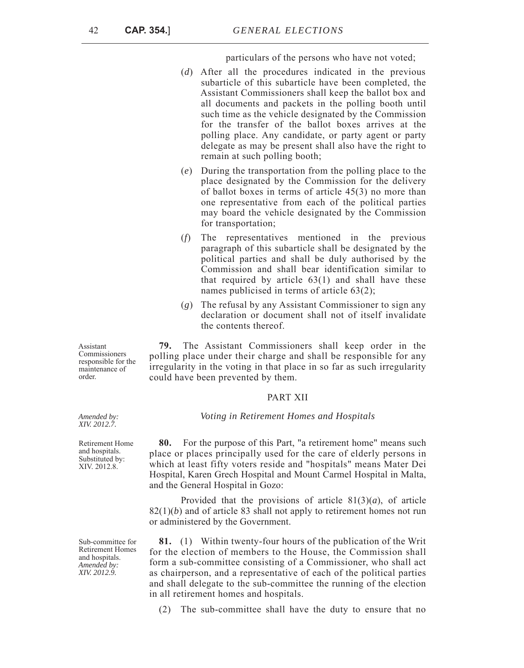particulars of the persons who have not voted;

- (*d*) After all the procedures indicated in the previous subarticle of this subarticle have been completed, the Assistant Commissioners shall keep the ballot box and all documents and packets in the polling booth until such time as the vehicle designated by the Commission for the transfer of the ballot boxes arrives at the polling place. Any candidate, or party agent or party delegate as may be present shall also have the right to remain at such polling booth;
- (*e*) During the transportation from the polling place to the place designated by the Commission for the delivery of ballot boxes in terms of article 45(3) no more than one representative from each of the political parties may board the vehicle designated by the Commission for transportation;
- (*f*) The representatives mentioned in the previous paragraph of this subarticle shall be designated by the political parties and shall be duly authorised by the Commission and shall bear identification similar to that required by article  $63(1)$  and shall have these names publicised in terms of article 63(2);
- (*g*) The refusal by any Assistant Commissioner to sign any declaration or document shall not of itself invalidate the contents thereof.

**79.** The Assistant Commissioners shall keep order in the polling place under their charge and shall be responsible for any irregularity in the voting in that place in so far as such irregularity could have been prevented by them.

### PART XII

#### *Voting in Retirement Homes and Hospitals*

**80.** For the purpose of this Part, "a retirement home" means such place or places principally used for the care of elderly persons in which at least fifty voters reside and "hospitals" means Mater Dei Hospital, Karen Grech Hospital and Mount Carmel Hospital in Malta, and the General Hospital in Gozo:

Provided that the provisions of article 81(3)(*a*), of article  $82(1)(b)$  and of article 83 shall not apply to retirement homes not run or administered by the Government.

**81.** (1) Within twenty-four hours of the publication of the Writ for the election of members to the House, the Commission shall form a sub-committee consisting of a Commissioner, who shall act as chairperson, and a representative of each of the political parties and shall delegate to the sub-committee the running of the election in all retirement homes and hospitals.

(2) The sub-committee shall have the duty to ensure that no

Assistant Commissioners responsible for the maintenance of order.

*Amended by: XIV. 2012.7.*

Retirement Home and hospitals. Substituted by: XIV. 2012.8.

Sub-committee for Retirement Homes and hospitals. *Amended by: XIV. 2012.9.*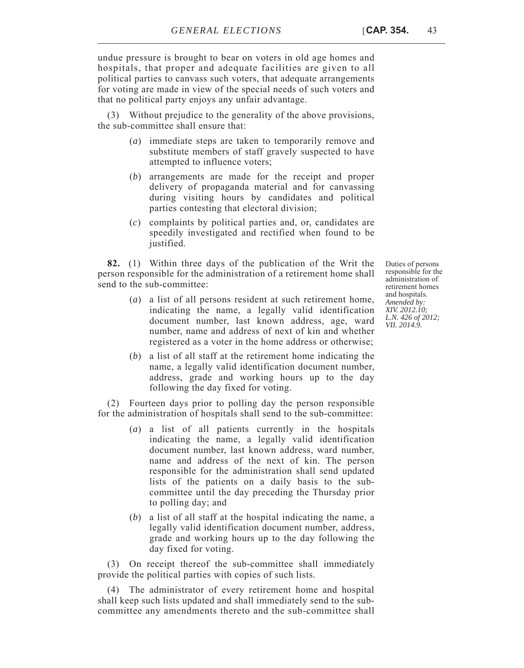undue pressure is brought to bear on voters in old age homes and hospitals, that proper and adequate facilities are given to all political parties to canvass such voters, that adequate arrangements for voting are made in view of the special needs of such voters and that no political party enjoys any unfair advantage.

(3) Without prejudice to the generality of the above provisions, the sub-committee shall ensure that:

- (*a*) immediate steps are taken to temporarily remove and substitute members of staff gravely suspected to have attempted to influence voters;
- (*b*) arrangements are made for the receipt and proper delivery of propaganda material and for canvassing during visiting hours by candidates and political parties contesting that electoral division;
- (*c*) complaints by political parties and, or, candidates are speedily investigated and rectified when found to be justified.

**82.** (1) Within three days of the publication of the Writ the person responsible for the administration of a retirement home shall send to the sub-committee:

- (*a*) a list of all persons resident at such retirement home, indicating the name, a legally valid identification document number, last known address, age, ward number, name and address of next of kin and whether registered as a voter in the home address or otherwise;
- (*b*) a list of all staff at the retirement home indicating the name, a legally valid identification document number, address, grade and working hours up to the day following the day fixed for voting.

(2) Fourteen days prior to polling day the person responsible for the administration of hospitals shall send to the sub-committee:

- (*a*) a list of all patients currently in the hospitals indicating the name, a legally valid identification document number, last known address, ward number, name and address of the next of kin. The person responsible for the administration shall send updated lists of the patients on a daily basis to the subcommittee until the day preceding the Thursday prior to polling day; and
- (*b*) a list of all staff at the hospital indicating the name, a legally valid identification document number, address, grade and working hours up to the day following the day fixed for voting.

(3) On receipt thereof the sub-committee shall immediately provide the political parties with copies of such lists.

(4) The administrator of every retirement home and hospital shall keep such lists updated and shall immediately send to the subcommittee any amendments thereto and the sub-committee shall

Duties of persons responsible for the administration of retirement homes and hospitals. *Amended by: XIV. 2012.10; L.N. 426 of 2012; VII. 2014.9.*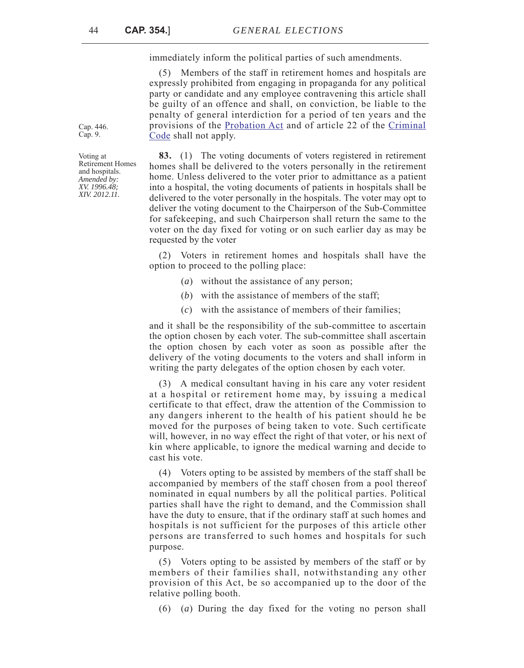immediately inform the political parties of such amendments.

(5) Members of the staff in retirement homes and hospitals are expressly prohibited from engaging in propaganda for any political party or candidate and any employee contravening this article shall be guilty of an offence and shall, on conviction, be liable to the penalty of general interdiction for a period of ten years and the provisions of the [Probation Act](http://www.justiceservices.gov.mt/DownloadDocument.aspx?app=lom&itemid=8912&l=1) and of article 22 of the [Criminal](http://www.justiceservices.gov.mt/DownloadDocument.aspx?app=lom&itemid=8574&l=1) [Code](http://www.justiceservices.gov.mt/DownloadDocument.aspx?app=lom&itemid=8574&l=1) shall not apply.

**83.** (1) The voting documents of voters registered in retirement homes shall be delivered to the voters personally in the retirement home. Unless delivered to the voter prior to admittance as a patient into a hospital, the voting documents of patients in hospitals shall be delivered to the voter personally in the hospitals. The voter may opt to deliver the voting document to the Chairperson of the Sub-Committee for safekeeping, and such Chairperson shall return the same to the voter on the day fixed for voting or on such earlier day as may be requested by the voter

(2) Voters in retirement homes and hospitals shall have the option to proceed to the polling place:

- (*a*) without the assistance of any person;
- (*b*) with the assistance of members of the staff;
- (*c*) with the assistance of members of their families;

and it shall be the responsibility of the sub-committee to ascertain the option chosen by each voter. The sub-committee shall ascertain the option chosen by each voter as soon as possible after the delivery of the voting documents to the voters and shall inform in writing the party delegates of the option chosen by each voter.

(3) A medical consultant having in his care any voter resident at a hospital or retirement home may, by issuing a medical certificate to that effect, draw the attention of the Commission to any dangers inherent to the health of his patient should he be moved for the purposes of being taken to vote. Such certificate will, however, in no way effect the right of that voter, or his next of kin where applicable, to ignore the medical warning and decide to cast his vote.

(4) Voters opting to be assisted by members of the staff shall be accompanied by members of the staff chosen from a pool thereof nominated in equal numbers by all the political parties. Political parties shall have the right to demand, and the Commission shall have the duty to ensure, that if the ordinary staff at such homes and hospitals is not sufficient for the purposes of this article other persons are transferred to such homes and hospitals for such purpose.

(5) Voters opting to be assisted by members of the staff or by members of their families shall, notwithstanding any other provision of this Act, be so accompanied up to the door of the relative polling booth.

(6) (*a*) During the day fixed for the voting no person shall

Cap. 446. Cap. 9.

Voting at Retirement Homes and hospitals. *Amended by: XV. 1996.48; XIV. 2012.11.*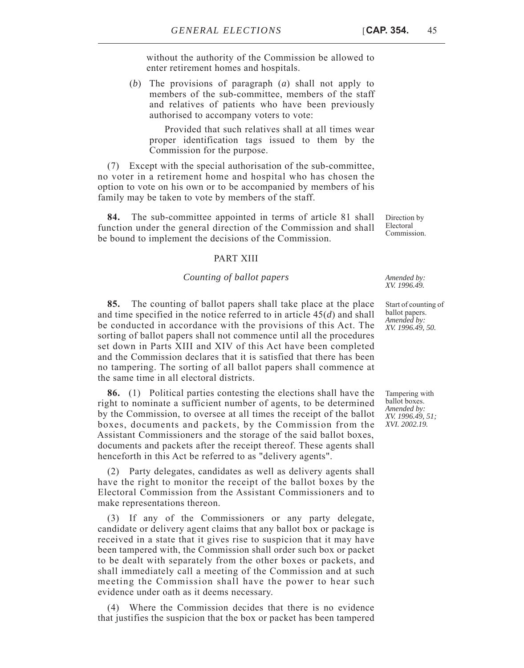without the authority of the Commission be allowed to enter retirement homes and hospitals.

(*b*) The provisions of paragraph (*a*) shall not apply to members of the sub-committee, members of the staff and relatives of patients who have been previously authorised to accompany voters to vote:

 Provided that such relatives shall at all times wear proper identification tags issued to them by the Commission for the purpose.

(7) Except with the special authorisation of the sub-committee, no voter in a retirement home and hospital who has chosen the option to vote on his own or to be accompanied by members of his family may be taken to vote by members of the staff.

**84.** The sub-committee appointed in terms of article 81 shall function under the general direction of the Commission and shall be bound to implement the decisions of the Commission.

### PART XIII

#### *Counting of ballot papers*

**85.** The counting of ballot papers shall take place at the place and time specified in the notice referred to in article 45(*d*) and shall be conducted in accordance with the provisions of this Act. The sorting of ballot papers shall not commence until all the procedures set down in Parts XIII and XIV of this Act have been completed and the Commission declares that it is satisfied that there has been no tampering. The sorting of all ballot papers shall commence at the same time in all electoral districts.

**86.** (1) Political parties contesting the elections shall have the right to nominate a sufficient number of agents, to be determined by the Commission, to oversee at all times the receipt of the ballot boxes, documents and packets, by the Commission from the Assistant Commissioners and the storage of the said ballot boxes, documents and packets after the receipt thereof. These agents shall henceforth in this Act be referred to as "delivery agents".

(2) Party delegates, candidates as well as delivery agents shall have the right to monitor the receipt of the ballot boxes by the Electoral Commission from the Assistant Commissioners and to make representations thereon.

(3) If any of the Commissioners or any party delegate, candidate or delivery agent claims that any ballot box or package is received in a state that it gives rise to suspicion that it may have been tampered with, the Commission shall order such box or packet to be dealt with separately from the other boxes or packets, and shall immediately call a meeting of the Commission and at such meeting the Commission shall have the power to hear such evidence under oath as it deems necessary.

(4) Where the Commission decides that there is no evidence that justifies the suspicion that the box or packet has been tampered

Direction by Electoral Commission.

*Amended by: XV. 1996.49.*

Start of counting of ballot papers. *Amended by: XV. 1996.49, 50.*

Tampering with ballot boxes. *Amended by: XV. 1996.49, 51; XVI. 2002.19.*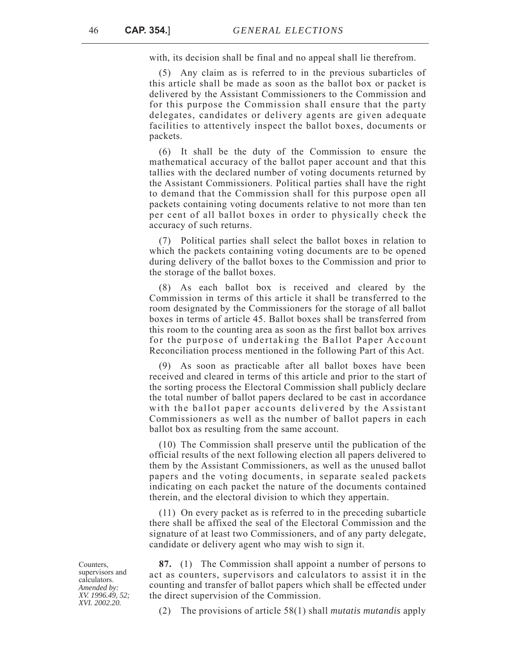with, its decision shall be final and no appeal shall lie therefrom.

(5) Any claim as is referred to in the previous subarticles of this article shall be made as soon as the ballot box or packet is delivered by the Assistant Commissioners to the Commission and for this purpose the Commission shall ensure that the party delegates, candidates or delivery agents are given adequate facilities to attentively inspect the ballot boxes, documents or packets.

(6) It shall be the duty of the Commission to ensure the mathematical accuracy of the ballot paper account and that this tallies with the declared number of voting documents returned by the Assistant Commissioners. Political parties shall have the right to demand that the Commission shall for this purpose open all packets containing voting documents relative to not more than ten per cent of all ballot boxes in order to physically check the accuracy of such returns.

(7) Political parties shall select the ballot boxes in relation to which the packets containing voting documents are to be opened during delivery of the ballot boxes to the Commission and prior to the storage of the ballot boxes.

(8) As each ballot box is received and cleared by the Commission in terms of this article it shall be transferred to the room designated by the Commissioners for the storage of all ballot boxes in terms of article 45. Ballot boxes shall be transferred from this room to the counting area as soon as the first ballot box arrives for the purpose of undertaking the Ballot Paper Account Reconciliation process mentioned in the following Part of this Act.

(9) As soon as practicable after all ballot boxes have been received and cleared in terms of this article and prior to the start of the sorting process the Electoral Commission shall publicly declare the total number of ballot papers declared to be cast in accordance with the ballot paper accounts delivered by the Assistant Commissioners as well as the number of ballot papers in each ballot box as resulting from the same account.

(10) The Commission shall preserve until the publication of the official results of the next following election all papers delivered to them by the Assistant Commissioners, as well as the unused ballot papers and the voting documents, in separate sealed packets indicating on each packet the nature of the documents contained therein, and the electoral division to which they appertain.

(11) On every packet as is referred to in the preceding subarticle there shall be affixed the seal of the Electoral Commission and the signature of at least two Commissioners, and of any party delegate, candidate or delivery agent who may wish to sign it.

**87.** (1) The Commission shall appoint a number of persons to act as counters, supervisors and calculators to assist it in the counting and transfer of ballot papers which shall be effected under the direct supervision of the Commission.

(2) The provisions of article 58(1) shall *mutatis mutandis* apply

Counters, supervisors and calculators. *Amended by: XV. 1996.49, 52; XVI. 2002.20.*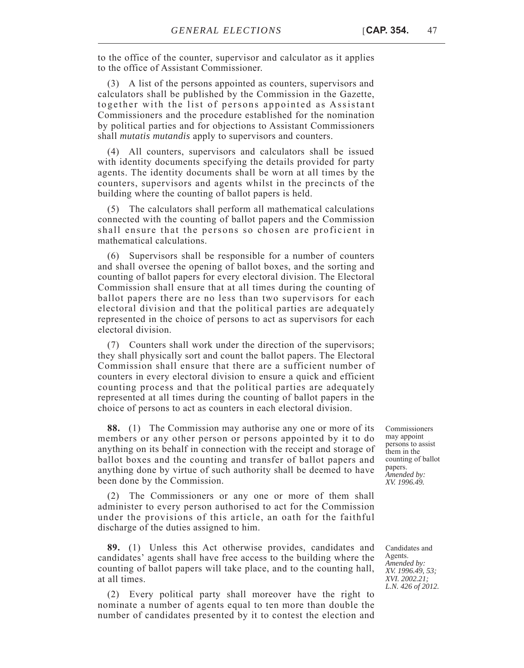to the office of the counter, supervisor and calculator as it applies to the office of Assistant Commissioner.

(3) A list of the persons appointed as counters, supervisors and calculators shall be published by the Commission in the Gazette, together with the list of persons appointed as Assistant Commissioners and the procedure established for the nomination by political parties and for objections to Assistant Commissioners shall *mutatis mutandis* apply to supervisors and counters.

(4) All counters, supervisors and calculators shall be issued with identity documents specifying the details provided for party agents. The identity documents shall be worn at all times by the counters, supervisors and agents whilst in the precincts of the building where the counting of ballot papers is held.

(5) The calculators shall perform all mathematical calculations connected with the counting of ballot papers and the Commission shall ensure that the persons so chosen are proficient in mathematical calculations.

(6) Supervisors shall be responsible for a number of counters and shall oversee the opening of ballot boxes, and the sorting and counting of ballot papers for every electoral division. The Electoral Commission shall ensure that at all times during the counting of ballot papers there are no less than two supervisors for each electoral division and that the political parties are adequately represented in the choice of persons to act as supervisors for each electoral division.

(7) Counters shall work under the direction of the supervisors; they shall physically sort and count the ballot papers. The Electoral Commission shall ensure that there are a sufficient number of counters in every electoral division to ensure a quick and efficient counting process and that the political parties are adequately represented at all times during the counting of ballot papers in the choice of persons to act as counters in each electoral division.

**88.** (1) The Commission may authorise any one or more of its members or any other person or persons appointed by it to do anything on its behalf in connection with the receipt and storage of ballot boxes and the counting and transfer of ballot papers and anything done by virtue of such authority shall be deemed to have been done by the Commission.

(2) The Commissioners or any one or more of them shall administer to every person authorised to act for the Commission under the provisions of this article, an oath for the faithful discharge of the duties assigned to him.

**89.** (1) Unless this Act otherwise provides, candidates and candidates' agents shall have free access to the building where the counting of ballot papers will take place, and to the counting hall, at all times.

(2) Every political party shall moreover have the right to nominate a number of agents equal to ten more than double the number of candidates presented by it to contest the election and Commissioners may appoint persons to assist them in the counting of ballot papers. *Amended by: XV. 1996.49.*

Candidates and Agents. *Amended by: XV. 1996.49, 53; XVI. 2002.21; L.N. 426 of 2012.*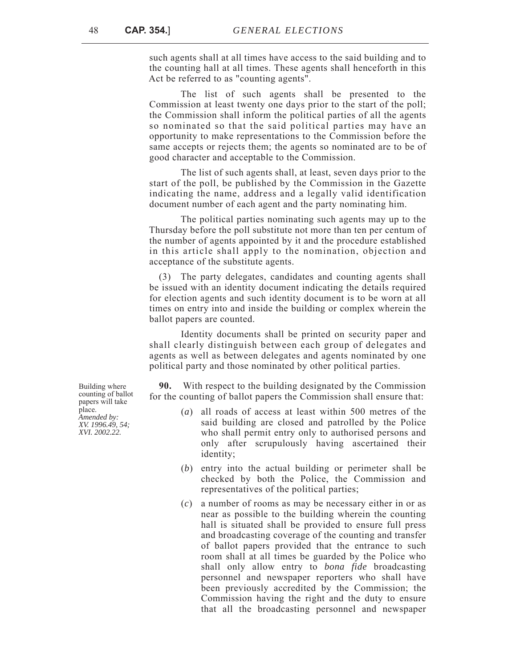such agents shall at all times have access to the said building and to the counting hall at all times. These agents shall henceforth in this Act be referred to as "counting agents".

The list of such agents shall be presented to the Commission at least twenty one days prior to the start of the poll; the Commission shall inform the political parties of all the agents so nominated so that the said political parties may have an opportunity to make representations to the Commission before the same accepts or rejects them; the agents so nominated are to be of good character and acceptable to the Commission.

The list of such agents shall, at least, seven days prior to the start of the poll, be published by the Commission in the Gazette indicating the name, address and a legally valid identification document number of each agent and the party nominating him.

The political parties nominating such agents may up to the Thursday before the poll substitute not more than ten per centum of the number of agents appointed by it and the procedure established in this article shall apply to the nomination, objection and acceptance of the substitute agents.

(3) The party delegates, candidates and counting agents shall be issued with an identity document indicating the details required for election agents and such identity document is to be worn at all times on entry into and inside the building or complex wherein the ballot papers are counted.

Identity documents shall be printed on security paper and shall clearly distinguish between each group of delegates and agents as well as between delegates and agents nominated by one political party and those nominated by other political parties.

**90.** With respect to the building designated by the Commission for the counting of ballot papers the Commission shall ensure that:

- (*a*) all roads of access at least within 500 metres of the said building are closed and patrolled by the Police who shall permit entry only to authorised persons and only after scrupulously having ascertained their identity;
- (*b*) entry into the actual building or perimeter shall be checked by both the Police, the Commission and representatives of the political parties;
- (*c*) a number of rooms as may be necessary either in or as near as possible to the building wherein the counting hall is situated shall be provided to ensure full press and broadcasting coverage of the counting and transfer of ballot papers provided that the entrance to such room shall at all times be guarded by the Police who shall only allow entry to *bona fide* broadcasting personnel and newspaper reporters who shall have been previously accredited by the Commission; the Commission having the right and the duty to ensure that all the broadcasting personnel and newspaper

Building where counting of ballot papers will take place. *Amended by: XV. 1996.49, 54; XVI. 2002.22.*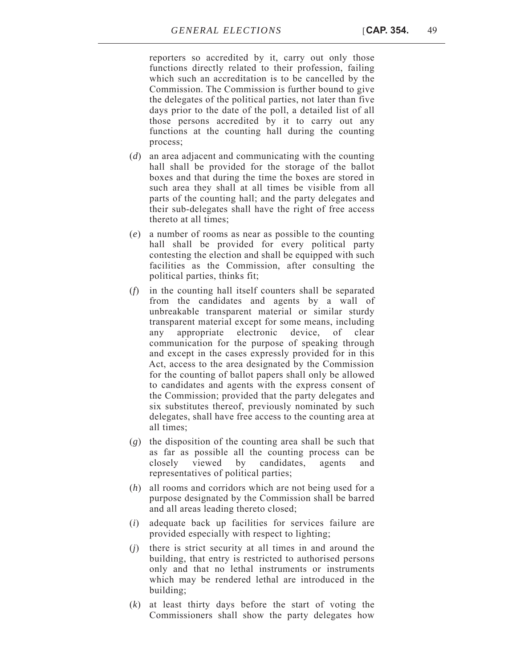reporters so accredited by it, carry out only those functions directly related to their profession, failing which such an accreditation is to be cancelled by the Commission. The Commission is further bound to give the delegates of the political parties, not later than five days prior to the date of the poll, a detailed list of all those persons accredited by it to carry out any functions at the counting hall during the counting process;

- (*d*) an area adjacent and communicating with the counting hall shall be provided for the storage of the ballot boxes and that during the time the boxes are stored in such area they shall at all times be visible from all parts of the counting hall; and the party delegates and their sub-delegates shall have the right of free access thereto at all times;
- (*e*) a number of rooms as near as possible to the counting hall shall be provided for every political party contesting the election and shall be equipped with such facilities as the Commission, after consulting the political parties, thinks fit;
- (*f*) in the counting hall itself counters shall be separated from the candidates and agents by a wall of unbreakable transparent material or similar sturdy transparent material except for some means, including any appropriate electronic device, of clear communication for the purpose of speaking through and except in the cases expressly provided for in this Act, access to the area designated by the Commission for the counting of ballot papers shall only be allowed to candidates and agents with the express consent of the Commission; provided that the party delegates and six substitutes thereof, previously nominated by such delegates, shall have free access to the counting area at all times;
- (*g*) the disposition of the counting area shall be such that as far as possible all the counting process can be closely viewed by candidates, agents and representatives of political parties;
- (*h*) all rooms and corridors which are not being used for a purpose designated by the Commission shall be barred and all areas leading thereto closed;
- (*i*) adequate back up facilities for services failure are provided especially with respect to lighting;
- (*j*) there is strict security at all times in and around the building, that entry is restricted to authorised persons only and that no lethal instruments or instruments which may be rendered lethal are introduced in the building;
- (*k*) at least thirty days before the start of voting the Commissioners shall show the party delegates how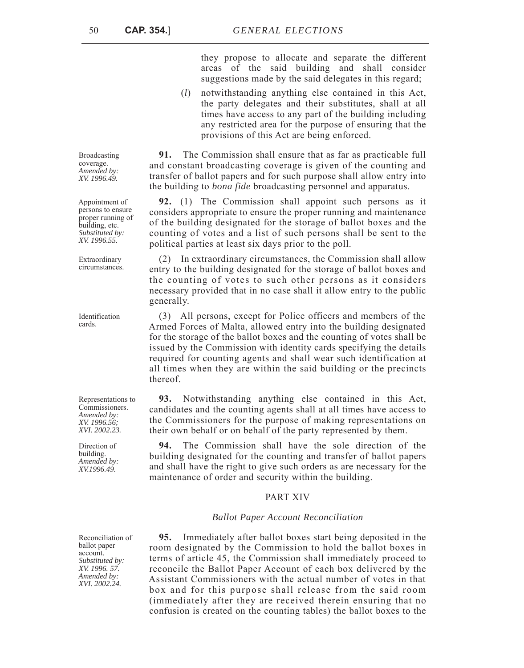they propose to allocate and separate the different areas of the said building and shall consider suggestions made by the said delegates in this regard;

(*l*) notwithstanding anything else contained in this Act, the party delegates and their substitutes, shall at all times have access to any part of the building including any restricted area for the purpose of ensuring that the provisions of this Act are being enforced.

**91.** The Commission shall ensure that as far as practicable full and constant broadcasting coverage is given of the counting and transfer of ballot papers and for such purpose shall allow entry into the building to *bona fide* broadcasting personnel and apparatus.

**92.** (1) The Commission shall appoint such persons as it considers appropriate to ensure the proper running and maintenance of the building designated for the storage of ballot boxes and the counting of votes and a list of such persons shall be sent to the political parties at least six days prior to the poll.

(2) In extraordinary circumstances, the Commission shall allow entry to the building designated for the storage of ballot boxes and the counting of votes to such other persons as it considers necessary provided that in no case shall it allow entry to the public generally.

(3) All persons, except for Police officers and members of the Armed Forces of Malta, allowed entry into the building designated for the storage of the ballot boxes and the counting of votes shall be issued by the Commission with identity cards specifying the details required for counting agents and shall wear such identification at all times when they are within the said building or the precincts thereof.

**93.** Notwithstanding anything else contained in this Act, candidates and the counting agents shall at all times have access to the Commissioners for the purpose of making representations on their own behalf or on behalf of the party represented by them.

**94.** The Commission shall have the sole direction of the building designated for the counting and transfer of ballot papers and shall have the right to give such orders as are necessary for the maintenance of order and security within the building.

### PART XIV

#### *Ballot Paper Account Reconciliation*

**95.** Immediately after ballot boxes start being deposited in the room designated by the Commission to hold the ballot boxes in terms of article 45, the Commission shall immediately proceed to reconcile the Ballot Paper Account of each box delivered by the Assistant Commissioners with the actual number of votes in that box and for this purpose shall release from the said room (immediately after they are received therein ensuring that no confusion is created on the counting tables) the ballot boxes to the

Broadcasting coverage. *Amended by: XV. 1996.49.*

Appointment of persons to ensure proper running of building, etc. *Substituted by: XV. 1996.55.*

Extraordinary circumstances.

Identification cards.

Representations to Commissioners. *Amended by: XV. 1996.56; XVI. 2002.23.*

Direction of building. *Amended by: XV.1996.49.*

Reconciliation of ballot paper account. *Substituted by: XV. 1996. 57. Amended by: XVI. 2002.24.*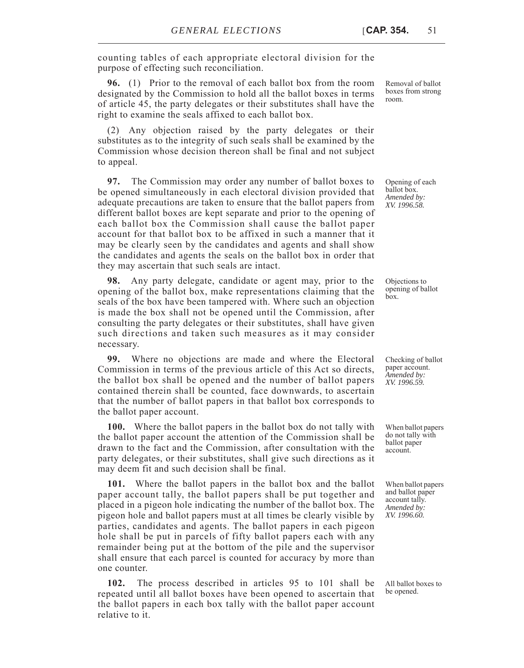counting tables of each appropriate electoral division for the purpose of effecting such reconciliation.

**96.** (1) Prior to the removal of each ballot box from the room designated by the Commission to hold all the ballot boxes in terms of article 45, the party delegates or their substitutes shall have the right to examine the seals affixed to each ballot box.

(2) Any objection raised by the party delegates or their substitutes as to the integrity of such seals shall be examined by the Commission whose decision thereon shall be final and not subject to appeal.

**97.** The Commission may order any number of ballot boxes to be opened simultaneously in each electoral division provided that adequate precautions are taken to ensure that the ballot papers from different ballot boxes are kept separate and prior to the opening of each ballot box the Commission shall cause the ballot paper account for that ballot box to be affixed in such a manner that it may be clearly seen by the candidates and agents and shall show the candidates and agents the seals on the ballot box in order that they may ascertain that such seals are intact.

**98.** Any party delegate, candidate or agent may, prior to the opening of the ballot box, make representations claiming that the seals of the box have been tampered with. Where such an objection is made the box shall not be opened until the Commission, after consulting the party delegates or their substitutes, shall have given such directions and taken such measures as it may consider necessary.

**99.** Where no objections are made and where the Electoral Commission in terms of the previous article of this Act so directs, the ballot box shall be opened and the number of ballot papers contained therein shall be counted, face downwards, to ascertain that the number of ballot papers in that ballot box corresponds to the ballot paper account.

**100.** Where the ballot papers in the ballot box do not tally with the ballot paper account the attention of the Commission shall be drawn to the fact and the Commission, after consultation with the party delegates, or their substitutes, shall give such directions as it may deem fit and such decision shall be final.

**101.** Where the ballot papers in the ballot box and the ballot paper account tally, the ballot papers shall be put together and placed in a pigeon hole indicating the number of the ballot box. The pigeon hole and ballot papers must at all times be clearly visible by parties, candidates and agents. The ballot papers in each pigeon hole shall be put in parcels of fifty ballot papers each with any remainder being put at the bottom of the pile and the supervisor shall ensure that each parcel is counted for accuracy by more than one counter.

**102.** The process described in articles 95 to 101 shall be repeated until all ballot boxes have been opened to ascertain that the ballot papers in each box tally with the ballot paper account relative to it.

Removal of ballot boxes from strong room.

Opening of each ballot box. *Amended by: XV. 1996.58.*

Objections to opening of ballot box.

Checking of ballot paper account. *Amended by: XV. 1996.59.*

When ballot papers do not tally with ballot paper account.

When ballot papers and ballot paper account tally. *Amended by: XV. 1996.60.*

All ballot boxes to be opened.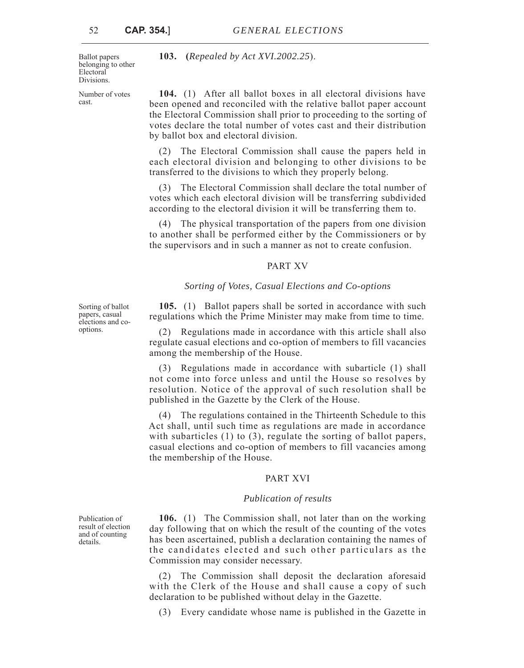Ballot papers belonging to other Electoral Divisions.

Number of votes cast.

**103. (***Repealed by Act XVI.2002.25*).

**104.** (1) After all ballot boxes in all electoral divisions have been opened and reconciled with the relative ballot paper account the Electoral Commission shall prior to proceeding to the sorting of votes declare the total number of votes cast and their distribution by ballot box and electoral division.

(2) The Electoral Commission shall cause the papers held in each electoral division and belonging to other divisions to be transferred to the divisions to which they properly belong.

(3) The Electoral Commission shall declare the total number of votes which each electoral division will be transferring subdivided according to the electoral division it will be transferring them to.

(4) The physical transportation of the papers from one division to another shall be performed either by the Commissioners or by the supervisors and in such a manner as not to create confusion.

### PART XV

#### *Sorting of Votes, Casual Elections and Co-options*

**105.** (1) Ballot papers shall be sorted in accordance with such regulations which the Prime Minister may make from time to time.

(2) Regulations made in accordance with this article shall also regulate casual elections and co-option of members to fill vacancies among the membership of the House.

(3) Regulations made in accordance with subarticle (1) shall not come into force unless and until the House so resolves by resolution. Notice of the approval of such resolution shall be published in the Gazette by the Clerk of the House.

(4) The regulations contained in the Thirteenth Schedule to this Act shall, until such time as regulations are made in accordance with subarticles (1) to (3), regulate the sorting of ballot papers, casual elections and co-option of members to fill vacancies among the membership of the House.

#### PART XVI

#### *Publication of results*

**106.** (1) The Commission shall, not later than on the working day following that on which the result of the counting of the votes has been ascertained, publish a declaration containing the names of the candidates elected and such other particulars as the Commission may consider necessary.

(2) The Commission shall deposit the declaration aforesaid with the Clerk of the House and shall cause a copy of such declaration to be published without delay in the Gazette.

(3) Every candidate whose name is published in the Gazette in

Sorting of ballot papers, casual elections and cooptions.

Publication of result of election and of counting details.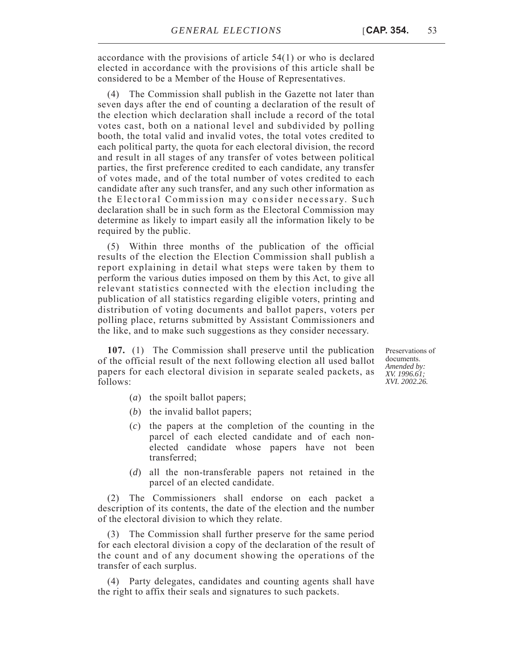accordance with the provisions of article 54(1) or who is declared elected in accordance with the provisions of this article shall be considered to be a Member of the House of Representatives.

(4) The Commission shall publish in the Gazette not later than seven days after the end of counting a declaration of the result of the election which declaration shall include a record of the total votes cast, both on a national level and subdivided by polling booth, the total valid and invalid votes, the total votes credited to each political party, the quota for each electoral division, the record and result in all stages of any transfer of votes between political parties, the first preference credited to each candidate, any transfer of votes made, and of the total number of votes credited to each candidate after any such transfer, and any such other information as the Electoral Commission may consider necessary. Such declaration shall be in such form as the Electoral Commission may determine as likely to impart easily all the information likely to be required by the public.

(5) Within three months of the publication of the official results of the election the Election Commission shall publish a report explaining in detail what steps were taken by them to perform the various duties imposed on them by this Act, to give all relevant statistics connected with the election including the publication of all statistics regarding eligible voters, printing and distribution of voting documents and ballot papers, voters per polling place, returns submitted by Assistant Commissioners and the like, and to make such suggestions as they consider necessary.

**107.** (1) The Commission shall preserve until the publication of the official result of the next following election all used ballot papers for each electoral division in separate sealed packets, as follows:

Preservations of documents. *Amended by: XV. 1996.61; XVI. 2002.26.*

- (*a*) the spoilt ballot papers;
- (*b*) the invalid ballot papers;
- (*c*) the papers at the completion of the counting in the parcel of each elected candidate and of each nonelected candidate whose papers have not been transferred;
- (*d*) all the non-transferable papers not retained in the parcel of an elected candidate.

(2) The Commissioners shall endorse on each packet a description of its contents, the date of the election and the number of the electoral division to which they relate.

(3) The Commission shall further preserve for the same period for each electoral division a copy of the declaration of the result of the count and of any document showing the operations of the transfer of each surplus.

(4) Party delegates, candidates and counting agents shall have the right to affix their seals and signatures to such packets.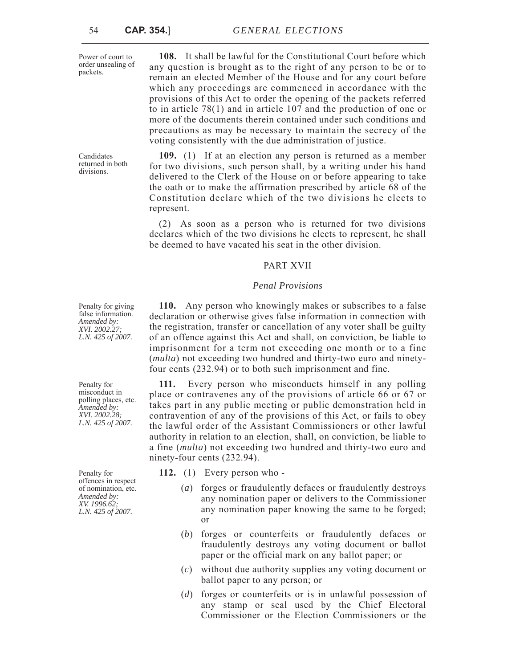Power of court to order unsealing of packets.

Candidates returned in both divisions.

**108.** It shall be lawful for the Constitutional Court before which any question is brought as to the right of any person to be or to remain an elected Member of the House and for any court before which any proceedings are commenced in accordance with the provisions of this Act to order the opening of the packets referred to in article 78(1) and in article 107 and the production of one or more of the documents therein contained under such conditions and precautions as may be necessary to maintain the secrecy of the voting consistently with the due administration of justice.

**109.** (1) If at an election any person is returned as a member for two divisions, such person shall, by a writing under his hand delivered to the Clerk of the House on or before appearing to take the oath or to make the affirmation prescribed by article 68 of the Constitution declare which of the two divisions he elects to represent.

(2) As soon as a person who is returned for two divisions declares which of the two divisions he elects to represent, he shall be deemed to have vacated his seat in the other division.

### PART XVII

### *Penal Provisions*

**110.** Any person who knowingly makes or subscribes to a false declaration or otherwise gives false information in connection with the registration, transfer or cancellation of any voter shall be guilty of an offence against this Act and shall, on conviction, be liable to imprisonment for a term not exceeding one month or to a fine (*multa*) not exceeding two hundred and thirty-two euro and ninetyfour cents (232.94) or to both such imprisonment and fine.

**111.** Every person who misconducts himself in any polling place or contravenes any of the provisions of article 66 or 67 or takes part in any public meeting or public demonstration held in contravention of any of the provisions of this Act, or fails to obey the lawful order of the Assistant Commissioners or other lawful authority in relation to an election, shall, on conviction, be liable to a fine (*multa*) not exceeding two hundred and thirty-two euro and ninety-four cents (232.94).

- **112.** (1) Every person who
	- (*a*) forges or fraudulently defaces or fraudulently destroys any nomination paper or delivers to the Commissioner any nomination paper knowing the same to be forged; or
	- (*b*) forges or counterfeits or fraudulently defaces or fraudulently destroys any voting document or ballot paper or the official mark on any ballot paper; or
	- (*c*) without due authority supplies any voting document or ballot paper to any person; or
	- (*d*) forges or counterfeits or is in unlawful possession of any stamp or seal used by the Chief Electoral Commissioner or the Election Commissioners or the

Penalty for giving false information. *Amended by: XVI. 2002.27; L.N. 425 of 2007.*

Penalty for misconduct in polling places, etc. *Amended by: XVI. 2002.28; L.N. 425 of 2007.*

Penalty for offences in respect of nomination, etc. *Amended by: XV. 1996.62; L.N. 425 of 2007.*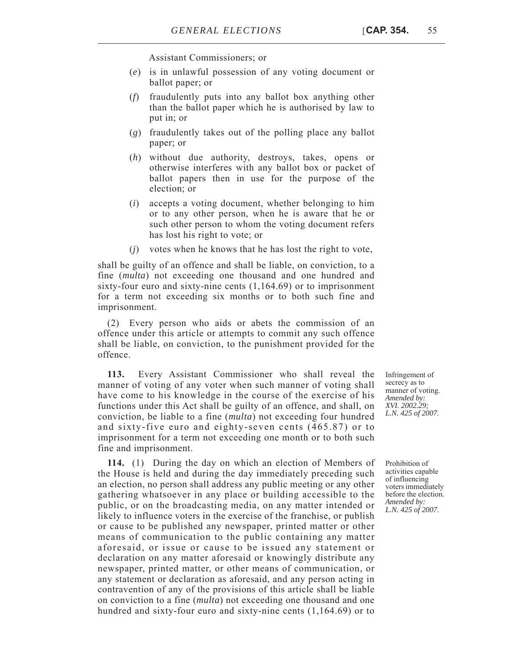- (*e*) is in unlawful possession of any voting document or ballot paper; or
- (*f*) fraudulently puts into any ballot box anything other than the ballot paper which he is authorised by law to put in; or
- (*g*) fraudulently takes out of the polling place any ballot paper; or
- (*h*) without due authority, destroys, takes, opens or otherwise interferes with any ballot box or packet of ballot papers then in use for the purpose of the election; or
- (*i*) accepts a voting document, whether belonging to him or to any other person, when he is aware that he or such other person to whom the voting document refers has lost his right to vote; or
- (*j*) votes when he knows that he has lost the right to vote,

shall be guilty of an offence and shall be liable, on conviction, to a fine (*multa*) not exceeding one thousand and one hundred and sixty-four euro and sixty-nine cents (1,164.69) or to imprisonment for a term not exceeding six months or to both such fine and imprisonment.

(2) Every person who aids or abets the commission of an offence under this article or attempts to commit any such offence shall be liable, on conviction, to the punishment provided for the offence.

**113.** Every Assistant Commissioner who shall reveal the manner of voting of any voter when such manner of voting shall have come to his knowledge in the course of the exercise of his functions under this Act shall be guilty of an offence, and shall, on conviction, be liable to a fine (*multa*) not exceeding four hundred and sixty-five euro and eighty-seven cents (465.87) or to imprisonment for a term not exceeding one month or to both such fine and imprisonment.

**114.** (1) During the day on which an election of Members of the House is held and during the day immediately preceding such an election, no person shall address any public meeting or any other gathering whatsoever in any place or building accessible to the public, or on the broadcasting media, on any matter intended or likely to influence voters in the exercise of the franchise, or publish or cause to be published any newspaper, printed matter or other means of communication to the public containing any matter aforesaid, or issue or cause to be issued any statement or declaration on any matter aforesaid or knowingly distribute any newspaper, printed matter, or other means of communication, or any statement or declaration as aforesaid, and any person acting in contravention of any of the provisions of this article shall be liable on conviction to a fine (*multa*) not exceeding one thousand and one hundred and sixty-four euro and sixty-nine cents (1,164.69) or to

Infringement of secrecy as to manner of voting. *Amended by: XVI. 2002.29; L.N. 425 of 2007.*

Prohibition of activities capable of influencing voters immediately before the election. *Amended by: L.N. 425 of 2007.*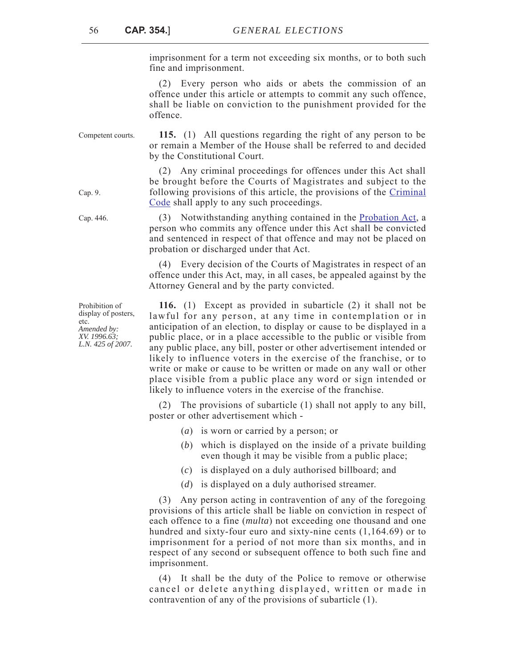imprisonment for a term not exceeding six months, or to both such fine and imprisonment.

(2) Every person who aids or abets the commission of an offence under this article or attempts to commit any such offence, shall be liable on conviction to the punishment provided for the offence.

Competent courts. **115.** (1) All questions regarding the right of any person to be or remain a Member of the House shall be referred to and decided by the Constitutional Court.

> (2) Any criminal proceedings for offences under this Act shall be brought before the Courts of Magistrates and subject to the following provisions of this article, the provisions of the [Criminal](http://www.justiceservices.gov.mt/DownloadDocument.aspx?app=lom&itemid=8574&l=1) [Code](http://www.justiceservices.gov.mt/DownloadDocument.aspx?app=lom&itemid=8574&l=1) shall apply to any such proceedings.

Cap. 446. (3) Notwithstanding anything contained in the [Probation Act,](http://www.justiceservices.gov.mt/DownloadDocument.aspx?app=lom&itemid=8912&l=1) a person who commits any offence under this Act shall be convicted and sentenced in respect of that offence and may not be placed on probation or discharged under that Act.

> (4) Every decision of the Courts of Magistrates in respect of an offence under this Act, may, in all cases, be appealed against by the Attorney General and by the party convicted.

**116.** (1) Except as provided in subarticle (2) it shall not be lawful for any person, at any time in contemplation or in anticipation of an election, to display or cause to be displayed in a public place, or in a place accessible to the public or visible from any public place, any bill, poster or other advertisement intended or likely to influence voters in the exercise of the franchise, or to write or make or cause to be written or made on any wall or other place visible from a public place any word or sign intended or likely to influence voters in the exercise of the franchise.

(2) The provisions of subarticle (1) shall not apply to any bill, poster or other advertisement which -

- (*a*) is worn or carried by a person; or
- (*b*) which is displayed on the inside of a private building even though it may be visible from a public place;
- (*c*) is displayed on a duly authorised billboard; and
- (*d*) is displayed on a duly authorised streamer.

(3) Any person acting in contravention of any of the foregoing provisions of this article shall be liable on conviction in respect of each offence to a fine (*multa*) not exceeding one thousand and one hundred and sixty-four euro and sixty-nine cents (1,164.69) or to imprisonment for a period of not more than six months, and in respect of any second or subsequent offence to both such fine and imprisonment.

(4) It shall be the duty of the Police to remove or otherwise cancel or delete anything displayed, written or made in contravention of any of the provisions of subarticle (1).

Cap. 9.

Prohibition of display of posters, etc. *Amended by: XV. 1996.63; L.N. 425 of 2007.*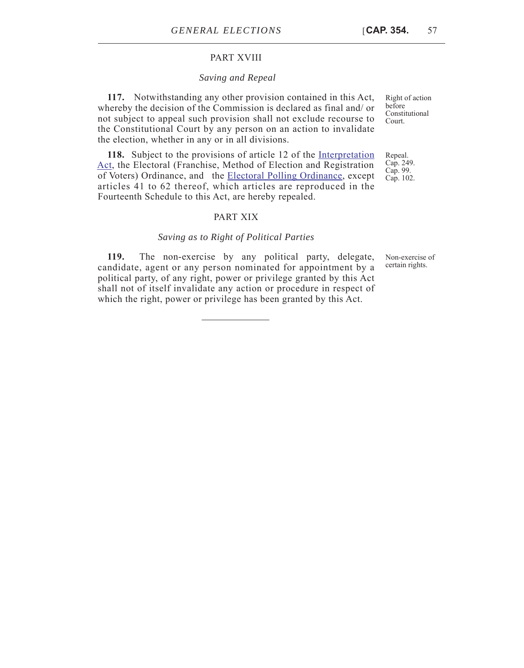### PART XVIII

#### *Saving and Repeal*

**117.** Notwithstanding any other provision contained in this Act, whereby the decision of the Commission is declared as final and/ or not subject to appeal such provision shall not exclude recourse to the Constitutional Court by any person on an action to invalidate the election, whether in any or in all divisions.

**118.** Subject to the provisions of article 12 of the [Interpretation](http://www.justiceservices.gov.mt/DownloadDocument.aspx?app=lom&itemid=8744&l=1) [Act,](http://www.justiceservices.gov.mt/DownloadDocument.aspx?app=lom&itemid=8744&l=1) the Electoral (Franchise, Method of Election and Registration of Voters) Ordinance, and the [Electoral Polling Ordinance](http://www.justiceservices.gov.mt/DownloadDocument.aspx?app=lom&itemid=8642&l=1), except articles 41 to 62 thereof, which articles are reproduced in the Fourteenth Schedule to this Act, are hereby repealed.

### PART XIX

### *Saving as to Right of Political Parties*

**119.** The non-exercise by any political party, delegate, candidate, agent or any person nominated for appointment by a political party, of any right, power or privilege granted by this Act shall not of itself invalidate any action or procedure in respect of which the right, power or privilege has been granted by this Act.

Right of action before Constitutional Court.

Repeal. Cap. 249. Cap. 99. Cap. 102.

Non-exercise of certain rights.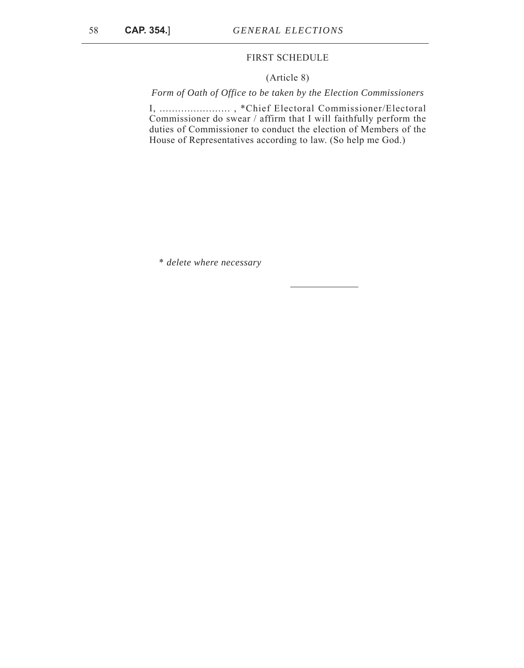### FIRST SCHEDULE

### (Article 8)

*Form of Oath of Office to be taken by the Election Commissioners*

I, ....................... , \*Chief Electoral Commissioner/Electoral Commissioner do swear / affirm that I will faithfully perform the duties of Commissioner to conduct the election of Members of the House of Representatives according to law. (So help me God.)

\* *delete where necessary*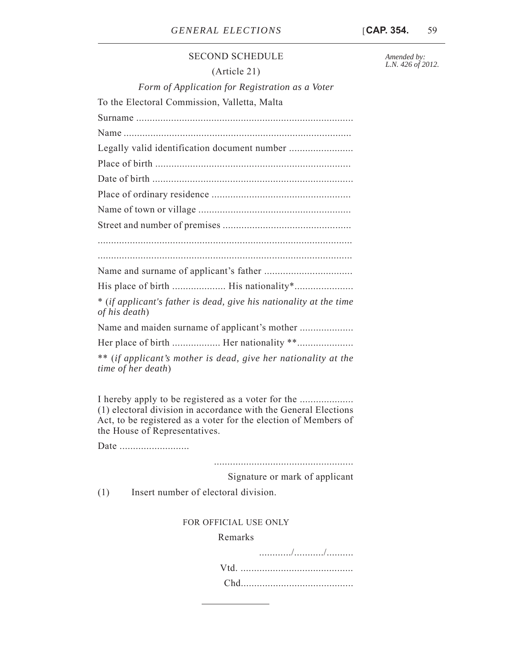### SECOND SCHEDULE

(Article 21)

*Form of Application for Registration as a Voter* 

To the Electoral Commission, Valletta, Malta

Surname ................................................................................. Name ..................................................................................... Legally valid identification document number ........................ Place of birth ......................................................................... Date of birth ........................................................................... Place of ordinary residence .................................................... Name of town or village ......................................................... Street and number of premises ................................................ ............................................................................................... Name and surname of applicant's father ................................. His place of birth .................... His nationality\*...................... \* (*if applicant's father is dead, give his nationality at the time of his death*) Name and maiden surname of applicant's mother .................... Her place of birth ...................... Her nationality \*\*..................... \*\* (*if applicant's mother is dead, give her nationality at the time of her death*)

I hereby apply to be registered as a voter for the .................... (1) electoral division in accordance with the General Elections Act, to be registered as a voter for the election of Members of the House of Representatives.

Date .............................

....................................................

Signature or mark of applicant

(1) Insert number of electoral division.

### FOR OFFICIAL USE ONLY

Remarks

*Amended by: L.N. 426 of 2012.*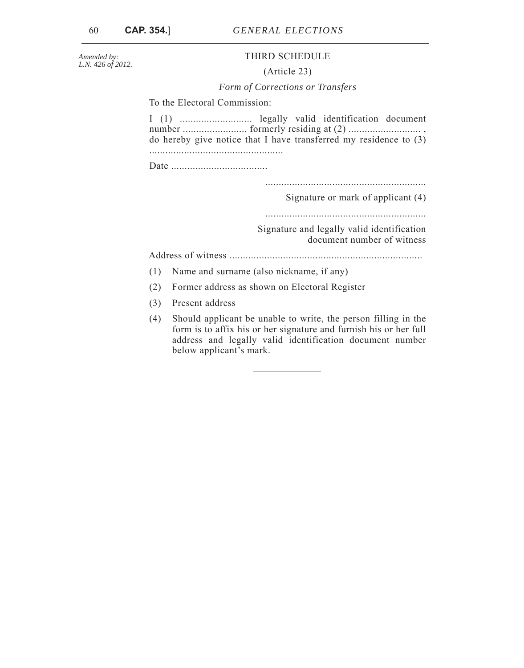60 **CAP. 354.**]*GENERAL ELECTIONS* 

#### *Amended by: L.N. 426 of 2012.*

### THIRD SCHEDULE

### (Article 23)

### *Form of Corrections or Transfers*

To the Electoral Commission:

I (1) ........................... legally valid identification document number ........................ formerly residing at (2) ........................... , do hereby give notice that I have transferred my residence to (3) ..................................................

Date ....................................

............................................................

Signature or mark of applicant (4)

............................................................

Signature and legally valid identification document number of witness

Address of witness ........................................................................

(1) Name and surname (also nickname, if any)

- (2) Former address as shown on Electoral Register
- (3) Present address
- (4) Should applicant be unable to write, the person filling in the form is to affix his or her signature and furnish his or her full address and legally valid identification document number below applicant's mark.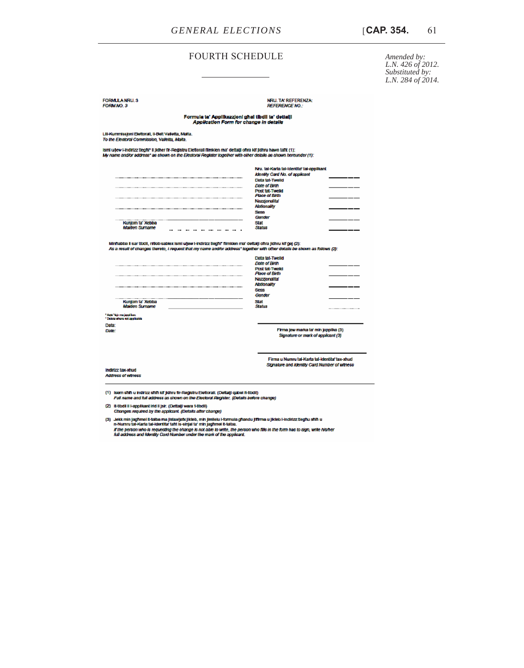### FOURTH SCHEDULE

*Amended by: L.N. 426 of 2012. Substituted by: L.N. 284 of 2014.*

| <b>FORMULA NRU. 3</b><br><b>FORM MO. 3</b>                                                                                                                                                                                                                                                                         | <b>NRU. TA' REFERENZA:</b><br><b>REFERENCE NO:</b>                                              |  |  |  |  |
|--------------------------------------------------------------------------------------------------------------------------------------------------------------------------------------------------------------------------------------------------------------------------------------------------------------------|-------------------------------------------------------------------------------------------------|--|--|--|--|
| Formula ta' Applikazzioni ghai tibdii ta' dettalli<br>Application Form for change in details                                                                                                                                                                                                                       |                                                                                                 |  |  |  |  |
| Lill-Kummissioni Elettorali, Il-Belt Valletta, Malta.<br>To the Electoral Commission, Valletta, Malta.                                                                                                                                                                                                             |                                                                                                 |  |  |  |  |
| ismi uyew Hndirizz tieghinii jidher fir-Registru Elettorali filmkien ma' dettalji ohra kif jidhru hawn taht (1):<br>My name and/or address* as shown on the Electoral Register together with other details as shown hereunder (1):                                                                                 |                                                                                                 |  |  |  |  |
|                                                                                                                                                                                                                                                                                                                    | Nru. tal-Karla tal-Identita' tal-applikant                                                      |  |  |  |  |
|                                                                                                                                                                                                                                                                                                                    | <b>Alentity Card No. of applicant</b><br>Data tat-Twelld                                        |  |  |  |  |
|                                                                                                                                                                                                                                                                                                                    | Date of Birth                                                                                   |  |  |  |  |
|                                                                                                                                                                                                                                                                                                                    | Post tat-Twelld                                                                                 |  |  |  |  |
|                                                                                                                                                                                                                                                                                                                    | Place of Birth                                                                                  |  |  |  |  |
|                                                                                                                                                                                                                                                                                                                    | <b>Nazzionalita</b>                                                                             |  |  |  |  |
|                                                                                                                                                                                                                                                                                                                    | <b>Alationality</b>                                                                             |  |  |  |  |
|                                                                                                                                                                                                                                                                                                                    | See<br>Gender                                                                                   |  |  |  |  |
| Kunjom ta' Xebba                                                                                                                                                                                                                                                                                                   | Stat                                                                                            |  |  |  |  |
|                                                                                                                                                                                                                                                                                                                    |                                                                                                 |  |  |  |  |
| Malden Sumame<br>$\cdots$<br>$\cdots$<br>$\cdots$<br>$\cdots$<br>Minhabba il sar titxili, nitiob sablex ismi uljew Hndirizz tieghi" filmkien ma' deftalji olira jidhru kif gej (2):<br>As a result of changes thereto, I request that my name and/or address" together with other details be shown as follows (2): | <b>Status</b>                                                                                   |  |  |  |  |
|                                                                                                                                                                                                                                                                                                                    | Data tat-Twelld                                                                                 |  |  |  |  |
|                                                                                                                                                                                                                                                                                                                    | Date of Birth                                                                                   |  |  |  |  |
|                                                                                                                                                                                                                                                                                                                    | Pret tat-Twelld                                                                                 |  |  |  |  |
|                                                                                                                                                                                                                                                                                                                    | <b>Place of Birth</b><br>Nazzionalita <sup>®</sup>                                              |  |  |  |  |
|                                                                                                                                                                                                                                                                                                                    | <b>Alationality</b>                                                                             |  |  |  |  |
|                                                                                                                                                                                                                                                                                                                    | <b>Sess</b>                                                                                     |  |  |  |  |
|                                                                                                                                                                                                                                                                                                                    | Gender                                                                                          |  |  |  |  |
| Kunjom ta' Xebba<br><b>Maiden Surname</b>                                                                                                                                                                                                                                                                          | Stat<br>Status                                                                                  |  |  |  |  |
| "Agh" hip majapplikes.                                                                                                                                                                                                                                                                                             |                                                                                                 |  |  |  |  |
| * Deleto where not assistable                                                                                                                                                                                                                                                                                      |                                                                                                 |  |  |  |  |
| Data:                                                                                                                                                                                                                                                                                                              |                                                                                                 |  |  |  |  |
| Date:                                                                                                                                                                                                                                                                                                              | Firma jew marka ta' min jappilika (3)<br>Signature or mark of applicant (3)                     |  |  |  |  |
|                                                                                                                                                                                                                                                                                                                    | Firma u Numru tal-Karta tal-Identita' tax-xhud<br>Stanature and Identity Card Number of witness |  |  |  |  |
| indirizz tax-xhud<br>Address of witness                                                                                                                                                                                                                                                                            |                                                                                                 |  |  |  |  |

(1) Isem shih u indirizz shih kif jidhru fir-Reğistru Eleftorali. (Deftalji qabel il-tibdil)<br>Fut name and fut address as shown on the Electoral Register. (Defalls before change)

(2) It-tibdi il i-applikant irid il jsir. (Dettaiji wara 1-tibdili)<br>Changes required by the applicant (Defails after change)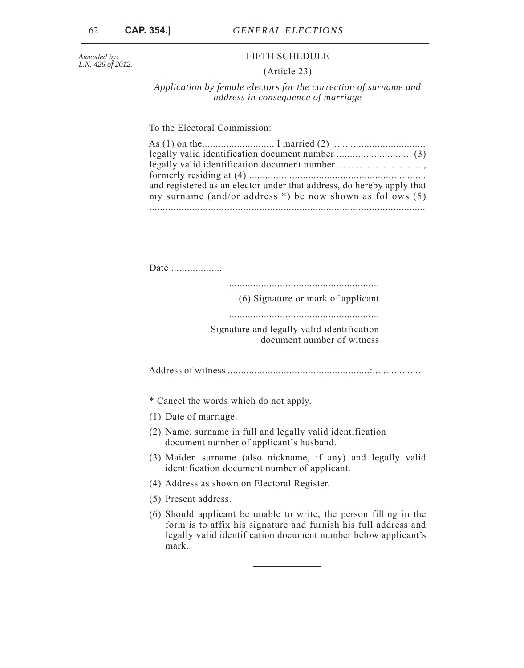*Amended by: L.N. 426 of 2012.*

### FIFTH SCHEDULE

### (Article 23)

*Application by female electors for the correction of surname and address in consequence of marriage* 

To the Electoral Commission:

| legally valid identification document number                          |  |
|-----------------------------------------------------------------------|--|
|                                                                       |  |
| and registered as an elector under that address, do hereby apply that |  |
| my surname (and/or address $*$ ) be now shown as follows (5)          |  |
|                                                                       |  |

Date .....................

........................................................

(6) Signature or mark of applicant

........................................................

Signature and legally valid identification document number of witness

Address of witness .....................................................:...................

\* Cancel the words which do not apply.

- (1) Date of marriage.
- (2) Name, surname in full and legally valid identification document number of applicant's husband.
- (3) Maiden surname (also nickname, if any) and legally valid identification document number of applicant.
- (4) Address as shown on Electoral Register.
- (5) Present address.
- (6) Should applicant be unable to write, the person filling in the form is to affix his signature and furnish his full address and legally valid identification document number below applicant's mark.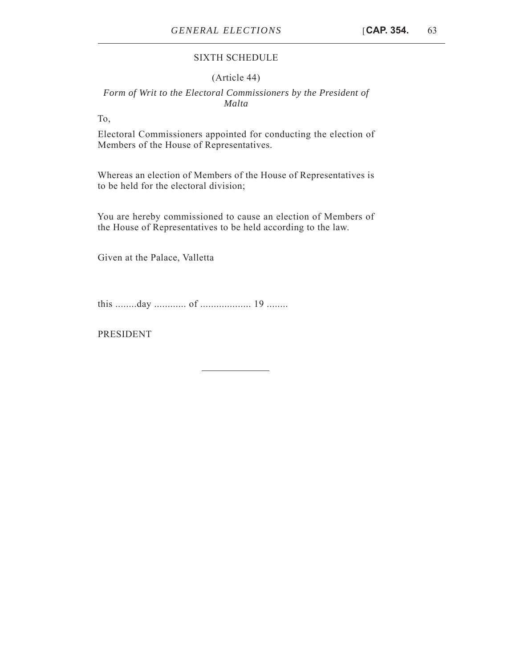### SIXTH SCHEDULE

### (Article 44)

### *Form of Writ to the Electoral Commissioners by the President of Malta*

To,

Electoral Commissioners appointed for conducting the election of Members of the House of Representatives.

Whereas an election of Members of the House of Representatives is to be held for the electoral division;

You are hereby commissioned to cause an election of Members of the House of Representatives to be held according to the law.

Given at the Palace, Valletta

this ........day ............ of ................... 19 ........

PRESIDENT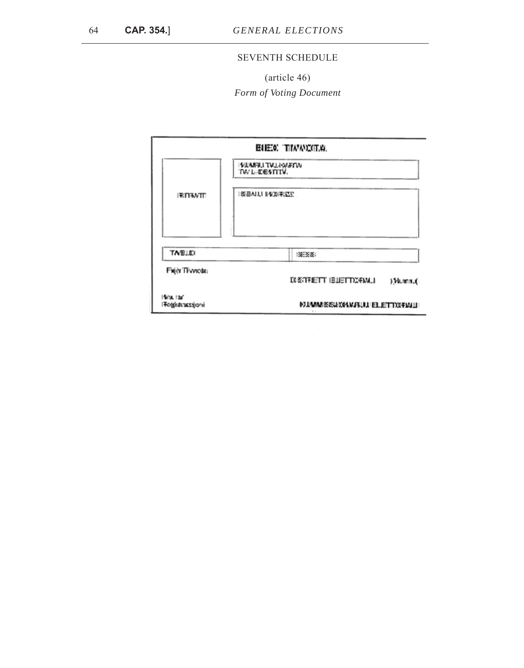### SEVENTH SCHEDULE

(article 46) *Form of Voting Document*

|                               | EUEO TIMMOZOTA                               |             |
|-------------------------------|----------------------------------------------|-------------|
|                               | <b>VUMPLITVJJVAFNV</b><br>TWIL-DESTITY.      |             |
| <b>FRITTENTTE</b>             | 222年10月11日                                   |             |
| TABLE                         | 3. 交叉:                                       |             |
| Frein Tiwwcda:                | LO & THE TT I BUE TO XEMULI                  | ) Victoria. |
| Mahu, Istar<br>inodzasadağa#1 | DJJAMMI ISSU XAAMAAJIJI EELETTYXEMJJI<br>. . |             |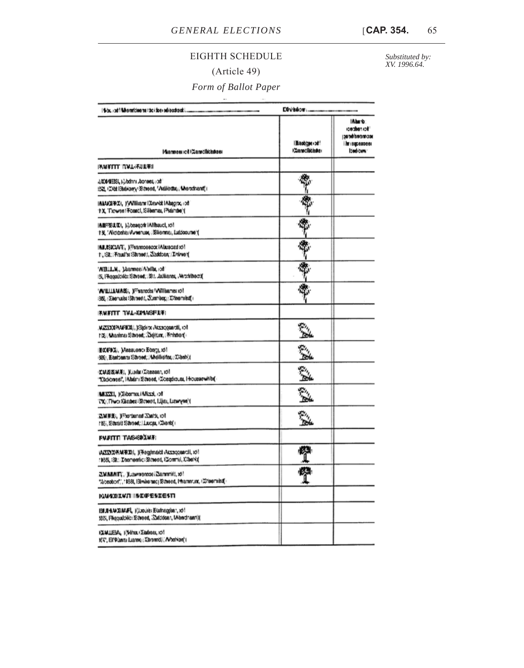# EIGHTH SCHEDULE

# (Article 49)

# *Form of Ballot Paper*

 $\ddot{\phantom{1}}$ 

| l Sibe, vot i Salamnidea na i toj i toj i salvadigadi                                                       | EGyladom                               |                                                                    |  |
|-------------------------------------------------------------------------------------------------------------|----------------------------------------|--------------------------------------------------------------------|--|
| Mannesi ich Zianstilldanser                                                                                 | like subjekt i bill<br>(Campellidades) | laba to:<br>idente de oc<br>scompanide act<br>и времен<br>bediges: |  |
| <b>IXMALLI UNTILISTI</b>                                                                                    |                                        |                                                                    |  |
| A000/UE381, MJ/bdnns Jaonses, vodi<br>ISS, ICIdd Blakkary Schood, Walliedts, Mierchenff II                  |                                        |                                                                    |  |
| IAMAZI PIZI, YANIliam I Xavidi IAbagoza xi<br>1X, Txyvan1Tceetl, Sileanau Piander(                          |                                        |                                                                    |  |
| Alli7交えて(, ) Libeagotr   Alfisauci, xd  <br>13. Wichbahls Wyseruse, Silismne, Luddooume (                   |                                        |                                                                    |  |
| IMILESICAATI, Nifsannoseoox iAlusasad xol<br>1. 138: Fraud's 138 reed), Saddoan, Drawe (                    |                                        |                                                                    |  |
| 'A'BLL.V., 'Llusmneei A'aillar, 13d'<br>St, I Kagaddilo: Sävaed, 1381. Jadisensa, Mychibecti(               |                                        |                                                                    |  |
| 'A'ILLIAMASE, X <sup>2</sup> 'sanods Williams: x01<br>1382, : Xaenuda 138 raed 1, Sünmeer, : Xhinemristif i |                                        |                                                                    |  |
| <b>KMELLE JATYSTANSELEI</b>                                                                                 |                                        |                                                                    |  |
| W23300PM4R00J, J3bpirx Aksacopardi, roll<br>r (E) Manimal Stiveed, (Deltum, Pinintran)                      |                                        |                                                                    |  |
| ECCPIZ, Massueno Ebagi, xd1<br>32E), Eanitenra 18aneer, Modificinar, Xibab (f                               |                                        |                                                                    |  |
| <b>ては反泛単平), Jijaila / XRBBBB1, xdf</b><br>"Didiomeer, IAbdiri Streed, (Zoegtious), Houssewith (-            |                                        |                                                                    |  |
| MISSSEL, J/Zibarnau (Alissal, /pdf<br>TX, Tiwo Kanber Strond, Lijin, Lunvyer (                              | e.<br>Blir                             |                                                                    |  |
| (ZM形面), NFoortunad (Santic roll<br>r BE), Startin'd Starreed, I Lucceu, I Chemid (+                         | $\mathbb{Z}_{2}$<br>'n4.               |                                                                    |  |
| <b>EMETTTI TAISHSDÄME!</b>                                                                                  |                                        |                                                                    |  |
| VLXXXXXXXXXXII, )(予sgrimaidt Acseqqearcli, xd1<br>rilea, 192.: Doomemic: Streed, Kicamid, Kiberkij          |                                        |                                                                    |  |
| ZMARAITI', 'Juawerence (Ziammiti, xd )<br>"Jubeabon", r 1981, 16/wherser; Scheed, Pharmnum, 1001semistor,   |                                        |                                                                    |  |
| <b>PAM400IX4711INDIFESIDESTI</b>                                                                            |                                        |                                                                    |  |
| 131月442以下1, j(Louis: Eumagian, xd1<br>1881, I'llegoddilic: Streed, 15addosan, Mendrianni)(                  |                                        |                                                                    |  |
| KAMILIEM, KAINA KAANNA KOT<br>IET', IET Plants Lismo, (Xaramdi), Albahian's                                 |                                        |                                                                    |  |

*Substituted by: XV. 1996.64.*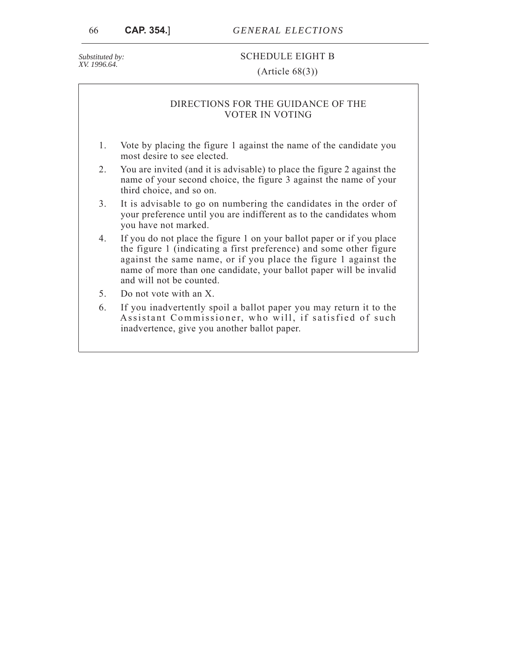*Substituted by: XV. 1996.64.*

### SCHEDULE EIGHT B

### (Article 68(3))

### DIRECTIONS FOR THE GUIDANCE OF THE VOTER IN VOTING

- 1. Vote by placing the figure 1 against the name of the candidate you most desire to see elected.
- 2. You are invited (and it is advisable) to place the figure 2 against the name of your second choice, the figure 3 against the name of your third choice, and so on.
- 3. It is advisable to go on numbering the candidates in the order of your preference until you are indifferent as to the candidates whom you have not marked.
- 4. If you do not place the figure 1 on your ballot paper or if you place the figure 1 (indicating a first preference) and some other figure against the same name, or if you place the figure 1 against the name of more than one candidate, your ballot paper will be invalid and will not be counted.
- 5. Do not vote with an X.
- 6. If you inadvertently spoil a ballot paper you may return it to the Assistant Commissioner, who will, if satisfied of such inadvertence, give you another ballot paper.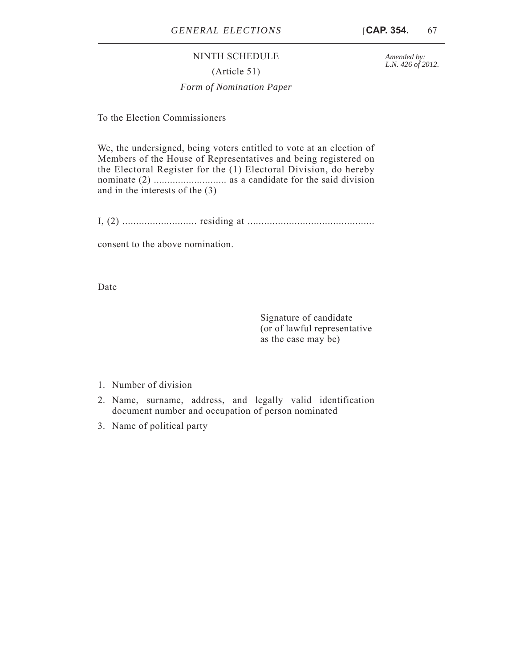# NINTH SCHEDULE (Article 51)

# *Form of Nomination Paper*

To the Election Commissioners

We, the undersigned, being voters entitled to vote at an election of Members of the House of Representatives and being registered on the Electoral Register for the (1) Electoral Division, do hereby nominate (2) ........................... as a candidate for the said division and in the interests of the (3)

I, (2) ........................... residing at ..............................................

consent to the above nomination.

Date

Signature of candidate (or of lawful representative as the case may be)

- 1. Number of division
- 2. Name, surname, address, and legally valid identification document number and occupation of person nominated
- 3. Name of political party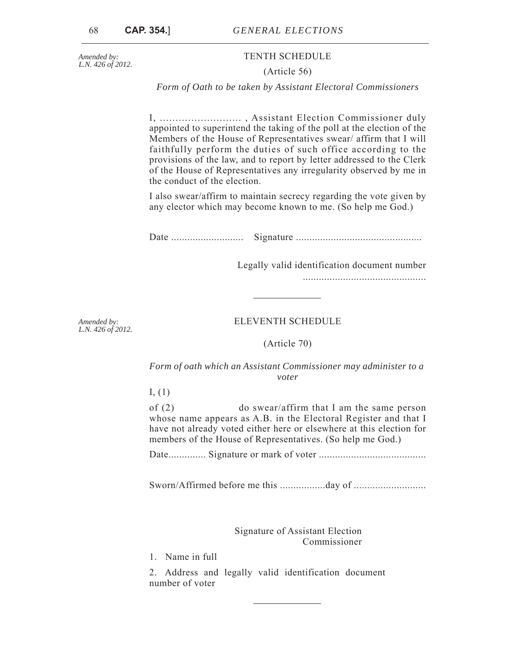*Amended by: L.N. 426 of 2012.*

### TENTH SCHEDULE

#### (Article 56)

*Form of Oath to be taken by Assistant Electoral Commissioners*

I, .......................... , Assistant Election Commissioner duly appointed to superintend the taking of the poll at the election of the Members of the House of Representatives swear/ affirm that I will faithfully perform the duties of such office according to the provisions of the law, and to report by letter addressed to the Clerk of the House of Representatives any irregularity observed by me in the conduct of the election.

I also swear/affirm to maintain secrecy regarding the vote given by any elector which may become known to me. (So help me God.)

Date ........................... Signature ...............................................

Legally valid identification document number

..............................................

*Amended by: L.N. 426 of 2012.*

### ELEVENTH SCHEDULE

### (Article 70)

*Form of oath which an Assistant Commissioner may administer to a voter*

I, (1)

of (2) do swear/affirm that I am the same person whose name appears as A.B. in the Electoral Register and that I have not already voted either here or elsewhere at this election for members of the House of Representatives. (So help me God.)

Date.............. Signature or mark of voter ........................................

Sworn/Affirmed before me this .................day of ...........................

Signature of Assistant Election Commissioner

1. Name in full

2. Address and legally valid identification document number of voter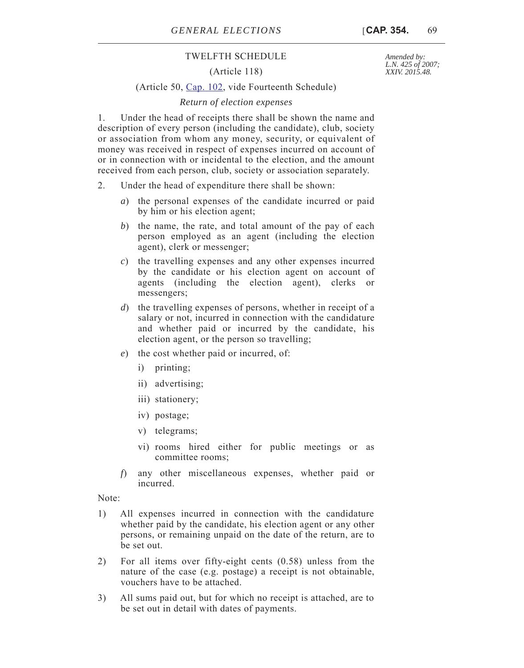### TWELFTH SCHEDULE

(Article 118)

### (Article 50, [Cap. 102,](http://www.justiceservices.gov.mt/DownloadDocument.aspx?app=lom&itemid=8642&l=1) vide Fourteenth Schedule)

*Return of election expenses*

1. Under the head of receipts there shall be shown the name and description of every person (including the candidate), club, society or association from whom any money, security, or equivalent of money was received in respect of expenses incurred on account of or in connection with or incidental to the election, and the amount received from each person, club, society or association separately.

- 2. Under the head of expenditure there shall be shown:
	- *a*) the personal expenses of the candidate incurred or paid by him or his election agent;
	- *b*) the name, the rate, and total amount of the pay of each person employed as an agent (including the election agent), clerk or messenger;
	- *c*) the travelling expenses and any other expenses incurred by the candidate or his election agent on account of agents (including the election agent), clerks or messengers;
	- *d*) the travelling expenses of persons, whether in receipt of a salary or not, incurred in connection with the candidature and whether paid or incurred by the candidate, his election agent, or the person so travelling;
	- *e*) the cost whether paid or incurred, of:
		- i) printing;
		- ii) advertising;
		- iii) stationery;
		- iv) postage;
		- v) telegrams;
		- vi) rooms hired either for public meetings or as committee rooms;
	- *f*) any other miscellaneous expenses, whether paid or incurred.

Note:

- 1) All expenses incurred in connection with the candidature whether paid by the candidate, his election agent or any other persons, or remaining unpaid on the date of the return, are to be set out.
- 2) For all items over fifty-eight cents (0.58) unless from the nature of the case (e.g. postage) a receipt is not obtainable, vouchers have to be attached.
- 3) All sums paid out, but for which no receipt is attached, are to be set out in detail with dates of payments.

*Amended by: L.N. 425 of 2007; XXIV. 2015.48.*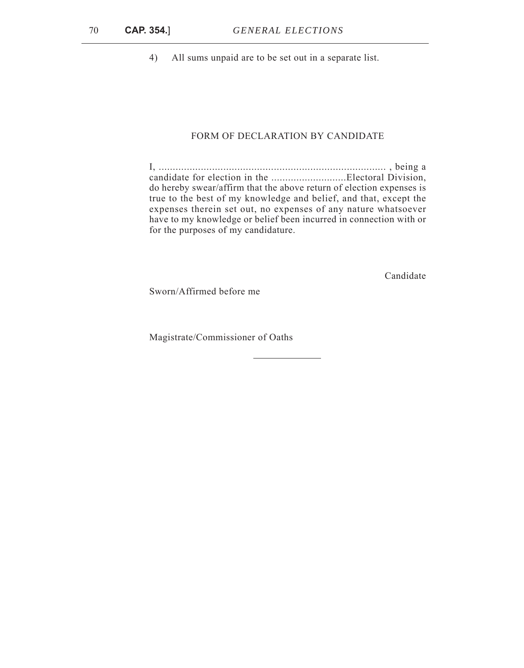4) All sums unpaid are to be set out in a separate list.

### FORM OF DECLARATION BY CANDIDATE

I, ................................................................................. , being a candidate for election in the ...........................Electoral Division, do hereby swear/affirm that the above return of election expenses is true to the best of my knowledge and belief, and that, except the expenses therein set out, no expenses of any nature whatsoever have to my knowledge or belief been incurred in connection with or for the purposes of my candidature.

Candidate

Sworn/Affirmed before me

Magistrate/Commissioner of Oaths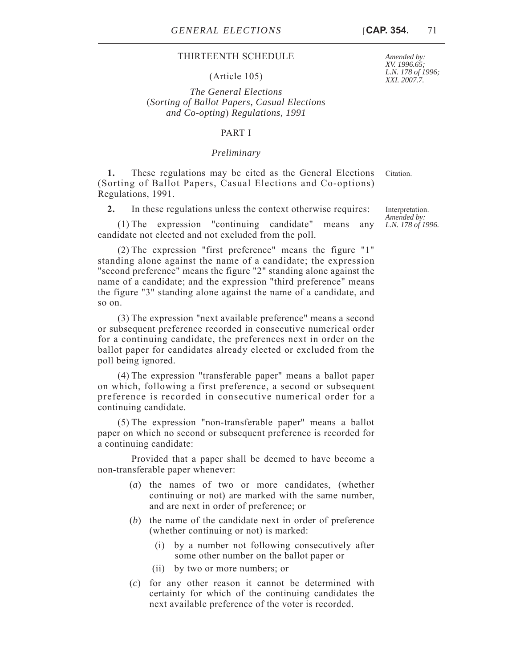### THIRTEENTH SCHEDULE

(Article 105)

*The General Elections*  (*Sorting of Ballot Papers, Casual Elections and Co-opting*) *Regulations, 1991* 

### PART I

### *Preliminary*

**1.** These regulations may be cited as the General Elections Citation. (Sorting of Ballot Papers, Casual Elections and Co-options) Regulations, 1991.

**2.** In these regulations unless the context otherwise requires:

 (1) The expression "continuing candidate" means any candidate not elected and not excluded from the poll.

 (2) The expression "first preference" means the figure "1" standing alone against the name of a candidate; the expression "second preference" means the figure "2" standing alone against the name of a candidate; and the expression "third preference" means the figure "3" standing alone against the name of a candidate, and so on.

 (3) The expression "next available preference" means a second or subsequent preference recorded in consecutive numerical order for a continuing candidate, the preferences next in order on the ballot paper for candidates already elected or excluded from the poll being ignored.

 (4) The expression "transferable paper" means a ballot paper on which, following a first preference, a second or subsequent preference is recorded in consecutive numerical order for a continuing candidate.

 (5) The expression "non-transferable paper" means a ballot paper on which no second or subsequent preference is recorded for a continuing candidate:

Provided that a paper shall be deemed to have become a non-transferable paper whenever:

- (*a*) the names of two or more candidates, (whether continuing or not) are marked with the same number, and are next in order of preference; or
- (*b*) the name of the candidate next in order of preference (whether continuing or not) is marked:
	- (i) by a number not following consecutively after some other number on the ballot paper or
	- (ii) by two or more numbers; or
- (*c*) for any other reason it cannot be determined with certainty for which of the continuing candidates the next available preference of the voter is recorded.

*Amended by: XV. 1996.65; L.N. 178 of 1996; XXI. 2007.7.*

Interpretation. *Amended by: L.N. 178 of 1996.*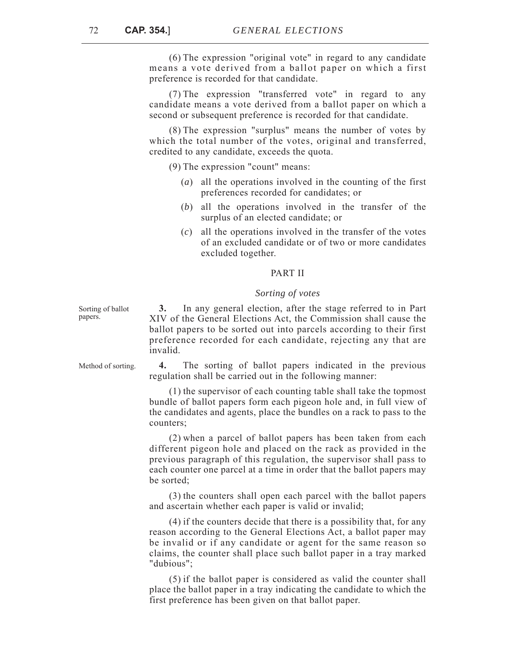(6) The expression "original vote" in regard to any candidate means a vote derived from a ballot paper on which a first preference is recorded for that candidate.

 (7) The expression "transferred vote" in regard to any candidate means a vote derived from a ballot paper on which a second or subsequent preference is recorded for that candidate.

 (8) The expression "surplus" means the number of votes by which the total number of the votes, original and transferred, credited to any candidate, exceeds the quota.

(9) The expression "count" means:

- (*a*) all the operations involved in the counting of the first preferences recorded for candidates; or
- (*b*) all the operations involved in the transfer of the surplus of an elected candidate; or
- (*c*) all the operations involved in the transfer of the votes of an excluded candidate or of two or more candidates excluded together.

### PART II

#### *Sorting of votes*

**3.** In any general election, after the stage referred to in Part XIV of the General Elections Act, the Commission shall cause the ballot papers to be sorted out into parcels according to their first preference recorded for each candidate, rejecting any that are invalid.

Method of sorting. **4.** The sorting of ballot papers indicated in the previous regulation shall be carried out in the following manner:

> (1) the supervisor of each counting table shall take the topmost bundle of ballot papers form each pigeon hole and, in full view of the candidates and agents, place the bundles on a rack to pass to the counters;

> (2) when a parcel of ballot papers has been taken from each different pigeon hole and placed on the rack as provided in the previous paragraph of this regulation, the supervisor shall pass to each counter one parcel at a time in order that the ballot papers may be sorted;

> (3) the counters shall open each parcel with the ballot papers and ascertain whether each paper is valid or invalid;

> (4) if the counters decide that there is a possibility that, for any reason according to the General Elections Act, a ballot paper may be invalid or if any candidate or agent for the same reason so claims, the counter shall place such ballot paper in a tray marked "dubious";

> (5) if the ballot paper is considered as valid the counter shall place the ballot paper in a tray indicating the candidate to which the first preference has been given on that ballot paper.

Sorting of ballot papers.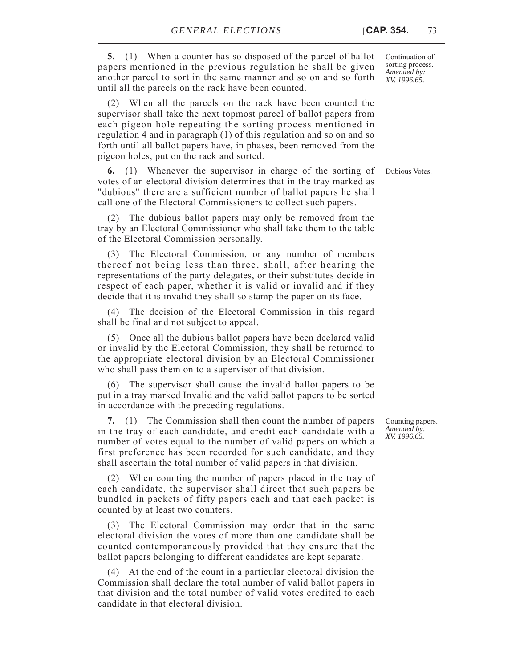**5.** (1) When a counter has so disposed of the parcel of ballot papers mentioned in the previous regulation he shall be given another parcel to sort in the same manner and so on and so forth until all the parcels on the rack have been counted.

(2) When all the parcels on the rack have been counted the supervisor shall take the next topmost parcel of ballot papers from each pigeon hole repeating the sorting process mentioned in regulation 4 and in paragraph (1) of this regulation and so on and so forth until all ballot papers have, in phases, been removed from the pigeon holes, put on the rack and sorted.

**6.** (1) Whenever the supervisor in charge of the sorting of Dubious Votes. votes of an electoral division determines that in the tray marked as "dubious" there are a sufficient number of ballot papers he shall call one of the Electoral Commissioners to collect such papers.

(2) The dubious ballot papers may only be removed from the tray by an Electoral Commissioner who shall take them to the table of the Electoral Commission personally.

(3) The Electoral Commission, or any number of members thereof not being less than three, shall, after hearing the representations of the party delegates, or their substitutes decide in respect of each paper, whether it is valid or invalid and if they decide that it is invalid they shall so stamp the paper on its face.

(4) The decision of the Electoral Commission in this regard shall be final and not subject to appeal.

(5) Once all the dubious ballot papers have been declared valid or invalid by the Electoral Commission, they shall be returned to the appropriate electoral division by an Electoral Commissioner who shall pass them on to a supervisor of that division.

(6) The supervisor shall cause the invalid ballot papers to be put in a tray marked Invalid and the valid ballot papers to be sorted in accordance with the preceding regulations.

**7.** (1) The Commission shall then count the number of papers in the tray of each candidate, and credit each candidate with a number of votes equal to the number of valid papers on which a first preference has been recorded for such candidate, and they shall ascertain the total number of valid papers in that division.

(2) When counting the number of papers placed in the tray of each candidate, the supervisor shall direct that such papers be bundled in packets of fifty papers each and that each packet is counted by at least two counters.

(3) The Electoral Commission may order that in the same electoral division the votes of more than one candidate shall be counted contemporaneously provided that they ensure that the ballot papers belonging to different candidates are kept separate.

(4) At the end of the count in a particular electoral division the Commission shall declare the total number of valid ballot papers in that division and the total number of valid votes credited to each candidate in that electoral division.

Counting papers. *Amended by: XV. 1996.65.*

Continuation of sorting process. *Amended by: XV. 1996.65.*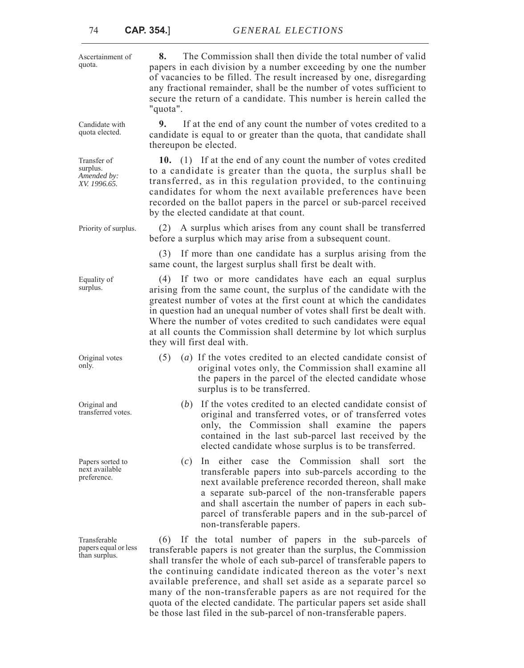| Ascertainment of<br>quota.                             | The Commission shall then divide the total number of valid<br>8.<br>papers in each division by a number exceeding by one the number<br>of vacancies to be filled. The result increased by one, disregarding<br>any fractional remainder, shall be the number of votes sufficient to<br>secure the return of a candidate. This number is herein called the<br>"quota".                                                                                 |
|--------------------------------------------------------|-------------------------------------------------------------------------------------------------------------------------------------------------------------------------------------------------------------------------------------------------------------------------------------------------------------------------------------------------------------------------------------------------------------------------------------------------------|
| Candidate with<br>quota elected.                       | 9.<br>If at the end of any count the number of votes credited to a<br>candidate is equal to or greater than the quota, that candidate shall<br>thereupon be elected.                                                                                                                                                                                                                                                                                  |
| Transfer of<br>surplus.<br>Amended by:<br>XV. 1996.65. | 10. (1) If at the end of any count the number of votes credited<br>to a candidate is greater than the quota, the surplus shall be<br>transferred, as in this regulation provided, to the continuing<br>candidates for whom the next available preferences have been<br>recorded on the ballot papers in the parcel or sub-parcel received<br>by the elected candidate at that count.                                                                  |
| Priority of surplus.                                   | A surplus which arises from any count shall be transferred<br>(2)<br>before a surplus which may arise from a subsequent count.                                                                                                                                                                                                                                                                                                                        |
|                                                        | If more than one candidate has a surplus arising from the<br>(3)<br>same count, the largest surplus shall first be dealt with.                                                                                                                                                                                                                                                                                                                        |
| Equality of<br>surplus.                                | (4) If two or more candidates have each an equal surplus<br>arising from the same count, the surplus of the candidate with the<br>greatest number of votes at the first count at which the candidates<br>in question had an unequal number of votes shall first be dealt with.<br>Where the number of votes credited to such candidates were equal<br>at all counts the Commission shall determine by lot which surplus<br>they will first deal with. |
| Original votes<br>only.                                | (a) If the votes credited to an elected candidate consist of<br>(5)<br>original votes only, the Commission shall examine all<br>the papers in the parcel of the elected candidate whose<br>surplus is to be transferred.                                                                                                                                                                                                                              |
| Original and<br>transferred votes.                     | (b) If the votes credited to an elected candidate consist of<br>original and transferred votes, or of transferred votes<br>only, the Commission shall examine the papers<br>contained in the last sub-parcel last received by the<br>elected candidate whose surplus is to be transferred.                                                                                                                                                            |
| Papers sorted to<br>next available<br>preference.      | either case the Commission shall<br>sort the<br>(c)<br>$\ln$<br>transferable papers into sub-parcels according to the<br>next available preference recorded thereon, shall make<br>a separate sub-parcel of the non-transferable papers<br>and shall ascertain the number of papers in each sub-<br>parcel of transferable papers and in the sub-parcel of<br>non-transferable papers.                                                                |
| Transferable<br>papers equal or less<br>than surplus.  | (6) If the total number of papers in the sub-parcels of<br>transferable papers is not greater than the surplus, the Commission<br>shall transfer the whole of each sub-parcel of transferable papers to<br>the continuing candidate indicated thereon as the voter's next<br>available preference, and shall set aside as a separate parcel so                                                                                                        |

quota of the elected candidate. The particular papers set aside shall be those last filed in the sub-parcel of non-transferable papers.

many of the non-transferable papers as are not required for the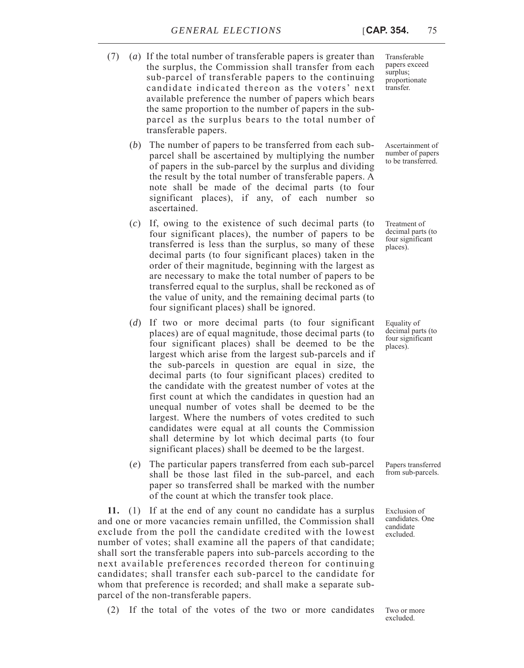- (7) (*a*) If the total number of transferable papers is greater than the surplus, the Commission shall transfer from each sub-parcel of transferable papers to the continuing candidate indicated thereon as the voters' next available preference the number of papers which bears the same proportion to the number of papers in the subparcel as the surplus bears to the total number of transferable papers.
	- (*b*) The number of papers to be transferred from each subparcel shall be ascertained by multiplying the number of papers in the sub-parcel by the surplus and dividing the result by the total number of transferable papers. A note shall be made of the decimal parts (to four significant places), if any, of each number so ascertained.
	- (*c*) If, owing to the existence of such decimal parts (to four significant places), the number of papers to be transferred is less than the surplus, so many of these decimal parts (to four significant places) taken in the order of their magnitude, beginning with the largest as are necessary to make the total number of papers to be transferred equal to the surplus, shall be reckoned as of the value of unity, and the remaining decimal parts (to four significant places) shall be ignored.
	- (*d*) If two or more decimal parts (to four significant places) are of equal magnitude, those decimal parts (to four significant places) shall be deemed to be the largest which arise from the largest sub-parcels and if the sub-parcels in question are equal in size, the decimal parts (to four significant places) credited to the candidate with the greatest number of votes at the first count at which the candidates in question had an unequal number of votes shall be deemed to be the largest. Where the numbers of votes credited to such candidates were equal at all counts the Commission shall determine by lot which decimal parts (to four significant places) shall be deemed to be the largest.
	- (*e*) The particular papers transferred from each sub-parcel shall be those last filed in the sub-parcel, and each paper so transferred shall be marked with the number of the count at which the transfer took place.

**11.** (1) If at the end of any count no candidate has a surplus and one or more vacancies remain unfilled, the Commission shall exclude from the poll the candidate credited with the lowest number of votes; shall examine all the papers of that candidate; shall sort the transferable papers into sub-parcels according to the next available preferences recorded thereon for continuing candidates; shall transfer each sub-parcel to the candidate for whom that preference is recorded; and shall make a separate subparcel of the non-transferable papers.

(2) If the total of the votes of the two or more candidates

Transferable papers exceed surplus; proportionate transfer.

Ascertainment of number of papers to be transferred.

Treatment of decimal parts (to four significant places).

Equality of decimal parts (to four significant places).

Papers transferred from sub-parcels.

Exclusion of candidates. One candidate excluded.

Two or more excluded.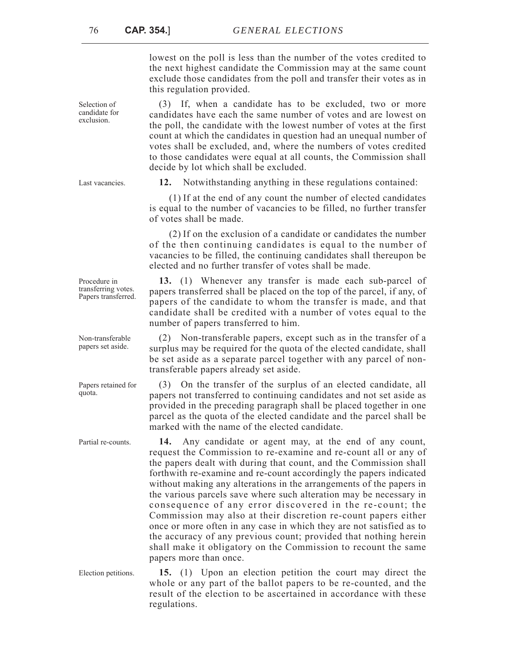lowest on the poll is less than the number of the votes credited to the next highest candidate the Commission may at the same count exclude those candidates from the poll and transfer their votes as in this regulation provided.

(3) If, when a candidate has to be excluded, two or more candidates have each the same number of votes and are lowest on the poll, the candidate with the lowest number of votes at the first count at which the candidates in question had an unequal number of votes shall be excluded, and, where the numbers of votes credited to those candidates were equal at all counts, the Commission shall decide by lot which shall be excluded.

Procedure in transferring votes. Papers transferred.

Non-transferable papers set aside.

Papers retained for quota.

Last vacancies. **12.** Notwithstanding anything in these regulations contained:

 (1) If at the end of any count the number of elected candidates is equal to the number of vacancies to be filled, no further transfer of votes shall be made.

 (2) If on the exclusion of a candidate or candidates the number of the then continuing candidates is equal to the number of vacancies to be filled, the continuing candidates shall thereupon be elected and no further transfer of votes shall be made.

**13.** (1) Whenever any transfer is made each sub-parcel of papers transferred shall be placed on the top of the parcel, if any, of papers of the candidate to whom the transfer is made, and that candidate shall be credited with a number of votes equal to the number of papers transferred to him.

(2) Non-transferable papers, except such as in the transfer of a surplus may be required for the quota of the elected candidate, shall be set aside as a separate parcel together with any parcel of nontransferable papers already set aside.

(3) On the transfer of the surplus of an elected candidate, all papers not transferred to continuing candidates and not set aside as provided in the preceding paragraph shall be placed together in one parcel as the quota of the elected candidate and the parcel shall be marked with the name of the elected candidate.

Partial re-counts. **14.** Any candidate or agent may, at the end of any count, request the Commission to re-examine and re-count all or any of the papers dealt with during that count, and the Commission shall forthwith re-examine and re-count accordingly the papers indicated without making any alterations in the arrangements of the papers in the various parcels save where such alteration may be necessary in consequence of any error discovered in the re-count; the Commission may also at their discretion re-count papers either once or more often in any case in which they are not satisfied as to the accuracy of any previous count; provided that nothing herein shall make it obligatory on the Commission to recount the same papers more than once.

Election petitions. **15.** (1) Upon an election petition the court may direct the whole or any part of the ballot papers to be re-counted, and the result of the election to be ascertained in accordance with these regulations.

Selection of candidate for exclusion.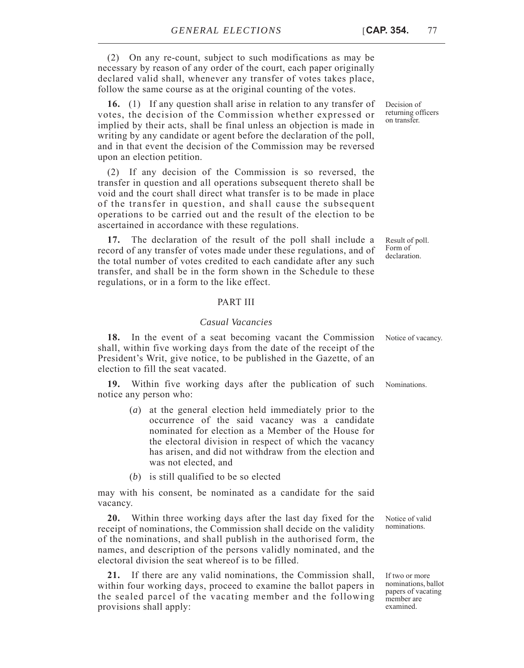(2) On any re-count, subject to such modifications as may be necessary by reason of any order of the court, each paper originally declared valid shall, whenever any transfer of votes takes place, follow the same course as at the original counting of the votes.

**16.** (1) If any question shall arise in relation to any transfer of votes, the decision of the Commission whether expressed or implied by their acts, shall be final unless an objection is made in writing by any candidate or agent before the declaration of the poll, and in that event the decision of the Commission may be reversed upon an election petition.

(2) If any decision of the Commission is so reversed, the transfer in question and all operations subsequent thereto shall be void and the court shall direct what transfer is to be made in place of the transfer in question, and shall cause the subsequent operations to be carried out and the result of the election to be ascertained in accordance with these regulations.

**17.** The declaration of the result of the poll shall include a record of any transfer of votes made under these regulations, and of the total number of votes credited to each candidate after any such transfer, and shall be in the form shown in the Schedule to these regulations, or in a form to the like effect.

#### PART III

#### *Casual Vacancies*

**18.** In the event of a seat becoming vacant the Commission Notice of vacancy. shall, within five working days from the date of the receipt of the President's Writ, give notice, to be published in the Gazette, of an election to fill the seat vacated.

**19.** Within five working days after the publication of such Nominations. notice any person who:

- (*a*) at the general election held immediately prior to the occurrence of the said vacancy was a candidate nominated for election as a Member of the House for the electoral division in respect of which the vacancy has arisen, and did not withdraw from the election and was not elected, and
- (*b*) is still qualified to be so elected

may with his consent, be nominated as a candidate for the said vacancy.

**20.** Within three working days after the last day fixed for the receipt of nominations, the Commission shall decide on the validity of the nominations, and shall publish in the authorised form, the names, and description of the persons validly nominated, and the electoral division the seat whereof is to be filled.

**21.** If there are any valid nominations, the Commission shall, within four working days, proceed to examine the ballot papers in the sealed parcel of the vacating member and the following provisions shall apply:

Decision of returning officers on transfer.

Result of poll. Form of declaration.

Notice of valid nominations.

If two or more nominations, ballot papers of vacating member are examined.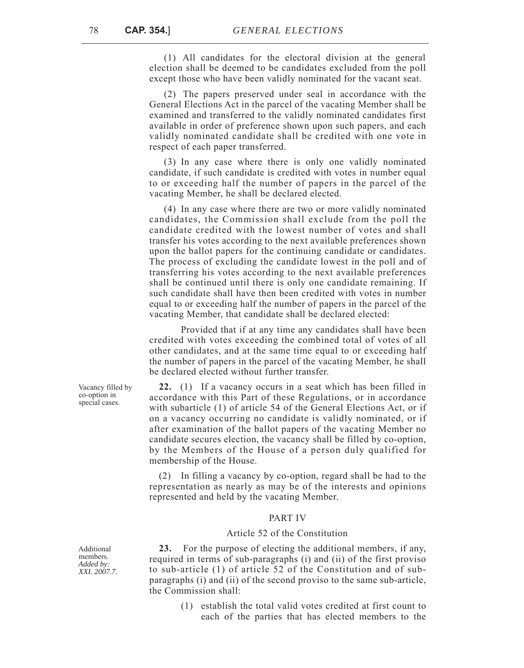(1) All candidates for the electoral division at the general election shall be deemed to be candidates excluded from the poll except those who have been validly nominated for the vacant seat.

 (2) The papers preserved under seal in accordance with the General Elections Act in the parcel of the vacating Member shall be examined and transferred to the validly nominated candidates first available in order of preference shown upon such papers, and each validly nominated candidate shall be credited with one vote in respect of each paper transferred.

 (3) In any case where there is only one validly nominated candidate, if such candidate is credited with votes in number equal to or exceeding half the number of papers in the parcel of the vacating Member, he shall be declared elected.

 (4) In any case where there are two or more validly nominated candidates, the Commission shall exclude from the poll the candidate credited with the lowest number of votes and shall transfer his votes according to the next available preferences shown upon the ballot papers for the continuing candidate or candidates. The process of excluding the candidate lowest in the poll and of transferring his votes according to the next available preferences shall be continued until there is only one candidate remaining. If such candidate shall have then been credited with votes in number equal to or exceeding half the number of papers in the parcel of the vacating Member, that candidate shall be declared elected:

Provided that if at any time any candidates shall have been credited with votes exceeding the combined total of votes of all other candidates, and at the same time equal to or exceeding half the number of papers in the parcel of the vacating Member, he shall be declared elected without further transfer.

**22.** (1) If a vacancy occurs in a seat which has been filled in accordance with this Part of these Regulations, or in accordance with subarticle (1) of article 54 of the General Elections Act, or if on a vacancy occurring no candidate is validly nominated, or if after examination of the ballot papers of the vacating Member no candidate secures election, the vacancy shall be filled by co-option, by the Members of the House of a person duly qualified for membership of the House.

(2) In filling a vacancy by co-option, regard shall be had to the representation as nearly as may be of the interests and opinions represented and held by the vacating Member.

#### PART IV

### Article 52 of the Constitution

**23.** For the purpose of electing the additional members, if any, required in terms of sub-paragraphs (i) and (ii) of the first proviso to sub-article (1) of article 52 of the Constitution and of subparagraphs (i) and (ii) of the second proviso to the same sub-article, the Commission shall:

> (1) establish the total valid votes credited at first count to each of the parties that has elected members to the

Vacancy filled by co-option in special cases.

Additional members. *Added by: XXI. 2007.7.*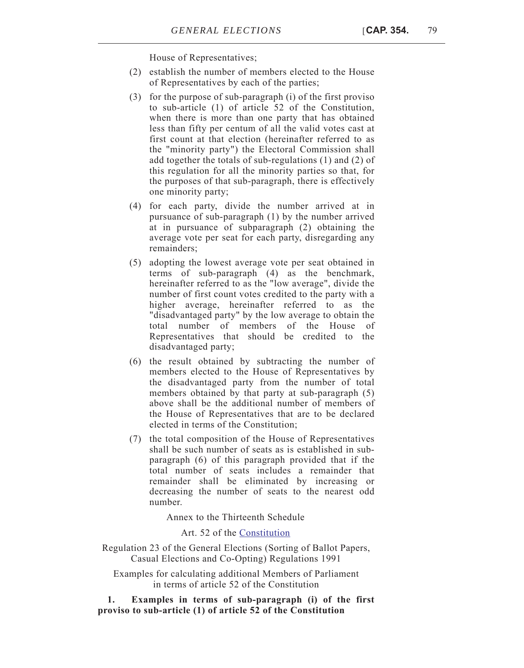House of Representatives;

- (2) establish the number of members elected to the House of Representatives by each of the parties;
- (3) for the purpose of sub-paragraph (i) of the first proviso to sub-article (1) of article 52 of the Constitution, when there is more than one party that has obtained less than fifty per centum of all the valid votes cast at first count at that election (hereinafter referred to as the "minority party") the Electoral Commission shall add together the totals of sub-regulations (1) and (2) of this regulation for all the minority parties so that, for the purposes of that sub-paragraph, there is effectively one minority party;
- (4) for each party, divide the number arrived at in pursuance of sub-paragraph (1) by the number arrived at in pursuance of subparagraph (2) obtaining the average vote per seat for each party, disregarding any remainders;
- (5) adopting the lowest average vote per seat obtained in terms of sub-paragraph (4) as the benchmark, hereinafter referred to as the "low average", divide the number of first count votes credited to the party with a higher average, hereinafter referred to as the "disadvantaged party" by the low average to obtain the total number of members of the House of Representatives that should be credited to the disadvantaged party;
- (6) the result obtained by subtracting the number of members elected to the House of Representatives by the disadvantaged party from the number of total members obtained by that party at sub-paragraph (5) above shall be the additional number of members of the House of Representatives that are to be declared elected in terms of the Constitution;
- (7) the total composition of the House of Representatives shall be such number of seats as is established in subparagraph (6) of this paragraph provided that if the total number of seats includes a remainder that remainder shall be eliminated by increasing or decreasing the number of seats to the nearest odd number.

Annex to the Thirteenth Schedule

Art. 52 of the [Constitution](http://www.justiceservices.gov.mt/DownloadDocument.aspx?app=lom&itemid=8566&l=1)

Regulation 23 of the General Elections (Sorting of Ballot Papers, Casual Elections and Co-Opting) Regulations 1991

Examples for calculating additional Members of Parliament in terms of article 52 of the Constitution

**1. Examples in terms of sub-paragraph (i) of the first proviso to sub-article (1) of article 52 of the Constitution**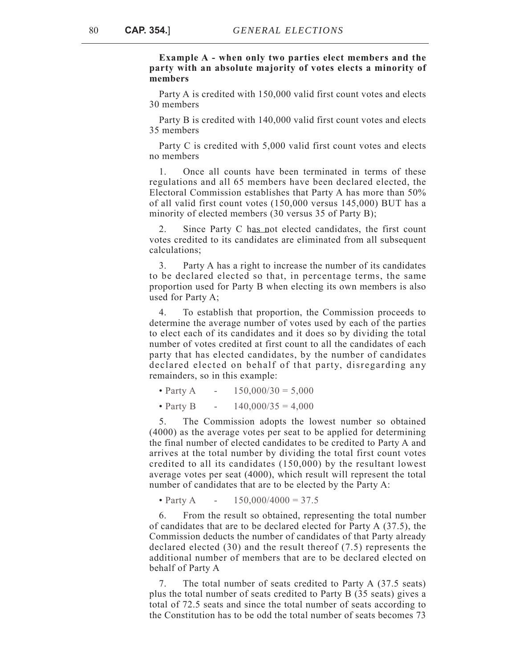## **Example A - when only two parties elect members and the party with an absolute majority of votes elects a minority of members**

Party A is credited with 150,000 valid first count votes and elects 30 members

Party B is credited with 140,000 valid first count votes and elects 35 members

Party C is credited with 5,000 valid first count votes and elects no members

1. Once all counts have been terminated in terms of these regulations and all 65 members have been declared elected, the Electoral Commission establishes that Party A has more than 50% of all valid first count votes (150,000 versus 145,000) BUT has a minority of elected members (30 versus 35 of Party B);

2. Since Party C has not elected candidates, the first count votes credited to its candidates are eliminated from all subsequent calculations;

3. Party A has a right to increase the number of its candidates to be declared elected so that, in percentage terms, the same proportion used for Party B when electing its own members is also used for Party A;

4. To establish that proportion, the Commission proceeds to determine the average number of votes used by each of the parties to elect each of its candidates and it does so by dividing the total number of votes credited at first count to all the candidates of each party that has elected candidates, by the number of candidates declared elected on behalf of that party, disregarding any remainders, so in this example:

- Party A  $150,000/30 = 5,000$
- Party B  $140,000/35 = 4,000$

5. The Commission adopts the lowest number so obtained (4000) as the average votes per seat to be applied for determining the final number of elected candidates to be credited to Party A and arrives at the total number by dividing the total first count votes credited to all its candidates (150,000) by the resultant lowest average votes per seat (4000), which result will represent the total number of candidates that are to be elected by the Party A:

• Party A -  $150,000/4000 = 37.5$ 

6. From the result so obtained, representing the total number of candidates that are to be declared elected for Party A (37.5), the Commission deducts the number of candidates of that Party already declared elected (30) and the result thereof (7.5) represents the additional number of members that are to be declared elected on behalf of Party A

7. The total number of seats credited to Party A (37.5 seats) plus the total number of seats credited to Party B (35 seats) gives a total of 72.5 seats and since the total number of seats according to the Constitution has to be odd the total number of seats becomes 73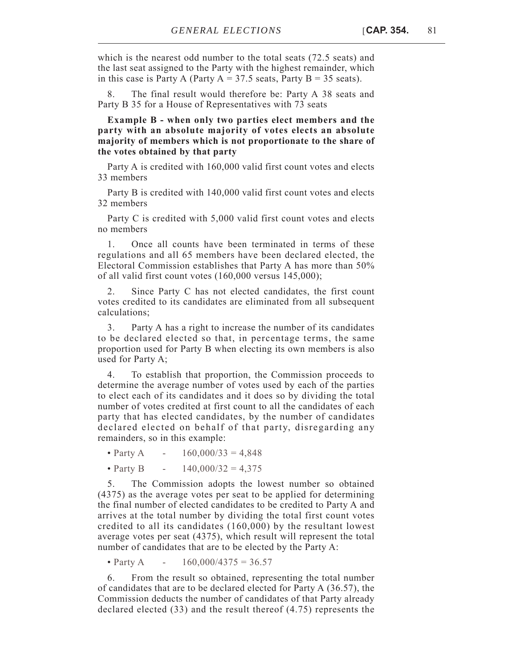which is the nearest odd number to the total seats (72.5 seats) and the last seat assigned to the Party with the highest remainder, which in this case is Party A (Party  $A = 37.5$  seats, Party  $B = 35$  seats).

8. The final result would therefore be: Party A 38 seats and Party B 35 for a House of Representatives with 73 seats

**Example B - when only two parties elect members and the party with an absolute majority of votes elects an absolute majority of members which is not proportionate to the share of the votes obtained by that party**

Party A is credited with 160,000 valid first count votes and elects 33 members

Party B is credited with 140,000 valid first count votes and elects 32 members

Party C is credited with 5,000 valid first count votes and elects no members

1. Once all counts have been terminated in terms of these regulations and all 65 members have been declared elected, the Electoral Commission establishes that Party A has more than 50% of all valid first count votes (160,000 versus 145,000);

2. Since Party C has not elected candidates, the first count votes credited to its candidates are eliminated from all subsequent calculations;

3. Party A has a right to increase the number of its candidates to be declared elected so that, in percentage terms, the same proportion used for Party B when electing its own members is also used for Party A;

4. To establish that proportion, the Commission proceeds to determine the average number of votes used by each of the parties to elect each of its candidates and it does so by dividing the total number of votes credited at first count to all the candidates of each party that has elected candidates, by the number of candidates declared elected on behalf of that party, disregarding any remainders, so in this example:

• Party A  $- 160,000/33 = 4,848$ 

• Party B -  $140,000/32 = 4,375$ 

5. The Commission adopts the lowest number so obtained (4375) as the average votes per seat to be applied for determining the final number of elected candidates to be credited to Party A and arrives at the total number by dividing the total first count votes credited to all its candidates (160,000) by the resultant lowest average votes per seat (4375), which result will represent the total number of candidates that are to be elected by the Party A:

• Party A -  $160,000/4375 = 36.57$ 

6. From the result so obtained, representing the total number of candidates that are to be declared elected for Party A (36.57), the Commission deducts the number of candidates of that Party already declared elected (33) and the result thereof (4.75) represents the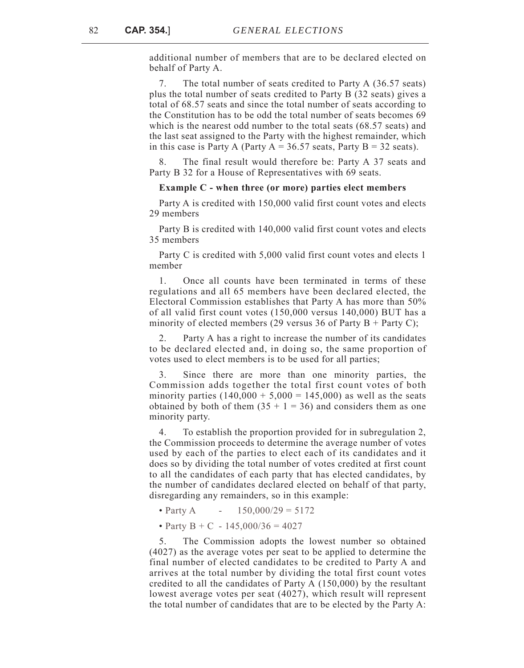additional number of members that are to be declared elected on behalf of Party A.

7. The total number of seats credited to Party A (36.57 seats) plus the total number of seats credited to Party B (32 seats) gives a total of 68.57 seats and since the total number of seats according to the Constitution has to be odd the total number of seats becomes 69 which is the nearest odd number to the total seats (68.57 seats) and the last seat assigned to the Party with the highest remainder, which in this case is Party A (Party  $A = 36.57$  seats, Party  $B = 32$  seats).

The final result would therefore be: Party A 37 seats and Party B 32 for a House of Representatives with 69 seats.

#### **Example C - when three (or more) parties elect members**

Party A is credited with 150,000 valid first count votes and elects 29 members

Party B is credited with 140,000 valid first count votes and elects 35 members

Party C is credited with 5,000 valid first count votes and elects 1 member

1. Once all counts have been terminated in terms of these regulations and all 65 members have been declared elected, the Electoral Commission establishes that Party A has more than 50% of all valid first count votes (150,000 versus 140,000) BUT has a minority of elected members (29 versus 36 of Party B + Party C);

2. Party A has a right to increase the number of its candidates to be declared elected and, in doing so, the same proportion of votes used to elect members is to be used for all parties;

3. Since there are more than one minority parties, the Commission adds together the total first count votes of both minority parties  $(140,000 + 5,000 = 145,000)$  as well as the seats obtained by both of them  $(35 + 1 = 36)$  and considers them as one minority party.

4. To establish the proportion provided for in subregulation 2, the Commission proceeds to determine the average number of votes used by each of the parties to elect each of its candidates and it does so by dividing the total number of votes credited at first count to all the candidates of each party that has elected candidates, by the number of candidates declared elected on behalf of that party, disregarding any remainders, so in this example:

- Party A  $150,000/29 = 5172$
- Party B + C 145,000/36 = 4027

5. The Commission adopts the lowest number so obtained (4027) as the average votes per seat to be applied to determine the final number of elected candidates to be credited to Party A and arrives at the total number by dividing the total first count votes credited to all the candidates of Party A (150,000) by the resultant lowest average votes per seat (4027), which result will represent the total number of candidates that are to be elected by the Party A: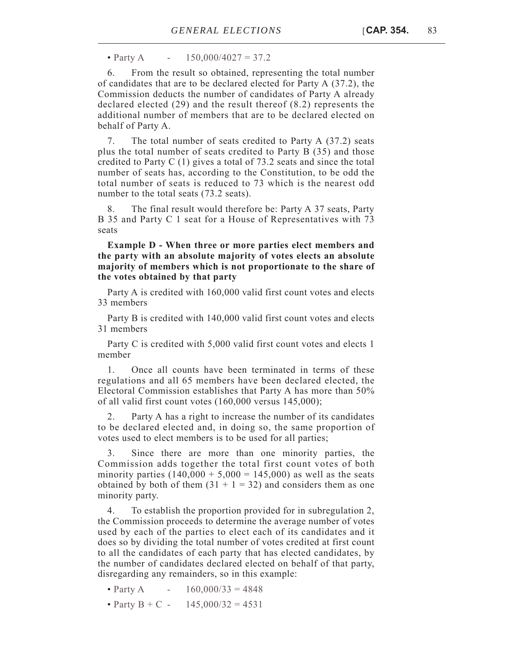• Party A  $- 150,000/4027 = 37.2$ 

6. From the result so obtained, representing the total number of candidates that are to be declared elected for Party A (37.2), the Commission deducts the number of candidates of Party A already declared elected (29) and the result thereof (8.2) represents the additional number of members that are to be declared elected on behalf of Party A.

7. The total number of seats credited to Party A (37.2) seats plus the total number of seats credited to Party B (35) and those credited to Party C (1) gives a total of 73.2 seats and since the total number of seats has, according to the Constitution, to be odd the total number of seats is reduced to 73 which is the nearest odd number to the total seats (73.2 seats).

The final result would therefore be: Party A 37 seats, Party B 35 and Party C 1 seat for a House of Representatives with 73 seats

**Example D - When three or more parties elect members and the party with an absolute majority of votes elects an absolute majority of members which is not proportionate to the share of the votes obtained by that party**

Party A is credited with 160,000 valid first count votes and elects 33 members

Party B is credited with 140,000 valid first count votes and elects 31 members

Party C is credited with 5,000 valid first count votes and elects 1 member

1. Once all counts have been terminated in terms of these regulations and all 65 members have been declared elected, the Electoral Commission establishes that Party A has more than 50% of all valid first count votes (160,000 versus 145,000);

2. Party A has a right to increase the number of its candidates to be declared elected and, in doing so, the same proportion of votes used to elect members is to be used for all parties;

3. Since there are more than one minority parties, the Commission adds together the total first count votes of both minority parties  $(140,000 + 5,000 = 145,000)$  as well as the seats obtained by both of them  $(31 + 1 = 32)$  and considers them as one minority party.

4. To establish the proportion provided for in subregulation 2, the Commission proceeds to determine the average number of votes used by each of the parties to elect each of its candidates and it does so by dividing the total number of votes credited at first count to all the candidates of each party that has elected candidates, by the number of candidates declared elected on behalf of that party, disregarding any remainders, so in this example:

• Party A  $- 160,000/33 = 4848$ 

• Party B + C -  $145,000/32 = 4531$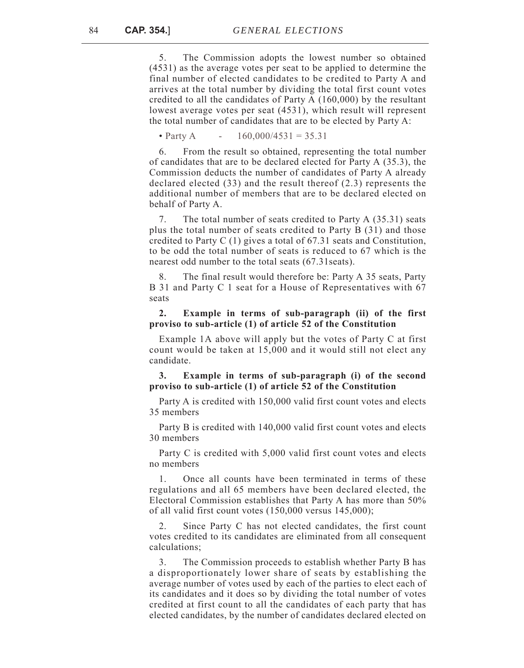5. The Commission adopts the lowest number so obtained (4531) as the average votes per seat to be applied to determine the final number of elected candidates to be credited to Party A and arrives at the total number by dividing the total first count votes credited to all the candidates of Party A (160,000) by the resultant lowest average votes per seat (4531), which result will represent the total number of candidates that are to be elected by Party A:

• Party A  $- 160,000/4531 = 35.31$ 

6. From the result so obtained, representing the total number of candidates that are to be declared elected for Party A (35.3), the Commission deducts the number of candidates of Party A already declared elected (33) and the result thereof (2.3) represents the additional number of members that are to be declared elected on behalf of Party A.

7. The total number of seats credited to Party A (35.31) seats plus the total number of seats credited to Party B (31) and those credited to Party C (1) gives a total of 67.31 seats and Constitution, to be odd the total number of seats is reduced to 67 which is the nearest odd number to the total seats (67.31seats).

8. The final result would therefore be: Party A 35 seats, Party B 31 and Party C 1 seat for a House of Representatives with 67 seats

# **2. Example in terms of sub-paragraph (ii) of the first proviso to sub-article (1) of article 52 of the Constitution**

Example 1A above will apply but the votes of Party C at first count would be taken at 15,000 and it would still not elect any candidate.

# **3. Example in terms of sub-paragraph (i) of the second proviso to sub-article (1) of article 52 of the Constitution**

Party A is credited with 150,000 valid first count votes and elects 35 members

Party B is credited with 140,000 valid first count votes and elects 30 members

Party C is credited with 5,000 valid first count votes and elects no members

Once all counts have been terminated in terms of these regulations and all 65 members have been declared elected, the Electoral Commission establishes that Party A has more than 50% of all valid first count votes (150,000 versus 145,000);

2. Since Party C has not elected candidates, the first count votes credited to its candidates are eliminated from all consequent calculations;

3. The Commission proceeds to establish whether Party B has a disproportionately lower share of seats by establishing the average number of votes used by each of the parties to elect each of its candidates and it does so by dividing the total number of votes credited at first count to all the candidates of each party that has elected candidates, by the number of candidates declared elected on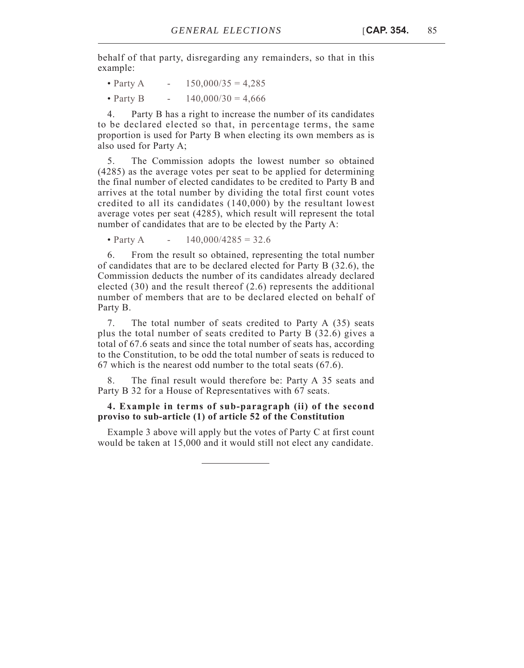behalf of that party, disregarding any remainders, so that in this example:

• Party A  $- 150,000/35 = 4,285$ 

• Party B  $- 140,000/30 = 4,666$ 

4. Party B has a right to increase the number of its candidates to be declared elected so that, in percentage terms, the same proportion is used for Party B when electing its own members as is also used for Party A;

5. The Commission adopts the lowest number so obtained (4285) as the average votes per seat to be applied for determining the final number of elected candidates to be credited to Party B and arrives at the total number by dividing the total first count votes credited to all its candidates (140,000) by the resultant lowest average votes per seat (4285), which result will represent the total number of candidates that are to be elected by the Party A:

• Party A  $- 140,000/4285 = 32.6$ 

6. From the result so obtained, representing the total number of candidates that are to be declared elected for Party B (32.6), the Commission deducts the number of its candidates already declared elected (30) and the result thereof (2.6) represents the additional number of members that are to be declared elected on behalf of Party B.

7. The total number of seats credited to Party A (35) seats plus the total number of seats credited to Party B (32.6) gives a total of 67.6 seats and since the total number of seats has, according to the Constitution, to be odd the total number of seats is reduced to 67 which is the nearest odd number to the total seats (67.6).

8. The final result would therefore be: Party A 35 seats and Party B 32 for a House of Representatives with 67 seats.

## **4. Example in terms of sub-paragraph (ii) of the second proviso to sub-article (1) of article 52 of the Constitution**

Example 3 above will apply but the votes of Party C at first count would be taken at 15,000 and it would still not elect any candidate.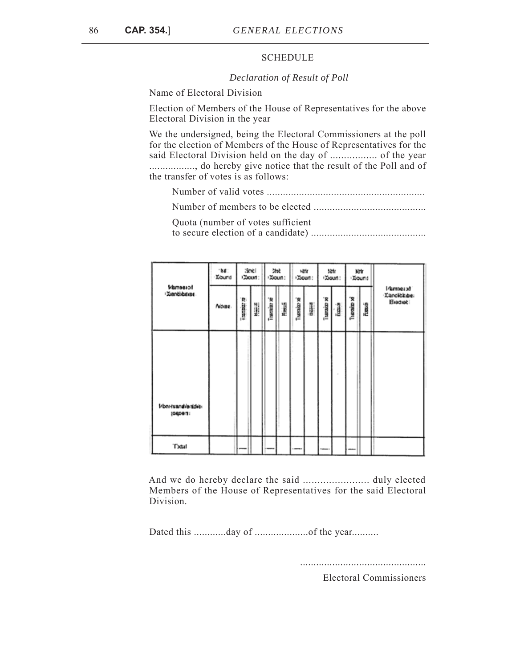### **SCHEDULE**

#### *Declaration of Result of Poll*

Name of Electoral Division

Election of Members of the House of Representatives for the above Electoral Division in the year

We the undersigned, being the Electoral Commissioners at the poll for the election of Members of the House of Representatives for the said Electoral Division held on the day of ................. of the year ................., do hereby give notice that the result of the Poll and of the transfer of votes is as follows:

Number of valid votes ...........................................................

Number of members to be elected ..........................................

Quota (number of votes sufficient to secure election of a candidate) ...........................................

|                             | $188^\circ$<br>Xiaund | :Smcl<br>Doun :  |   | Doun:      | 泚 |             | vatr<br>Doun: |                 | 32tr<br>Doun : |            | 38tr<br><b>Xiound</b> |                                      |
|-----------------------------|-----------------------|------------------|---|------------|---|-------------|---------------|-----------------|----------------|------------|-----------------------|--------------------------------------|
| Mameerad<br>Landibidities   | fudiae.               | <b>Executive</b> | J | Tuesian xi | l | Transian xa | i.            | Thankin xi      | j              | Therain xi | ňaxá                  | Mamnes of<br>Xancicitibe:<br>Hiedret |
|                             |                       |                  |   |            |   |             |               |                 |                |            |                       |                                      |
| Mon-tuanavaradien<br>106091 |                       |                  |   |            |   |             |               |                 |                |            |                       |                                      |
| Todal                       |                       |                  |   |            |   |             |               | <b>Sales Co</b> |                |            |                       |                                      |

And we do hereby declare the said ....................... duly elected Members of the House of Representatives for the said Electoral Division.

Dated this ............day of ....................of the year..........

...............................................

Electoral Commissioners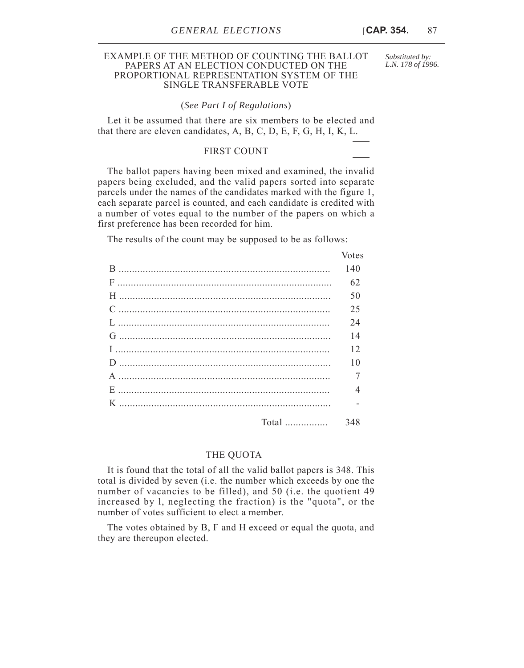# EXAMPLE OF THE METHOD OF COUNTING THE BALLOT PAPERS AT AN ELECTION CONDUCTED ON THE PROPORTIONAL REPRESENTATION SYSTEM OF THE SINGLE TRANSFERABLE VOTE

(*See Part I of Regulations*)

Let it be assumed that there are six members to be elected and that there are eleven candidates, A, B, C, D, E, F, G, H, I, K, L.

# FIRST COUNT

The ballot papers having been mixed and examined, the invalid papers being excluded, and the valid papers sorted into separate parcels under the names of the candidates marked with the figure 1, each separate parcel is counted, and each candidate is credited with a number of votes equal to the number of the papers on which a first preference has been recorded for him.

The results of the count may be supposed to be as follows:

| <b>VULCS</b> |
|--------------|
| 140          |
| 62           |
| 50           |
| 25           |
| 24           |
| 14           |
| 12           |
| 10           |
|              |
| 4            |
|              |
|              |
| 348          |

### THE QUOTA

It is found that the total of all the valid ballot papers is 348. This total is divided by seven (i.e. the number which exceeds by one the number of vacancies to be filled), and 50 (i.e. the quotient 49 increased by l, neglecting the fraction) is the "quota", or the number of votes sufficient to elect a member.

The votes obtained by B, F and H exceed or equal the quota, and they are thereupon elected.

*Substituted by: L.N. 178 of 1996.*

 $V_{\alpha\pm\alpha\alpha}$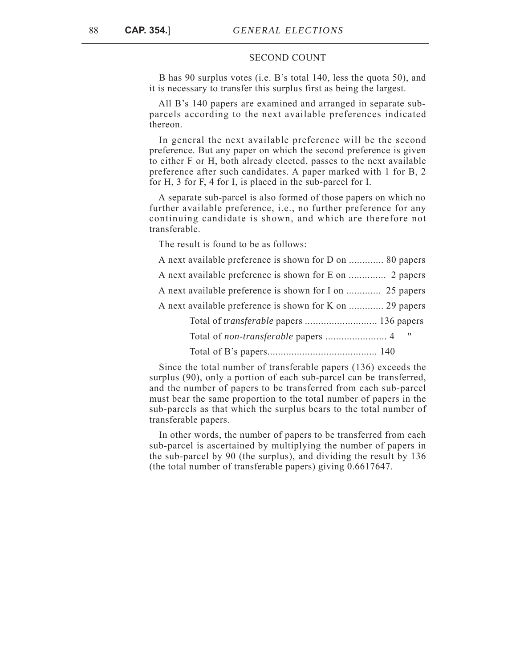#### SECOND COUNT

B has 90 surplus votes (i.e. B's total 140, less the quota 50), and it is necessary to transfer this surplus first as being the largest.

All B's 140 papers are examined and arranged in separate subparcels according to the next available preferences indicated thereon.

In general the next available preference will be the second preference. But any paper on which the second preference is given to either F or H, both already elected, passes to the next available preference after such candidates. A paper marked with 1 for B, 2 for H, 3 for F, 4 for I, is placed in the sub-parcel for I.

A separate sub-parcel is also formed of those papers on which no further available preference, i.e., no further preference for any continuing candidate is shown, and which are therefore not transferable.

The result is found to be as follows:

| A next available preference is shown for D on  80 papers |  |
|----------------------------------------------------------|--|
|                                                          |  |
|                                                          |  |
| A next available preference is shown for K on  29 papers |  |
|                                                          |  |
|                                                          |  |
|                                                          |  |

Since the total number of transferable papers (136) exceeds the surplus (90), only a portion of each sub-parcel can be transferred, and the number of papers to be transferred from each sub-parcel must bear the same proportion to the total number of papers in the sub-parcels as that which the surplus bears to the total number of transferable papers.

In other words, the number of papers to be transferred from each sub-parcel is ascertained by multiplying the number of papers in the sub-parcel by 90 (the surplus), and dividing the result by 136 (the total number of transferable papers) giving 0.6617647.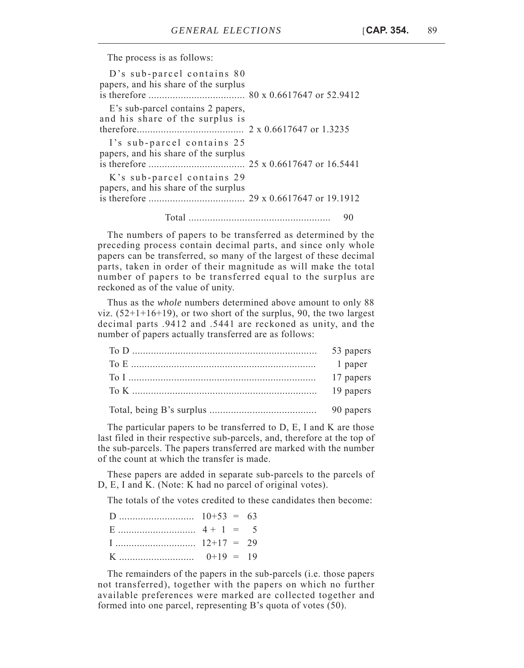The process is as follows:

| D's sub-parcel contains 80                                           |  |
|----------------------------------------------------------------------|--|
| papers, and his share of the surplus                                 |  |
|                                                                      |  |
| E's sub-parcel contains 2 papers,<br>and his share of the surplus is |  |
|                                                                      |  |
| I's sub-parcel contains 25<br>papers, and his share of the surplus   |  |
|                                                                      |  |
| K's sub-parcel contains 29<br>papers, and his share of the surplus   |  |
|                                                                      |  |
|                                                                      |  |

The numbers of papers to be transferred as determined by the preceding process contain decimal parts, and since only whole papers can be transferred, so many of the largest of these decimal parts, taken in order of their magnitude as will make the total number of papers to be transferred equal to the surplus are reckoned as of the value of unity.

Thus as the *whole* numbers determined above amount to only 88 viz.  $(52+1+16+19)$ , or two short of the surplus, 90, the two largest decimal parts .9412 and .5441 are reckoned as unity, and the number of papers actually transferred are as follows:

| 53 papers |
|-----------|
| 1 paper   |
| 17 papers |
| 19 papers |
| 90 papers |

The particular papers to be transferred to D, E, I and K are those last filed in their respective sub-parcels, and, therefore at the top of the sub-parcels. The papers transferred are marked with the number of the count at which the transfer is made.

These papers are added in separate sub-parcels to the parcels of D, E, I and K. (Note: K had no parcel of original votes).

The totals of the votes credited to these candidates then become:

The remainders of the papers in the sub-parcels (i.e. those papers not transferred), together with the papers on which no further available preferences were marked are collected together and formed into one parcel, representing B's quota of votes (50).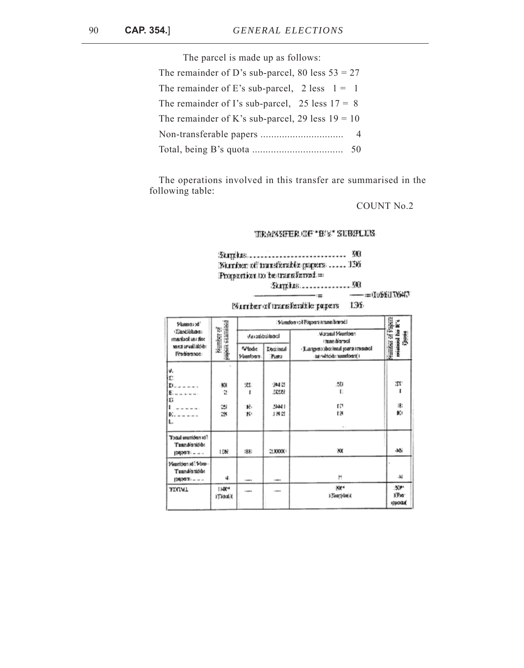| The parcel is made up as follows:                        |  |
|----------------------------------------------------------|--|
| The remainder of D's sub-parcel, 80 less $53 = 27$       |  |
| The remainder of E's sub-parcel, $2 \text{ less } 1 = 1$ |  |
| The remainder of I's sub-parcel, $25$ less $17 = 8$      |  |
| The remainder of K's sub-parcel, 29 less $19 = 10$       |  |
| -4                                                       |  |
|                                                          |  |
|                                                          |  |

The operations involved in this transfer are summarised in the following table:

# COUNT No.2

# TEMPARATER OG "HE'S" SUBJECTS.

300 million communication of the State of the State of the State of the State of the State of the State of the (Wurnfoer off transferable papers ...... 156) Frogparties to be transferred = - 2

| 'kuma:xi                                                                                   |                              | Semifisment stogel'life redmukl |                                  |                                                          |                                        |  |  |
|--------------------------------------------------------------------------------------------|------------------------------|---------------------------------|----------------------------------|----------------------------------------------------------|----------------------------------------|--|--|
| L'anciosae:<br>marked us the                                                               |                              |                                 | lódalúzólaz (s.).                | rechtuwy liauruy.<br>Item algreat                        | $\tilde{q}_{\rm{1004}}$                |  |  |
| rdski linvat trom<br>Foremos:                                                              | falmier af<br>Japan stamina) | Whodie:<br>Vlambara.            | Decimal<br><b>Puntu</b>          | lotters short anticoles grad. I<br>servitoib: sumfoara i | Printed of Papers<br>National Research |  |  |
| v,<br>łx:<br>$\mathbf{B}_{\text{r}}$<br>E.<br>Υ.<br><b>Contract on the Co</b><br>Diamantan | 900<br>Q.<br>澎<br>19         | :25<br>B.<br>۱J.                | 24.0<br>53331<br>11445<br>J M IS | 274<br>t.<br>m<br>K1                                     | :21.<br>诽<br>DC)                       |  |  |
| L.<br>Tot natimum lutx'l<br>Transburgob:<br>106003: - - -                                  | IBN.                         | 1881                            | 20000                            | $\alpha$ .<br>$\infty$                                   | -bôi                                   |  |  |
| Mumben xil Von-<br>Transfersident<br>$1000031 - -$                                         | u.                           | 10000                           |                                  | н                                                        | A.                                     |  |  |
| TXUAT                                                                                      | 1300*<br>)Tidol (            | $1 - 2$                         | $1 - 1$                          | XX*<br>KSoutride 4                                       | 30 <sup>o</sup><br>KFxa*<br>vppocka    |  |  |

Wirriter of manskrattle papers 196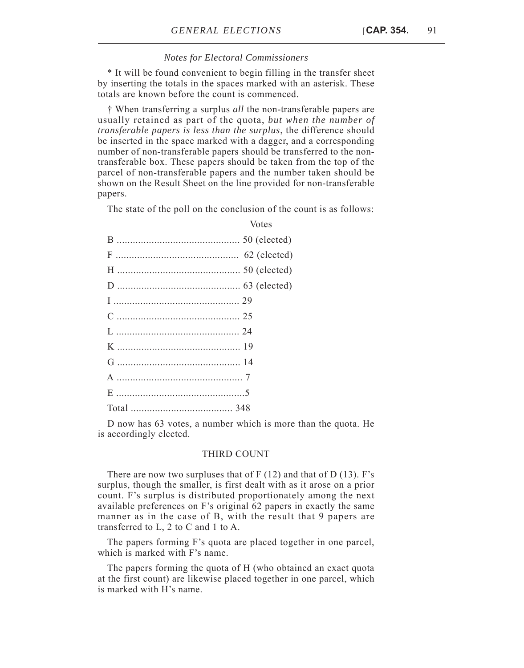#### *Notes for Electoral Commissioners*

\* It will be found convenient to begin filling in the transfer sheet by inserting the totals in the spaces marked with an asterisk. These totals are known before the count is commenced.

† When transferring a surplus *all* the non-transferable papers are usually retained as part of the quota, *but when the number of transferable papers is less than the surplus*, the difference should be inserted in the space marked with a dagger, and a corresponding number of non-transferable papers should be transferred to the nontransferable box. These papers should be taken from the top of the parcel of non-transferable papers and the number taken should be shown on the Result Sheet on the line provided for non-transferable papers.

The state of the poll on the conclusion of the count is as follows:

D now has 63 votes, a number which is more than the quota. He is accordingly elected.

# THIRD COUNT

There are now two surpluses that of  $F(12)$  and that of D $(13)$ . F's surplus, though the smaller, is first dealt with as it arose on a prior count. F's surplus is distributed proportionately among the next available preferences on F's original 62 papers in exactly the same manner as in the case of B, with the result that 9 papers are transferred to L, 2 to C and 1 to A.

The papers forming F's quota are placed together in one parcel, which is marked with F's name.

The papers forming the quota of H (who obtained an exact quota at the first count) are likewise placed together in one parcel, which is marked with H's name.

Votes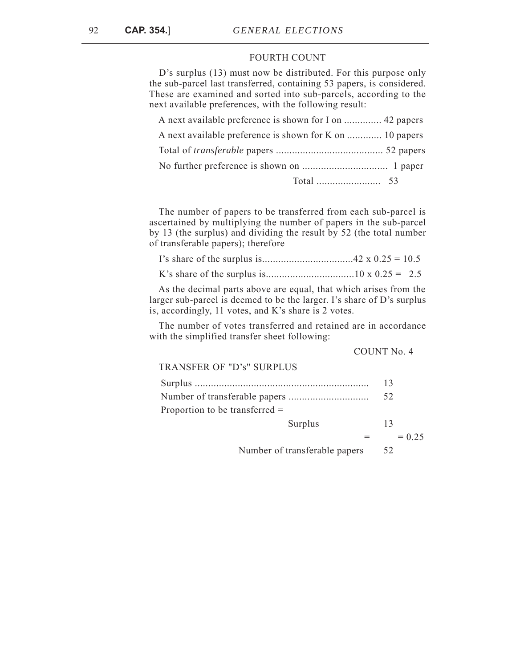### FOURTH COUNT

D's surplus (13) must now be distributed. For this purpose only the sub-parcel last transferred, containing 53 papers, is considered. These are examined and sorted into sub-parcels, according to the next available preferences, with the following result:

| A next available preference is shown for K on  10 papers |  |
|----------------------------------------------------------|--|
|                                                          |  |
|                                                          |  |
|                                                          |  |

The number of papers to be transferred from each sub-parcel is ascertained by multiplying the number of papers in the sub-parcel by 13 (the surplus) and dividing the result by 52 (the total number of transferable papers); therefore

As the decimal parts above are equal, that which arises from the larger sub-parcel is deemed to be the larger. I's share of D's surplus is, accordingly, 11 votes, and K's share is 2 votes.

The number of votes transferred and retained are in accordance with the simplified transfer sheet following:

#### COUNT No. 4

| TRANSFER OF "D's" SURPLUS        |          |
|----------------------------------|----------|
|                                  | 13       |
|                                  | 52       |
| Proportion to be transferred $=$ |          |
| Surplus                          | 13       |
|                                  | $= 0.25$ |
| Number of transferable papers    | 52       |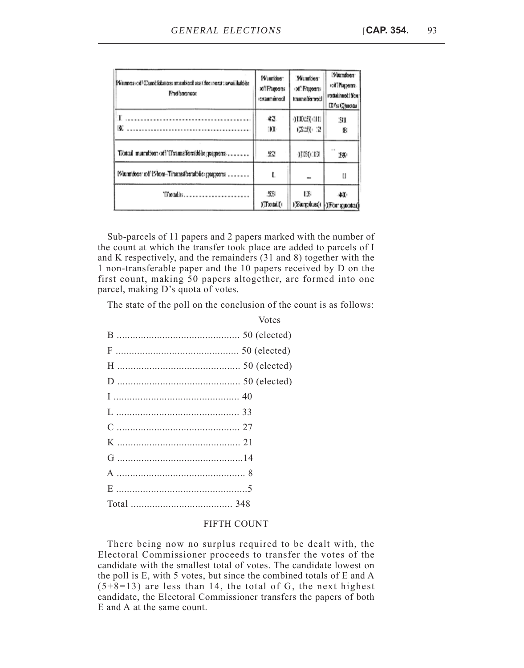| Miannes (of) Elamblishnes: manified (as titles need); arealitateles<br>Fred haranood | Musmidee:<br>хот Подровн<br>examined | Munities:<br>od Fragosa:<br>Iberedaturt | i'vlamfoen:<br>od Hapens.<br>reditional for<br>IX 12 12 Unoda |
|--------------------------------------------------------------------------------------|--------------------------------------|-----------------------------------------|---------------------------------------------------------------|
| ID.                                                                                  | 43.<br>ЭX                            | TXCZGHI<br> 第2章  2                      | 31<br>Ķ.                                                      |
| Tibitad muundeen off Tiramatierable; pappers                                         | 22                                   | 0109010                                 | 18                                                            |
| [6]annidoen x d' [6]con-Tinanationnalide: [pageons                                   | L                                    | -                                       | U                                                             |
| Totale:                                                                              | -551<br>)Txotal (+                   | UE.                                     | ÷T.<br>) Zarmdus(+) ) Fior x poda()                           |

Sub-parcels of 11 papers and 2 papers marked with the number of the count at which the transfer took place are added to parcels of I and K respectively, and the remainders (31 and 8) together with the 1 non-transferable paper and the 10 papers received by D on the first count, making 50 papers altogether, are formed into one parcel, making D's quota of votes.

The state of the poll on the conclusion of the count is as follows:

| Votes |
|-------|
|       |
|       |
|       |
|       |
|       |
|       |
|       |
|       |
|       |
|       |
|       |
|       |

## FIFTH COUNT

There being now no surplus required to be dealt with, the Electoral Commissioner proceeds to transfer the votes of the candidate with the smallest total of votes. The candidate lowest on the poll is E, with 5 votes, but since the combined totals of E and A  $(5+8=13)$  are less than 14, the total of G, the next highest candidate, the Electoral Commissioner transfers the papers of both E and A at the same count.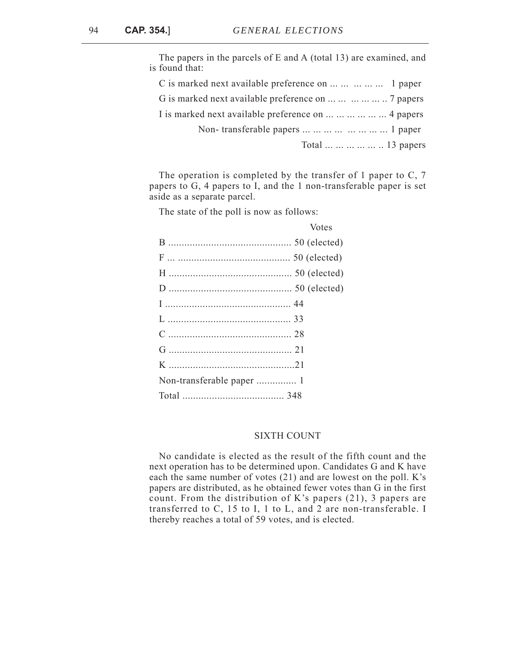The papers in the parcels of E and A (total 13) are examined, and is found that:

| C is marked next available preference on      1 paper   |
|---------------------------------------------------------|
| G is marked next available preference on       7 papers |
| I is marked next available preference on       4 papers |
| Non-transferable papers        1 paper                  |
| Total      13 papers                                    |

The operation is completed by the transfer of 1 paper to C, 7 papers to G, 4 papers to I, and the 1 non-transferable paper is set aside as a separate parcel.

The state of the poll is now as follows:

| Votes |
|-------|
|       |
|       |
|       |
|       |
|       |
|       |
|       |
|       |
|       |
|       |
|       |

# SIXTH COUNT

No candidate is elected as the result of the fifth count and the next operation has to be determined upon. Candidates G and K have each the same number of votes (21) and are lowest on the poll. K's papers are distributed, as he obtained fewer votes than G in the first count. From the distribution of K's papers (21), 3 papers are transferred to C, 15 to I, 1 to L, and 2 are non-transferable. I thereby reaches a total of 59 votes, and is elected.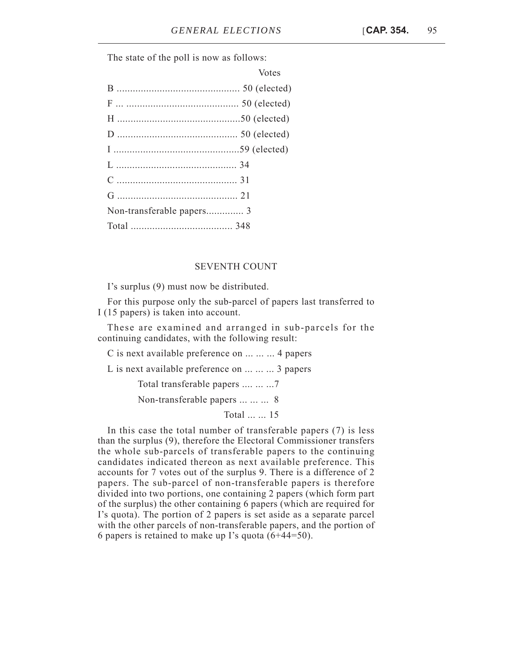Votes

The state of the poll is now as follows:

# SEVENTH COUNT

I's surplus (9) must now be distributed.

For this purpose only the sub-parcel of papers last transferred to I (15 papers) is taken into account.

These are examined and arranged in sub-parcels for the continuing candidates, with the following result:

C is next available preference on ... ... ... 4 papers

L is next available preference on ... ... ... 3 papers

Total transferable papers .... ... ...7

Non-transferable papers ... ... ... 8

# Total ... ... 15

In this case the total number of transferable papers (7) is less than the surplus (9), therefore the Electoral Commissioner transfers the whole sub-parcels of transferable papers to the continuing candidates indicated thereon as next available preference. This accounts for 7 votes out of the surplus 9. There is a difference of 2 papers. The sub-parcel of non-transferable papers is therefore divided into two portions, one containing 2 papers (which form part of the surplus) the other containing 6 papers (which are required for I's quota). The portion of 2 papers is set aside as a separate parcel with the other parcels of non-transferable papers, and the portion of 6 papers is retained to make up I's quota (6+44=50).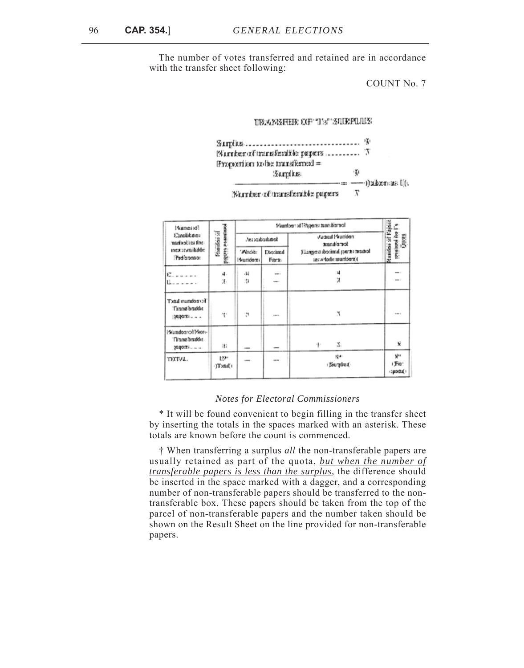The number of votes transferred and retained are in accordance with the transfer sheet following:

COUNT No. 7

#### TIBLANGEHER COF "USA" SUURPLUUS



| [ <sup>4</sup> kames id]                                 | <b>RASHWA</b>    |                     |                         | Formid nast step! Flix rechtau V                               |                                     |
|----------------------------------------------------------|------------------|---------------------|-------------------------|----------------------------------------------------------------|-------------------------------------|
| senddons?(<br>an'i sai Jeshar                            | Manufas st<br>ž  |                     | fettulacides est.       | Audio Muniden<br>templomat                                     | ż.<br>ř.                            |
| sebbaliguas xeni<br>regeration                           | kabis            | "Mode:<br>Munidore: | <b>Docimul</b><br>Fare: | fothert (strac) hmited; trespeck)<br>Distribution solicity rap | Manifon at Papers<br><b>Postage</b> |
| $\sum_{i=1}^{n}$ and $\sum_{i=1}^{n}$<br><u>Umanes e</u> | X.               | 44<br>31            | $\cdots$<br>--          | ų                                                              |                                     |
| Total mambooned'<br>Time bradde<br>1300031               | ٣.               | ŗ,                  | $\cdots$                | ľ.                                                             | <b>COLLA</b>                        |
| -Mall for eddmin't<br>Time brudde<br>$3600$ TEi $- -$    | 181              | $\sim$              |                         | 31<br>1911                                                     | x                                   |
| 'DXIVL.                                                  | 1271<br>(Txtall) |                     | $-$                     | <b>KOM</b><br>(Sourprive a)                                    | v٠<br>I Fig.<br>-3podul             |

### *Notes for Electoral Commissioners*

\* It will be found convenient to begin filling in the transfer sheet by inserting the totals in the spaces marked with an asterisk. These totals are known before the count is commenced.

† When transferring a surplus *all* the non-transferable papers are usually retained as part of the quota, *but when the number of transferable papers is less than the surplus*, the difference should be inserted in the space marked with a dagger, and a corresponding number of non-transferable papers should be transferred to the nontransferable box. These papers should be taken from the top of the parcel of non-transferable papers and the number taken should be shown on the Result Sheet on the line provided for non-transferable papers.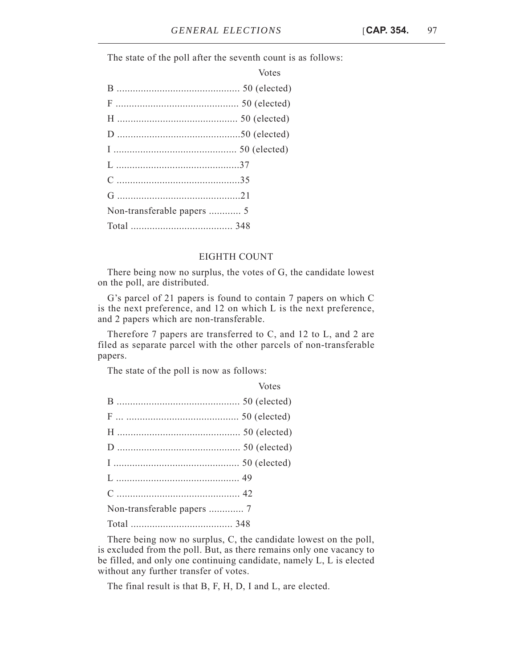The state of the poll after the seventh count is as follows:

| I<br>I |  |
|--------|--|
|--------|--|

## EIGHTH COUNT

There being now no surplus, the votes of G, the candidate lowest on the poll, are distributed.

G's parcel of 21 papers is found to contain 7 papers on which C is the next preference, and 12 on which L is the next preference, and 2 papers which are non-transferable.

Therefore 7 papers are transferred to C, and 12 to L, and 2 are filed as separate parcel with the other parcels of non-transferable papers.

Votes

The state of the poll is now as follows:

There being now no surplus, C, the candidate lowest on the poll, is excluded from the poll. But, as there remains only one vacancy to be filled, and only one continuing candidate, namely L, L is elected without any further transfer of votes.

The final result is that B, F, H, D, I and L, are elected.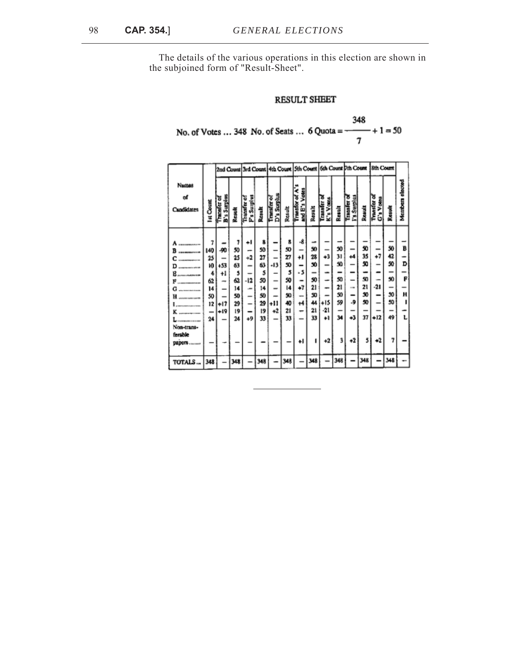The details of the various operations in this election are shown in the subjoined form of "Result-Sheet".

# **RESULT SHEET**

|  | 348                                                   |
|--|-------------------------------------------------------|
|  | No. of Votes  348 No. of Seats  6 Quota = $--+1 = 50$ |
|  |                                                       |

|                                   |           |                                |        |                          |        |                           |        |             |        |                      |        |                            |        | 2nd Count 3rd Count 4th Count 5th Count 6th Count 7th Count 18th Count |        |                 |
|-----------------------------------|-----------|--------------------------------|--------|--------------------------|--------|---------------------------|--------|-------------|--------|----------------------|--------|----------------------------|--------|------------------------------------------------------------------------|--------|-----------------|
| <b>Nacass</b><br>αf<br>Candidates | Ist Count | B's Surpius<br><b>Chanader</b> | Result | F's Surplu<br>Transfer o | Rosult | D's Surplus<br>Transfer o | Result | š<br>Ě<br>š | Result | Ş<br><b>Cransfer</b> | Rasalt | <b>Consuler</b><br>Fa Suml | Reault | Transfer o<br>G's Vote                                                 | Result | Members elected |
|                                   |           |                                |        |                          |        |                           |        |             |        |                      |        |                            |        |                                                                        |        |                 |
| -----------                       |           |                                |        | ٠ı                       |        |                           |        | -8          |        |                      |        |                            |        |                                                                        |        |                 |
|                                   | 140       | -90                            | 50     | -                        | 50     |                           | 50     |             | 50     |                      | 50     |                            | 50     |                                                                        | 50     | B               |
|                                   | 25        | -                              | 25     | $+2$                     | 27     |                           | 27     | +l          | 28     | 43                   | 31     | 44                         | 35     | 47                                                                     | 42     |                 |
|                                   | ю         | +53                            | 63     |                          | 63     | -13                       | 50     | -           | 50     |                      | 50     |                            | 50     | -                                                                      | 50     | D               |
| -----------                       | 4         | +l                             | 5      |                          | 5      |                           | 5      | ۰5          |        |                      |        |                            |        |                                                                        |        |                 |
|                                   | 62        | -                              | 62     | $-12$                    | 50     |                           | 50     |             | 50     |                      | 50     |                            | 50     |                                                                        | 50     | P               |
|                                   | 14        |                                | 14     | ÷                        | 14     |                           | 14     | +7          | 21     |                      | 21     | $\sim$                     | 21     | -21                                                                    | -      |                 |
| -------------                     | 50        |                                | 50     | -                        | 50     |                           | 50     | -           | 50     |                      | 50     | $\blacksquare$             | 50     | $\overline{\phantom{0}}$                                               | 50     | н               |
|                                   | 12        | +17                            | 29     | -                        | 29     | +11                       | 40     | +4          | 44     | +15                  | 59     | -9                         | 50     |                                                                        | 50     |                 |
|                                   | -         | +19                            | 19     |                          | 19     | +2                        | 21     | ÷           | 21     | -21                  |        |                            |        |                                                                        |        |                 |
| -----------                       | 24        |                                | 24     | +9                       | 33     |                           | 33     |             | 33     | ÷ł                   | 34     | 43                         | 37     | +12                                                                    | 49     |                 |
| Non-trans-                        |           |                                |        |                          |        |                           |        |             |        |                      |        |                            |        |                                                                        |        |                 |
| ferable                           |           |                                |        |                          |        |                           |        |             |        |                      |        |                            |        |                                                                        |        |                 |
| <b>DEDOCT-</b>                    |           |                                |        |                          |        |                           |        | ٠ı          |        | +2                   | 3      | +2                         | 5      | +2                                                                     |        |                 |
|                                   |           |                                |        |                          |        |                           |        |             |        |                      |        |                            |        |                                                                        |        |                 |
| TOTALS                            | 348       |                                | 348    |                          |        |                           | 348    |             | 348    |                      | 348    |                            | 348    |                                                                        | 348    |                 |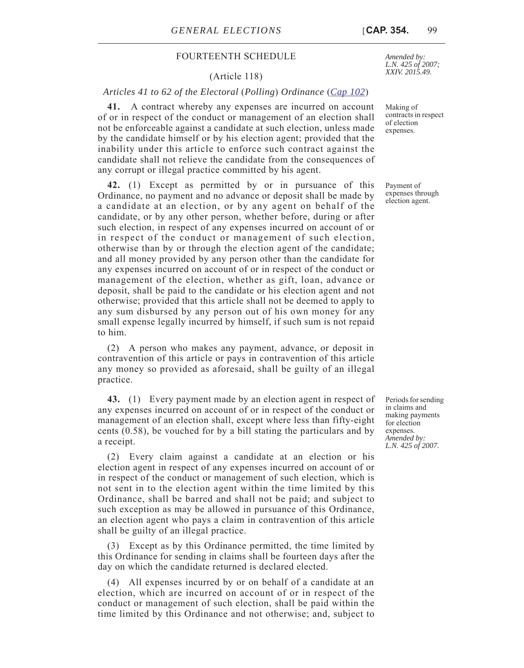# FOURTEENTH SCHEDULE

# (Article 118)

#### *Articles 41 to 62 of the Electoral* (*Polling*) *Ordinance* (*[Cap 102](http://www.justiceservices.gov.mt/DownloadDocument.aspx?app=lom&itemid=8642&l=1)*)

**41.** A contract whereby any expenses are incurred on account of or in respect of the conduct or management of an election shall not be enforceable against a candidate at such election, unless made by the candidate himself or by his election agent; provided that the inability under this article to enforce such contract against the candidate shall not relieve the candidate from the consequences of any corrupt or illegal practice committed by his agent.

**42.** (1) Except as permitted by or in pursuance of this Ordinance, no payment and no advance or deposit shall be made by a candidate at an election, or by any agent on behalf of the candidate, or by any other person, whether before, during or after such election, in respect of any expenses incurred on account of or in respect of the conduct or management of such election, otherwise than by or through the election agent of the candidate; and all money provided by any person other than the candidate for any expenses incurred on account of or in respect of the conduct or management of the election, whether as gift, loan, advance or deposit, shall be paid to the candidate or his election agent and not otherwise; provided that this article shall not be deemed to apply to any sum disbursed by any person out of his own money for any small expense legally incurred by himself, if such sum is not repaid to him.

(2) A person who makes any payment, advance, or deposit in contravention of this article or pays in contravention of this article any money so provided as aforesaid, shall be guilty of an illegal practice.

**43.** (1) Every payment made by an election agent in respect of any expenses incurred on account of or in respect of the conduct or management of an election shall, except where less than fifty-eight cents (0.58), be vouched for by a bill stating the particulars and by a receipt.

(2) Every claim against a candidate at an election or his election agent in respect of any expenses incurred on account of or in respect of the conduct or management of such election, which is not sent in to the election agent within the time limited by this Ordinance, shall be barred and shall not be paid; and subject to such exception as may be allowed in pursuance of this Ordinance, an election agent who pays a claim in contravention of this article shall be guilty of an illegal practice.

(3) Except as by this Ordinance permitted, the time limited by this Ordinance for sending in claims shall be fourteen days after the day on which the candidate returned is declared elected.

(4) All expenses incurred by or on behalf of a candidate at an election, which are incurred on account of or in respect of the conduct or management of such election, shall be paid within the time limited by this Ordinance and not otherwise; and, subject to

*Amended by: L.N. 425 of 2007; XXIV. 2015.49.*

Making of contracts in respect of election expenses.

Payment of expenses through election agent.

Periods for sending in claims and making payments for election expenses. *Amended by: L.N. 425 of 2007.*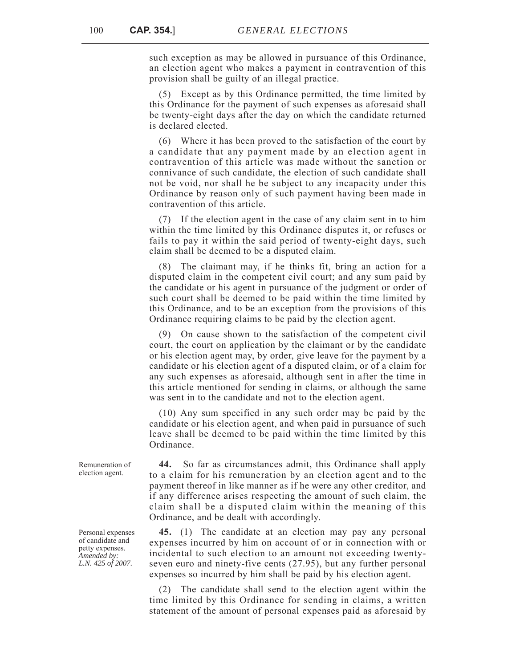such exception as may be allowed in pursuance of this Ordinance, an election agent who makes a payment in contravention of this provision shall be guilty of an illegal practice.

(5) Except as by this Ordinance permitted, the time limited by this Ordinance for the payment of such expenses as aforesaid shall be twenty-eight days after the day on which the candidate returned is declared elected.

(6) Where it has been proved to the satisfaction of the court by a candidate that any payment made by an election agent in contravention of this article was made without the sanction or connivance of such candidate, the election of such candidate shall not be void, nor shall he be subject to any incapacity under this Ordinance by reason only of such payment having been made in contravention of this article.

(7) If the election agent in the case of any claim sent in to him within the time limited by this Ordinance disputes it, or refuses or fails to pay it within the said period of twenty-eight days, such claim shall be deemed to be a disputed claim.

(8) The claimant may, if he thinks fit, bring an action for a disputed claim in the competent civil court; and any sum paid by the candidate or his agent in pursuance of the judgment or order of such court shall be deemed to be paid within the time limited by this Ordinance, and to be an exception from the provisions of this Ordinance requiring claims to be paid by the election agent.

(9) On cause shown to the satisfaction of the competent civil court, the court on application by the claimant or by the candidate or his election agent may, by order, give leave for the payment by a candidate or his election agent of a disputed claim, or of a claim for any such expenses as aforesaid, although sent in after the time in this article mentioned for sending in claims, or although the same was sent in to the candidate and not to the election agent.

(10) Any sum specified in any such order may be paid by the candidate or his election agent, and when paid in pursuance of such leave shall be deemed to be paid within the time limited by this Ordinance.

**44.** So far as circumstances admit, this Ordinance shall apply to a claim for his remuneration by an election agent and to the payment thereof in like manner as if he were any other creditor, and if any difference arises respecting the amount of such claim, the claim shall be a disputed claim within the meaning of this Ordinance, and be dealt with accordingly.

**45.** (1) The candidate at an election may pay any personal expenses incurred by him on account of or in connection with or incidental to such election to an amount not exceeding twentyseven euro and ninety-five cents (27.95), but any further personal expenses so incurred by him shall be paid by his election agent.

(2) The candidate shall send to the election agent within the time limited by this Ordinance for sending in claims, a written statement of the amount of personal expenses paid as aforesaid by

Remuneration of election agent.

Personal expenses of candidate and petty expenses. *Amended by: L.N. 425 of 2007.*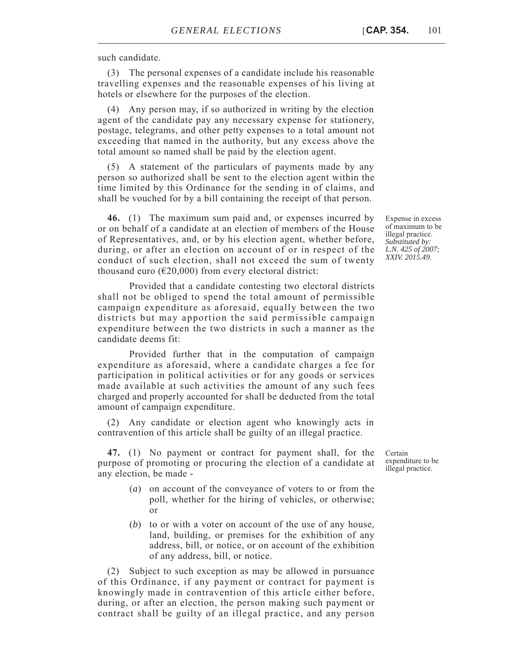such candidate.

(3) The personal expenses of a candidate include his reasonable travelling expenses and the reasonable expenses of his living at hotels or elsewhere for the purposes of the election.

(4) Any person may, if so authorized in writing by the election agent of the candidate pay any necessary expense for stationery, postage, telegrams, and other petty expenses to a total amount not exceeding that named in the authority, but any excess above the total amount so named shall be paid by the election agent.

(5) A statement of the particulars of payments made by any person so authorized shall be sent to the election agent within the time limited by this Ordinance for the sending in of claims, and shall be vouched for by a bill containing the receipt of that person.

**46.** (1) The maximum sum paid and, or expenses incurred by or on behalf of a candidate at an election of members of the House of Representatives, and, or by his election agent, whether before, during, or after an election on account of or in respect of the conduct of such election, shall not exceed the sum of twenty thousand euro ( $E20,000$ ) from every electoral district:

Provided that a candidate contesting two electoral districts shall not be obliged to spend the total amount of permissible campaign expenditure as aforesaid, equally between the two districts but may apportion the said permissible campaign expenditure between the two districts in such a manner as the candidate deems fit:

Provided further that in the computation of campaign expenditure as aforesaid, where a candidate charges a fee for participation in political activities or for any goods or services made available at such activities the amount of any such fees charged and properly accounted for shall be deducted from the total amount of campaign expenditure.

(2) Any candidate or election agent who knowingly acts in contravention of this article shall be guilty of an illegal practice.

**47.** (1) No payment or contract for payment shall, for the purpose of promoting or procuring the election of a candidate at any election, be made -

- (*a*) on account of the conveyance of voters to or from the poll, whether for the hiring of vehicles, or otherwise; or
- (*b*) to or with a voter on account of the use of any house, land, building, or premises for the exhibition of any address, bill, or notice, or on account of the exhibition of any address, bill, or notice.

(2) Subject to such exception as may be allowed in pursuance of this Ordinance, if any payment or contract for payment is knowingly made in contravention of this article either before, during, or after an election, the person making such payment or contract shall be guilty of an illegal practice, and any person

Expense in excess of maximum to be illegal practice. *Substituted by: L.N. 425 of 2007; XXIV. 2015.49.*

Certain expenditure to be illegal practice.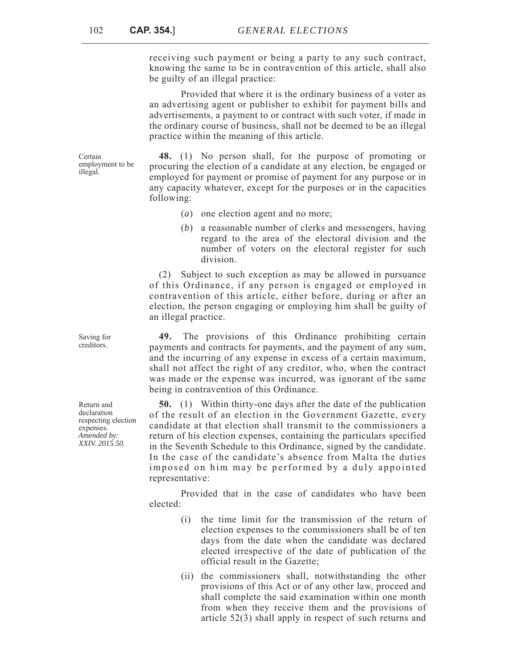receiving such payment or being a party to any such contract, knowing the same to be in contravention of this article, shall also be guilty of an illegal practice:

Provided that where it is the ordinary business of a voter as an advertising agent or publisher to exhibit for payment bills and advertisements, a payment to or contract with such voter, if made in the ordinary course of business, shall not be deemed to be an illegal practice within the meaning of this article.

employment to be **48.** (1) No person shall, for the purpose of promoting or procuring the election of a candidate at any election, be engaged or employed for payment or promise of payment for any purpose or in any capacity whatever, except for the purposes or in the capacities following:

- (*a*) one election agent and no more;
- (*b*) a reasonable number of clerks and messengers, having regard to the area of the electoral division and the number of voters on the electoral register for such division.

(2) Subject to such exception as may be allowed in pursuance of this Ordinance, if any person is engaged or employed in contravention of this article, either before, during or after an election, the person engaging or employing him shall be guilty of an illegal practice.

**49.** The provisions of this Ordinance prohibiting certain payments and contracts for payments, and the payment of any sum, and the incurring of any expense in excess of a certain maximum, shall not affect the right of any creditor, who, when the contract was made or the expense was incurred, was ignorant of the same being in contravention of this Ordinance.

**50.** (1) Within thirty-one days after the date of the publication of the result of an election in the Government Gazette, every candidate at that election shall transmit to the commissioners a return of his election expenses, containing the particulars specified in the Seventh Schedule to this Ordinance, signed by the candidate. In the case of the candidate's absence from Malta the duties imposed on him may be performed by a duly appointed representative:

Provided that in the case of candidates who have been elected:

- (i) the time limit for the transmission of the return of election expenses to the commissioners shall be of ten days from the date when the candidate was declared elected irrespective of the date of publication of the official result in the Gazette;
- (ii) the commissioners shall, notwithstanding the other provisions of this Act or of any other law, proceed and shall complete the said examination within one month from when they receive them and the provisions of article 52(3) shall apply in respect of such returns and

Saving for creditors.

Return and declaration respecting election expenses. *Amended by: XXIV. 2015.50.*

Certain

illegal.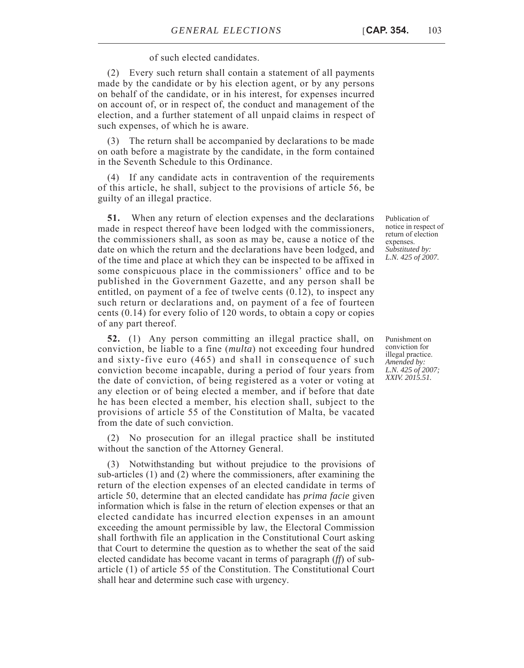of such elected candidates.

(2) Every such return shall contain a statement of all payments made by the candidate or by his election agent, or by any persons on behalf of the candidate, or in his interest, for expenses incurred on account of, or in respect of, the conduct and management of the election, and a further statement of all unpaid claims in respect of such expenses, of which he is aware.

(3) The return shall be accompanied by declarations to be made on oath before a magistrate by the candidate, in the form contained in the Seventh Schedule to this Ordinance.

(4) If any candidate acts in contravention of the requirements of this article, he shall, subject to the provisions of article 56, be guilty of an illegal practice.

**51.** When any return of election expenses and the declarations made in respect thereof have been lodged with the commissioners, the commissioners shall, as soon as may be, cause a notice of the date on which the return and the declarations have been lodged, and of the time and place at which they can be inspected to be affixed in some conspicuous place in the commissioners' office and to be published in the Government Gazette, and any person shall be entitled, on payment of a fee of twelve cents (0.12), to inspect any such return or declarations and, on payment of a fee of fourteen cents (0.14) for every folio of 120 words, to obtain a copy or copies of any part thereof.

**52.** (1) Any person committing an illegal practice shall, on conviction, be liable to a fine (*multa*) not exceeding four hundred and sixty-five euro (465) and shall in consequence of such conviction become incapable, during a period of four years from the date of conviction, of being registered as a voter or voting at any election or of being elected a member, and if before that date he has been elected a member, his election shall, subject to the provisions of article 55 of the Constitution of Malta, be vacated from the date of such conviction.

(2) No prosecution for an illegal practice shall be instituted without the sanction of the Attorney General.

(3) Notwithstanding but without prejudice to the provisions of sub-articles (1) and (2) where the commissioners, after examining the return of the election expenses of an elected candidate in terms of article 50, determine that an elected candidate has *prima facie* given information which is false in the return of election expenses or that an elected candidate has incurred election expenses in an amount exceeding the amount permissible by law, the Electoral Commission shall forthwith file an application in the Constitutional Court asking that Court to determine the question as to whether the seat of the said elected candidate has become vacant in terms of paragraph (*ff*) of subarticle (1) of article 55 of the Constitution. The Constitutional Court shall hear and determine such case with urgency.

Publication of notice in respect of return of election expenses. *Substituted by: L.N. 425 of 2007.*

Punishment on conviction for illegal practice. *Amended by: L.N. 425 of 2007; XXIV. 2015.51.*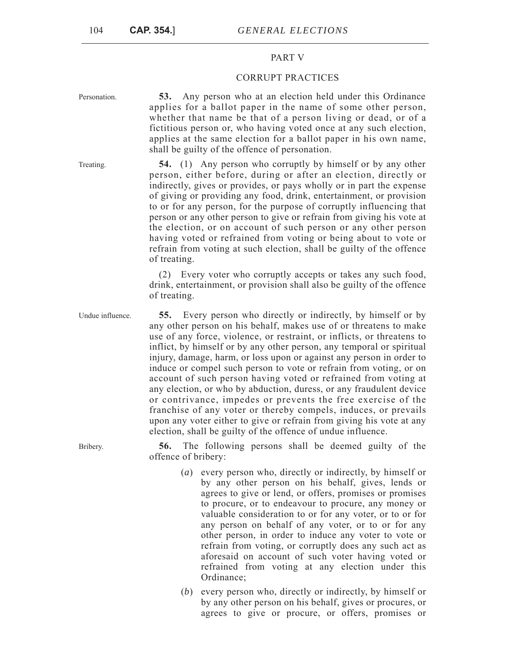# PART V

# CORRUPT PRACTICES

| Personation.     | <b>53.</b> Any person who at an election held under this Ordinance<br>applies for a ballot paper in the name of some other person,<br>whether that name be that of a person living or dead, or of a<br>fictitious person or, who having voted once at any such election,<br>applies at the same election for a ballot paper in his own name,<br>shall be guilty of the offence of personation.                                                                                                                                                                                                                                                                                                                                                                                                                                                              |
|------------------|-------------------------------------------------------------------------------------------------------------------------------------------------------------------------------------------------------------------------------------------------------------------------------------------------------------------------------------------------------------------------------------------------------------------------------------------------------------------------------------------------------------------------------------------------------------------------------------------------------------------------------------------------------------------------------------------------------------------------------------------------------------------------------------------------------------------------------------------------------------|
| Treating.        | <b>54.</b> (1) Any person who corruptly by himself or by any other<br>person, either before, during or after an election, directly or<br>indirectly, gives or provides, or pays wholly or in part the expense<br>of giving or providing any food, drink, entertainment, or provision<br>to or for any person, for the purpose of corruptly influencing that<br>person or any other person to give or refrain from giving his vote at<br>the election, or on account of such person or any other person<br>having voted or refrained from voting or being about to vote or<br>refrain from voting at such election, shall be guilty of the offence<br>of treating.                                                                                                                                                                                           |
|                  | (2) Every voter who corruptly accepts or takes any such food,<br>drink, entertainment, or provision shall also be guilty of the offence<br>of treating.                                                                                                                                                                                                                                                                                                                                                                                                                                                                                                                                                                                                                                                                                                     |
| Undue influence. | Every person who directly or indirectly, by himself or by<br>55.<br>any other person on his behalf, makes use of or threatens to make<br>use of any force, violence, or restraint, or inflicts, or threatens to<br>inflict, by himself or by any other person, any temporal or spiritual<br>injury, damage, harm, or loss upon or against any person in order to<br>induce or compel such person to vote or refrain from voting, or on<br>account of such person having voted or refrained from voting at<br>any election, or who by abduction, duress, or any fraudulent device<br>or contrivance, impedes or prevents the free exercise of the<br>franchise of any voter or thereby compels, induces, or prevails<br>upon any voter either to give or refrain from giving his vote at any<br>election, shall be guilty of the offence of undue influence. |
| Bribery.         | 56. The following persons shall be deemed guilty of the<br>offence of bribery:                                                                                                                                                                                                                                                                                                                                                                                                                                                                                                                                                                                                                                                                                                                                                                              |
|                  | (a) every person who, directly or indirectly, by himself or<br>by any other person on his behalf, gives, lends or<br>agrees to give or lend, or offers, promises or promises<br>to procure, or to endeavour to procure, any money or<br>valuable consideration to or for any voter, or to or for<br>any person on behalf of any voter, or to or for any<br>other person, in order to induce any voter to vote or<br>refrain from voting, or corruptly does any such act as<br>aforesaid on account of such voter having voted or<br>refrained from voting at any election under this<br>Ordinance;                                                                                                                                                                                                                                                          |
|                  | $(b)$ every person who, directly or indirectly, by himself or<br>by any other person on his behalf, gives or procures, or<br>agrees to give or procure, or offers, promises or                                                                                                                                                                                                                                                                                                                                                                                                                                                                                                                                                                                                                                                                              |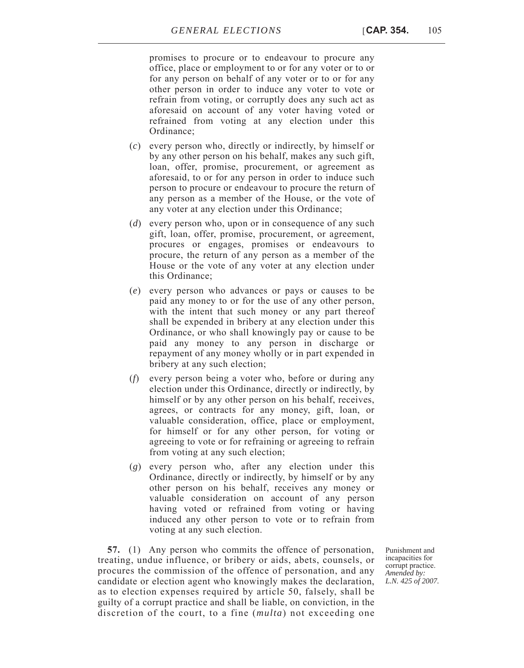promises to procure or to endeavour to procure any office, place or employment to or for any voter or to or for any person on behalf of any voter or to or for any other person in order to induce any voter to vote or refrain from voting, or corruptly does any such act as aforesaid on account of any voter having voted or refrained from voting at any election under this Ordinance;

- (*c*) every person who, directly or indirectly, by himself or by any other person on his behalf, makes any such gift, loan, offer, promise, procurement, or agreement as aforesaid, to or for any person in order to induce such person to procure or endeavour to procure the return of any person as a member of the House, or the vote of any voter at any election under this Ordinance;
- (*d*) every person who, upon or in consequence of any such gift, loan, offer, promise, procurement, or agreement, procures or engages, promises or endeavours to procure, the return of any person as a member of the House or the vote of any voter at any election under this Ordinance;
- (*e*) every person who advances or pays or causes to be paid any money to or for the use of any other person, with the intent that such money or any part thereof shall be expended in bribery at any election under this Ordinance, or who shall knowingly pay or cause to be paid any money to any person in discharge or repayment of any money wholly or in part expended in bribery at any such election;
- (*f*) every person being a voter who, before or during any election under this Ordinance, directly or indirectly, by himself or by any other person on his behalf, receives, agrees, or contracts for any money, gift, loan, or valuable consideration, office, place or employment, for himself or for any other person, for voting or agreeing to vote or for refraining or agreeing to refrain from voting at any such election;
- (*g*) every person who, after any election under this Ordinance, directly or indirectly, by himself or by any other person on his behalf, receives any money or valuable consideration on account of any person having voted or refrained from voting or having induced any other person to vote or to refrain from voting at any such election.

**57.** (1) Any person who commits the offence of personation, treating, undue influence, or bribery or aids, abets, counsels, or procures the commission of the offence of personation, and any candidate or election agent who knowingly makes the declaration, as to election expenses required by article 50, falsely, shall be guilty of a corrupt practice and shall be liable, on conviction, in the discretion of the court, to a fine (*multa*) not exceeding one

Punishment and incapacities for corrupt practice. *Amended by: L.N. 425 of 2007.*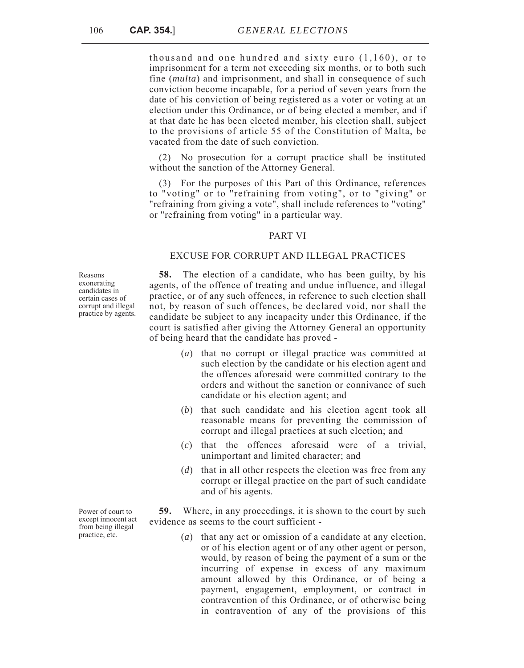thousand and one hundred and sixty euro (1,160), or to imprisonment for a term not exceeding six months, or to both such fine (*multa*) and imprisonment, and shall in consequence of such conviction become incapable, for a period of seven years from the date of his conviction of being registered as a voter or voting at an election under this Ordinance, or of being elected a member, and if at that date he has been elected member, his election shall, subject to the provisions of article 55 of the Constitution of Malta, be vacated from the date of such conviction.

(2) No prosecution for a corrupt practice shall be instituted without the sanction of the Attorney General.

(3) For the purposes of this Part of this Ordinance, references to "voting" or to "refraining from voting", or to "giving" or "refraining from giving a vote", shall include references to "voting" or "refraining from voting" in a particular way.

#### PART VI

## EXCUSE FOR CORRUPT AND ILLEGAL PRACTICES

Reasons exonerating candidates in certain cases of corrupt and illegal practice by agents.

**58.** The election of a candidate, who has been guilty, by his agents, of the offence of treating and undue influence, and illegal practice, or of any such offences, in reference to such election shall not, by reason of such offences, be declared void, nor shall the candidate be subject to any incapacity under this Ordinance, if the court is satisfied after giving the Attorney General an opportunity of being heard that the candidate has proved -

- (*a*) that no corrupt or illegal practice was committed at such election by the candidate or his election agent and the offences aforesaid were committed contrary to the orders and without the sanction or connivance of such candidate or his election agent; and
- (*b*) that such candidate and his election agent took all reasonable means for preventing the commission of corrupt and illegal practices at such election; and
- (*c*) that the offences aforesaid were of a trivial, unimportant and limited character; and
- (*d*) that in all other respects the election was free from any corrupt or illegal practice on the part of such candidate and of his agents.

**59.** Where, in any proceedings, it is shown to the court by such evidence as seems to the court sufficient -

> (*a*) that any act or omission of a candidate at any election, or of his election agent or of any other agent or person, would, by reason of being the payment of a sum or the incurring of expense in excess of any maximum amount allowed by this Ordinance, or of being a payment, engagement, employment, or contract in contravention of this Ordinance, or of otherwise being in contravention of any of the provisions of this

Power of court to except innocent act from being illegal practice, etc.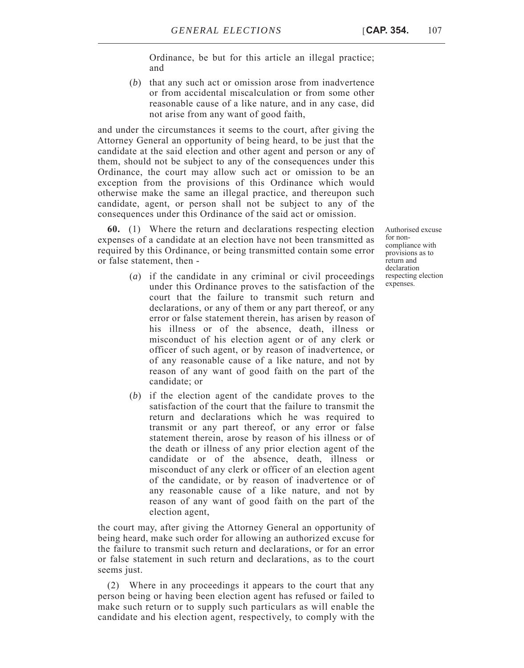Ordinance, be but for this article an illegal practice; and

(*b*) that any such act or omission arose from inadvertence or from accidental miscalculation or from some other reasonable cause of a like nature, and in any case, did not arise from any want of good faith,

and under the circumstances it seems to the court, after giving the Attorney General an opportunity of being heard, to be just that the candidate at the said election and other agent and person or any of them, should not be subject to any of the consequences under this Ordinance, the court may allow such act or omission to be an exception from the provisions of this Ordinance which would otherwise make the same an illegal practice, and thereupon such candidate, agent, or person shall not be subject to any of the consequences under this Ordinance of the said act or omission.

**60.** (1) Where the return and declarations respecting election expenses of a candidate at an election have not been transmitted as required by this Ordinance, or being transmitted contain some error or false statement, then -

- (*a*) if the candidate in any criminal or civil proceedings under this Ordinance proves to the satisfaction of the court that the failure to transmit such return and declarations, or any of them or any part thereof, or any error or false statement therein, has arisen by reason of his illness or of the absence, death, illness or misconduct of his election agent or of any clerk or officer of such agent, or by reason of inadvertence, or of any reasonable cause of a like nature, and not by reason of any want of good faith on the part of the candidate; or
- (*b*) if the election agent of the candidate proves to the satisfaction of the court that the failure to transmit the return and declarations which he was required to transmit or any part thereof, or any error or false statement therein, arose by reason of his illness or of the death or illness of any prior election agent of the candidate or of the absence, death, illness or misconduct of any clerk or officer of an election agent of the candidate, or by reason of inadvertence or of any reasonable cause of a like nature, and not by reason of any want of good faith on the part of the election agent,

the court may, after giving the Attorney General an opportunity of being heard, make such order for allowing an authorized excuse for the failure to transmit such return and declarations, or for an error or false statement in such return and declarations, as to the court seems just.

(2) Where in any proceedings it appears to the court that any person being or having been election agent has refused or failed to make such return or to supply such particulars as will enable the candidate and his election agent, respectively, to comply with the

Authorised excuse for noncompliance with provisions as to return and declaration respecting election expenses.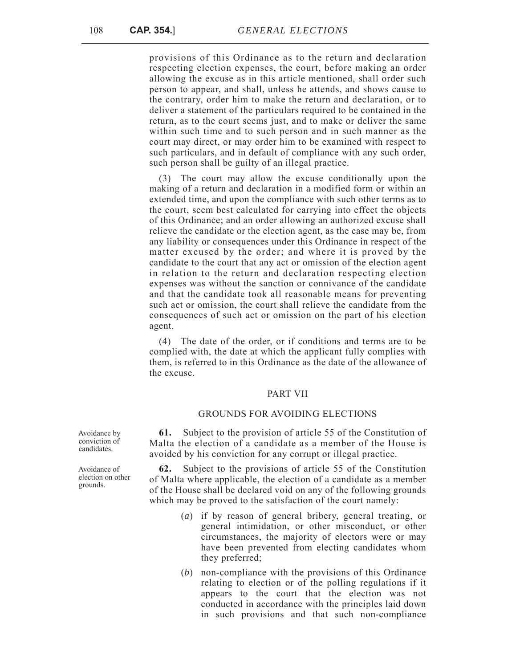provisions of this Ordinance as to the return and declaration respecting election expenses, the court, before making an order allowing the excuse as in this article mentioned, shall order such person to appear, and shall, unless he attends, and shows cause to the contrary, order him to make the return and declaration, or to deliver a statement of the particulars required to be contained in the return, as to the court seems just, and to make or deliver the same within such time and to such person and in such manner as the court may direct, or may order him to be examined with respect to such particulars, and in default of compliance with any such order, such person shall be guilty of an illegal practice.

(3) The court may allow the excuse conditionally upon the making of a return and declaration in a modified form or within an extended time, and upon the compliance with such other terms as to the court, seem best calculated for carrying into effect the objects of this Ordinance; and an order allowing an authorized excuse shall relieve the candidate or the election agent, as the case may be, from any liability or consequences under this Ordinance in respect of the matter excused by the order; and where it is proved by the candidate to the court that any act or omission of the election agent in relation to the return and declaration respecting election expenses was without the sanction or connivance of the candidate and that the candidate took all reasonable means for preventing such act or omission, the court shall relieve the candidate from the consequences of such act or omission on the part of his election agent.

(4) The date of the order, or if conditions and terms are to be complied with, the date at which the applicant fully complies with them, is referred to in this Ordinance as the date of the allowance of the excuse.

#### PART VII

#### GROUNDS FOR AVOIDING ELECTIONS

**61.** Subject to the provision of article 55 of the Constitution of Malta the election of a candidate as a member of the House is avoided by his conviction for any corrupt or illegal practice.

**62.** Subject to the provisions of article 55 of the Constitution of Malta where applicable, the election of a candidate as a member of the House shall be declared void on any of the following grounds which may be proved to the satisfaction of the court namely:

- (*a*) if by reason of general bribery, general treating, or general intimidation, or other misconduct, or other circumstances, the majority of electors were or may have been prevented from electing candidates whom they preferred;
- (*b*) non-compliance with the provisions of this Ordinance relating to election or of the polling regulations if it appears to the court that the election was not conducted in accordance with the principles laid down in such provisions and that such non-compliance

Avoidance by conviction of candidates.

Avoidance of election on other grounds.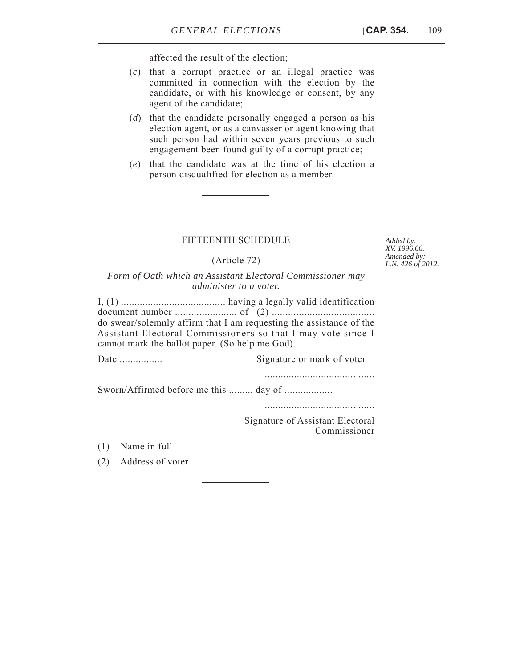- (*c*) that a corrupt practice or an illegal practice was committed in connection with the election by the candidate, or with his knowledge or consent, by any agent of the candidate;
- (*d*) that the candidate personally engaged a person as his election agent, or as a canvasser or agent knowing that such person had within seven years previous to such engagement been found guilty of a corrupt practice;
- (*e*) that the candidate was at the time of his election a person disqualified for election as a member.

## FIFTEENTH SCHEDULE

## (Article 72)

# *Form of Oath which an Assistant Electoral Commissioner may administer to a voter.*

I, (1) ....................................... having a legally valid identification document number ....................... of (2) ...................................... do swear/solemnly affirm that I am requesting the assistance of the Assistant Electoral Commissioners so that I may vote since I cannot mark the ballot paper. (So help me God).

| Date | Signature or mark of voter |  |  |
|------|----------------------------|--|--|
|      |                            |  |  |

Sworn/Affirmed before me this ......... day of ..................

.........................................

Signature of Assistant Electoral Commissioner

(1) Name in full

(2) Address of voter

*Added by: XV. 1996.66. Amended by: L.N. 426 of 2012.*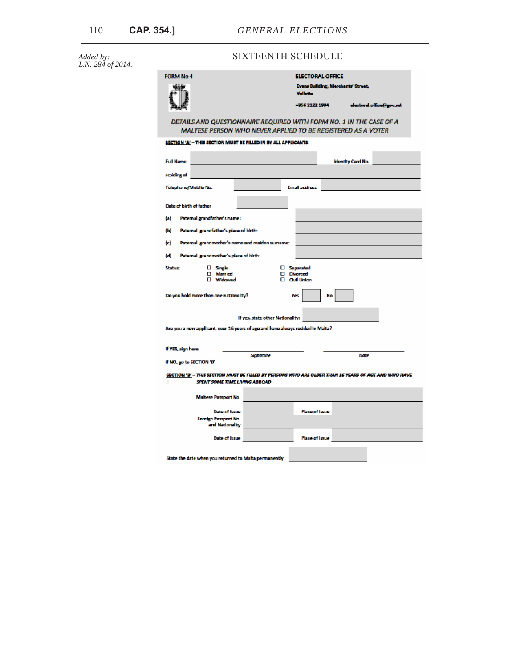| Added by: |                   |
|-----------|-------------------|
|           | L.N. 284 of 2014. |

# SIXTEENTH SCHEDULE

| <b>FORM No 4</b>                                                                                                                      | <b>ELECTORAL OFFICE</b>                                      |  |  |  |  |  |  |  |
|---------------------------------------------------------------------------------------------------------------------------------------|--------------------------------------------------------------|--|--|--|--|--|--|--|
|                                                                                                                                       | <b>Evans Building, Merchants' Street,</b><br><b>Williams</b> |  |  |  |  |  |  |  |
|                                                                                                                                       | +856 2122 1994<br>electoral.office@gov.mt                    |  |  |  |  |  |  |  |
| DETAILS AND QUESTIONNAIRE REQUIRED WITH FORM NO. 1 IN THE CASE OF A<br>MALTESE PERSON WHO NEVER APPLIED TO BE REGISTERED AS A VOTER   |                                                              |  |  |  |  |  |  |  |
| SECTION 'A' - THIS SECTION MUST BE FILLED IN BY ALL APPLICANTS                                                                        |                                                              |  |  |  |  |  |  |  |
|                                                                                                                                       |                                                              |  |  |  |  |  |  |  |
| <b>Full Name</b>                                                                                                                      | <b>Identity Card No.</b>                                     |  |  |  |  |  |  |  |
| residing at                                                                                                                           |                                                              |  |  |  |  |  |  |  |
| Telephone/Mobile No.                                                                                                                  | <b>Email address</b>                                         |  |  |  |  |  |  |  |
|                                                                                                                                       |                                                              |  |  |  |  |  |  |  |
| Date of birth of father                                                                                                               |                                                              |  |  |  |  |  |  |  |
| Paternal grandfather's name:<br>(a)                                                                                                   |                                                              |  |  |  |  |  |  |  |
| (Ы<br>Paternal grandfather's place of birth:                                                                                          |                                                              |  |  |  |  |  |  |  |
| Paternal grandmother's name and malden sumame:<br>tеl                                                                                 |                                                              |  |  |  |  |  |  |  |
| Paternal grandmother's place of birth:<br>(d)                                                                                         |                                                              |  |  |  |  |  |  |  |
| <b>Status:</b><br>$\square$ Single<br><b>D</b> Married                                                                                | <b>D</b> Separated<br><b>D</b> Divorced                      |  |  |  |  |  |  |  |
| <b>D</b> Widowed                                                                                                                      | <b>D</b> Chall Union                                         |  |  |  |  |  |  |  |
| Do you hold more than one nationality?                                                                                                | Yes<br>No                                                    |  |  |  |  |  |  |  |
|                                                                                                                                       |                                                              |  |  |  |  |  |  |  |
| If yes, state other Nationality:                                                                                                      |                                                              |  |  |  |  |  |  |  |
| Are you a new applicant, over 16 years of age and have always resided in Malta?                                                       |                                                              |  |  |  |  |  |  |  |
|                                                                                                                                       |                                                              |  |  |  |  |  |  |  |
| If YES, sign here<br>Signature                                                                                                        | Date                                                         |  |  |  |  |  |  |  |
| If NO, go to SECTION 'B'                                                                                                              |                                                              |  |  |  |  |  |  |  |
| SECTION 'B' - THIS SECTION MUST BE FILLED BY PERSONS WHO ARE OLDER THAN 16 YEARS OF AGE AND WHO HAVE<br>SPENT SOME TIME LIVING ABROAD |                                                              |  |  |  |  |  |  |  |
| <b>Maltese Passport No.</b>                                                                                                           |                                                              |  |  |  |  |  |  |  |
| Date of Issue                                                                                                                         | Place of Issue                                               |  |  |  |  |  |  |  |
| Foreign Passport No.<br>and Nationality                                                                                               |                                                              |  |  |  |  |  |  |  |
| <b>Date of Issue</b>                                                                                                                  | Place of Issue                                               |  |  |  |  |  |  |  |
|                                                                                                                                       |                                                              |  |  |  |  |  |  |  |
| State the date when you returned to Malta permanently:                                                                                |                                                              |  |  |  |  |  |  |  |